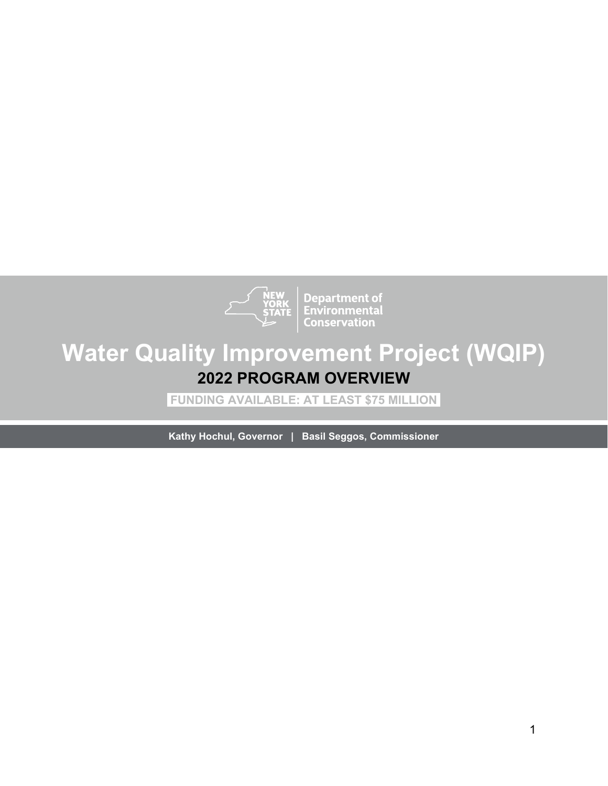

**Department of<br>Environmental**<br>Conservation

# **Water Quality Improvement Project (WQIP) 2022 PROGRAM OVERVIEW**

**FUNDING AVAILABLE: AT LEAST \$75 MILLION** 

**Kathy Hochul, Governor | Basil Seggos, Commissioner**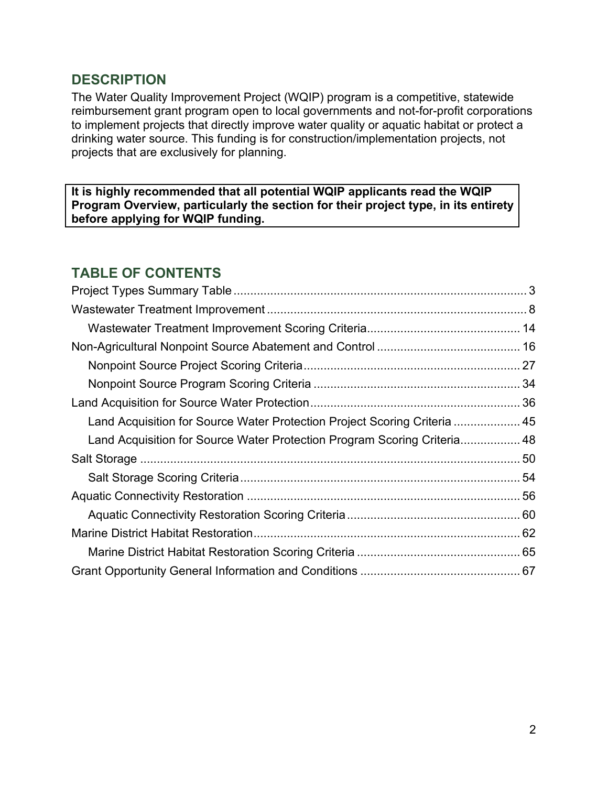#### **DESCRIPTION**

The Water Quality Improvement Project (WQIP) program is a competitive, statewide reimbursement grant program open to local governments and not-for-profit corporations to implement projects that directly improve water quality or aquatic habitat or protect a drinking water source. This funding is for construction/implementation projects, not projects that are exclusively for planning.

**It is highly recommended that all potential WQIP applicants read the WQIP Program Overview, particularly the section for their project type, in its entirety before applying for WQIP funding.** 

## **TABLE OF CONTENTS**

| Land Acquisition for Source Water Protection Project Scoring Criteria  45 |  |
|---------------------------------------------------------------------------|--|
| Land Acquisition for Source Water Protection Program Scoring Criteria 48  |  |
|                                                                           |  |
|                                                                           |  |
|                                                                           |  |
|                                                                           |  |
|                                                                           |  |
|                                                                           |  |
|                                                                           |  |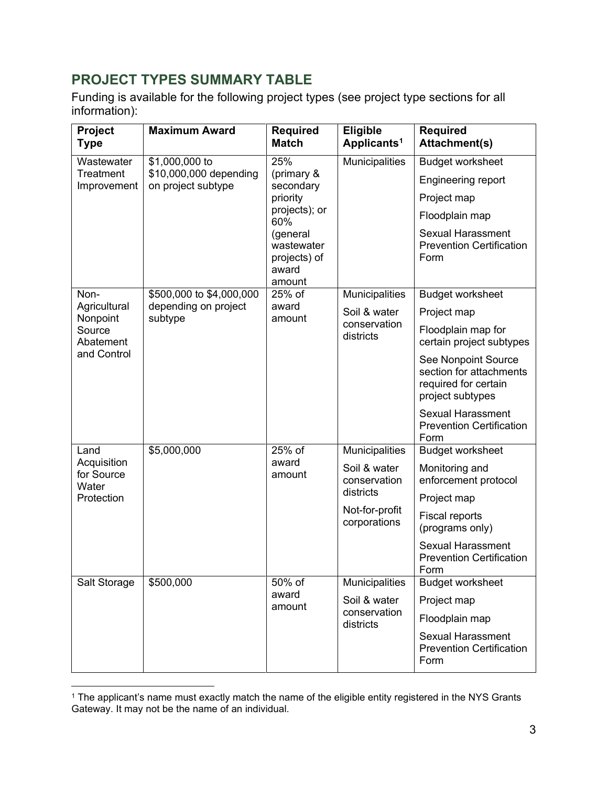## <span id="page-2-0"></span>**PROJECT TYPES SUMMARY TABLE**

Funding is available for the following project types (see project type sections for all information):

| Project<br><b>Type</b>             | <b>Maximum Award</b>                         | <b>Required</b><br><b>Match</b>                           | <b>Eligible</b><br>Applicants <sup>1</sup> | <b>Required</b><br><b>Attachment(s)</b>                                                    |
|------------------------------------|----------------------------------------------|-----------------------------------------------------------|--------------------------------------------|--------------------------------------------------------------------------------------------|
| Wastewater                         | \$1,000,000 to                               | 25%                                                       | Municipalities                             | <b>Budget worksheet</b>                                                                    |
| Treatment<br>Improvement           | \$10,000,000 depending<br>on project subtype | (primary &<br>secondary                                   |                                            | Engineering report                                                                         |
|                                    |                                              | priority                                                  |                                            | Project map                                                                                |
|                                    |                                              | projects); or<br>60%                                      |                                            | Floodplain map                                                                             |
|                                    |                                              | (general<br>wastewater<br>projects) of<br>award<br>amount |                                            | <b>Sexual Harassment</b><br><b>Prevention Certification</b><br>Form                        |
| Non-                               | \$500,000 to \$4,000,000                     | 25% of                                                    | Municipalities                             | <b>Budget worksheet</b>                                                                    |
| Agricultural<br>Nonpoint           | depending on project<br>subtype              | award<br>amount                                           | Soil & water                               | Project map                                                                                |
| Source<br>Abatement                |                                              |                                                           | conservation<br>districts                  | Floodplain map for<br>certain project subtypes                                             |
| and Control                        |                                              |                                                           |                                            | See Nonpoint Source<br>section for attachments<br>required for certain<br>project subtypes |
|                                    |                                              |                                                           |                                            | <b>Sexual Harassment</b><br><b>Prevention Certification</b><br>Form                        |
| Land                               | \$5,000,000                                  | 25% of                                                    | Municipalities                             | <b>Budget worksheet</b>                                                                    |
| Acquisition<br>for Source<br>Water |                                              | award<br>amount                                           | Soil & water<br>conservation               | Monitoring and<br>enforcement protocol                                                     |
| Protection                         |                                              |                                                           | districts                                  | Project map                                                                                |
|                                    |                                              |                                                           | Not-for-profit<br>corporations             | Fiscal reports<br>(programs only)                                                          |
|                                    |                                              |                                                           |                                            | <b>Sexual Harassment</b><br><b>Prevention Certification</b><br>Form                        |
| Salt Storage                       | \$500,000                                    | 50% of<br>award                                           | Municipalities                             | <b>Budget worksheet</b>                                                                    |
|                                    |                                              | amount                                                    | Soil & water                               | Project map                                                                                |
|                                    |                                              |                                                           | conservation<br>districts                  | Floodplain map                                                                             |
|                                    |                                              |                                                           |                                            | <b>Sexual Harassment</b><br><b>Prevention Certification</b><br>Form                        |

<span id="page-2-1"></span> $^{\rm 1}$  The applicant's name must exactly match the name of the eligible entity registered in the NYS Grants Gateway. It may not be the name of an individual.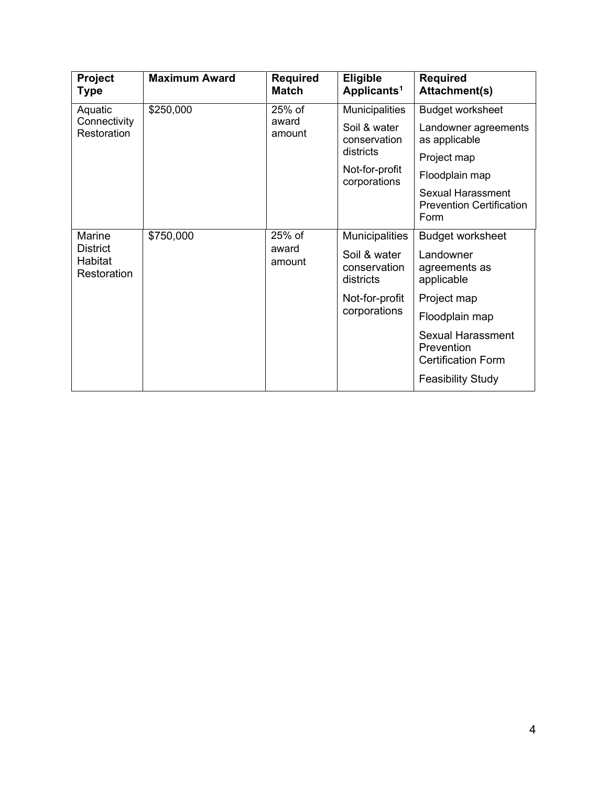| Project<br><b>Type</b>                         | <b>Maximum Award</b>           | <b>Required</b><br><b>Match</b>       | <b>Eligible</b><br>Applicants <sup>1</sup> | <b>Required</b><br><b>Attachment(s)</b>                             |
|------------------------------------------------|--------------------------------|---------------------------------------|--------------------------------------------|---------------------------------------------------------------------|
| Aquatic                                        | \$250,000                      | 25% of                                | <b>Municipalities</b>                      | <b>Budget worksheet</b>                                             |
| Connectivity<br>award<br>Restoration<br>amount | Soil & water<br>conservation   | Landowner agreements<br>as applicable |                                            |                                                                     |
|                                                |                                | districts                             | Project map                                |                                                                     |
|                                                | Not-for-profit<br>corporations | Floodplain map                        |                                            |                                                                     |
|                                                |                                |                                       |                                            | <b>Sexual Harassment</b><br><b>Prevention Certification</b><br>Form |
| Marine                                         | \$750,000                      | 25% of                                | Municipalities                             | <b>Budget worksheet</b>                                             |
| <b>District</b><br>Habitat<br>Restoration      | award<br>amount                |                                       | Soil & water<br>conservation<br>districts  | Landowner<br>agreements as<br>applicable                            |
|                                                |                                |                                       | Not-for-profit<br>corporations             | Project map                                                         |
|                                                |                                |                                       |                                            | Floodplain map                                                      |
|                                                |                                |                                       |                                            | <b>Sexual Harassment</b><br>Prevention<br><b>Certification Form</b> |
|                                                |                                |                                       |                                            | <b>Feasibility Study</b>                                            |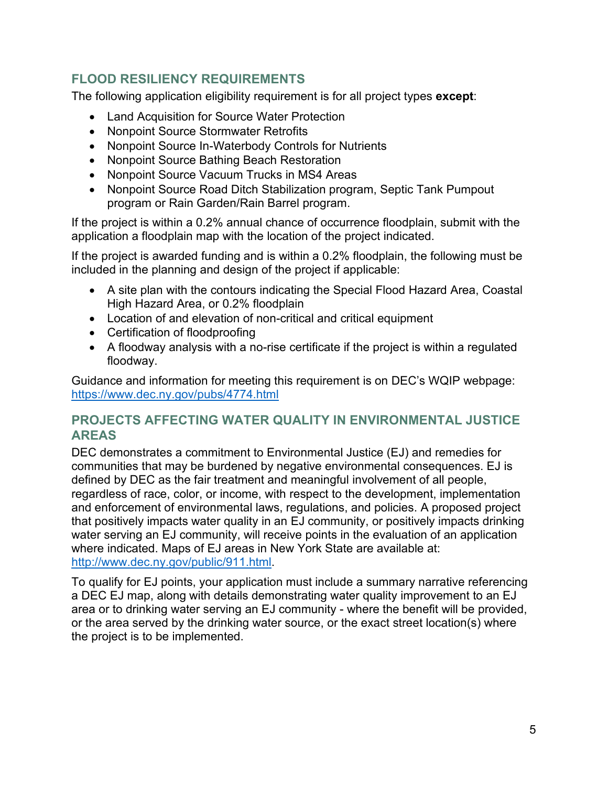#### **FLOOD RESILIENCY REQUIREMENTS**

The following application eligibility requirement is for all project types **except**:

- Land Acquisition for Source Water Protection
- Nonpoint Source Stormwater Retrofits
- Nonpoint Source In-Waterbody Controls for Nutrients
- Nonpoint Source Bathing Beach Restoration
- Nonpoint Source Vacuum Trucks in MS4 Areas
- Nonpoint Source Road Ditch Stabilization program, Septic Tank Pumpout program or Rain Garden/Rain Barrel program.

If the project is within a 0.2% annual chance of occurrence floodplain, submit with the application a floodplain map with the location of the project indicated.

If the project is awarded funding and is within a 0.2% floodplain, the following must be included in the planning and design of the project if applicable:

- A site plan with the contours indicating the Special Flood Hazard Area, Coastal High Hazard Area, or 0.2% floodplain
- Location of and elevation of non-critical and critical equipment
- Certification of floodproofing
- A floodway analysis with a no-rise certificate if the project is within a regulated floodway.

Guidance and information for meeting this requirement is on DEC's WQIP webpage: <https://www.dec.ny.gov/pubs/4774.html>

#### **PROJECTS AFFECTING WATER QUALITY IN ENVIRONMENTAL JUSTICE AREAS**

DEC demonstrates a commitment to Environmental Justice (EJ) and remedies for communities that may be burdened by negative environmental consequences. EJ is defined by DEC as the fair treatment and meaningful involvement of all people, regardless of race, color, or income, with respect to the development, implementation and enforcement of environmental laws, regulations, and policies. A proposed project that positively impacts water quality in an EJ community, or positively impacts drinking water serving an EJ community, will receive points in the evaluation of an application where indicated. Maps of EJ areas in New York State are available at[:](http://www.dec.ny.gov/public/911.html) [http://www.dec.ny.gov/public/911.html.](http://www.dec.ny.gov/public/911.html)

To qualify for EJ points, your application must include a summary narrative referencing a DEC EJ map, along with details demonstrating water quality improvement to an EJ area or to drinking water serving an EJ community - where the benefit will be provided, or the area served by the drinking water source, or the exact street location(s) where the project is to be implemented.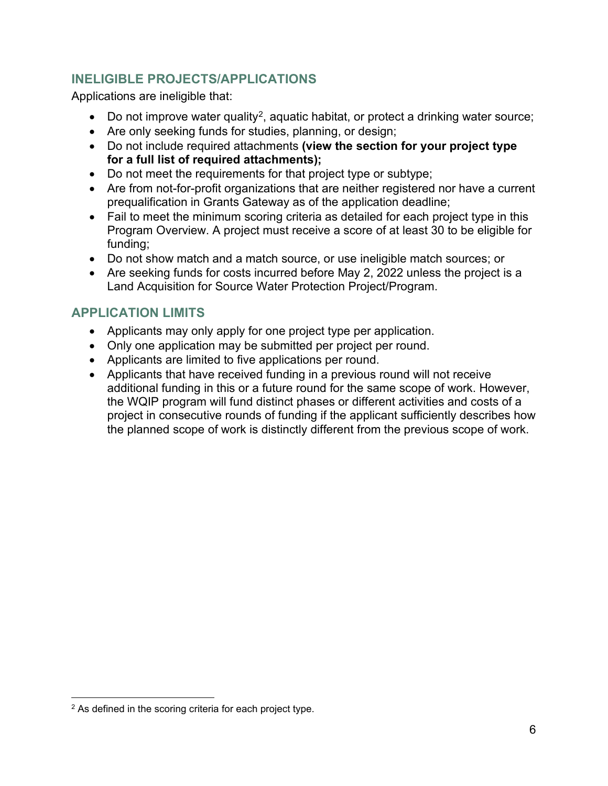#### **INELIGIBLE PROJECTS/APPLICATIONS**

Applications are ineligible that:

- Do not improve water quality<sup>2</sup>, aquatic habitat, or protect a drinking water source;
- Are only seeking funds for studies, planning, or design;
- Do not include required attachments **(view the section for your project type for a full list of required attachments);**
- Do not meet the requirements for that project type or subtype;
- Are from not-for-profit organizations that are neither registered nor have a current prequalification in Grants Gateway as of the application deadline;
- Fail to meet the minimum scoring criteria as detailed for each project type in this Program Overview. A project must receive a score of at least 30 to be eligible for funding;
- Do not show match and a match source, or use ineligible match sources; or
- Are seeking funds for costs incurred before May 2, 2022 unless the project is a Land Acquisition for Source Water Protection Project/Program.

#### **APPLICATION LIMITS**

- Applicants may only apply for one project type per application.
- Only one application may be submitted per project per round.
- Applicants are limited to five applications per round.
- Applicants that have received funding in a previous round will not receive additional funding in this or a future round for the same scope of work. However, the WQIP program will fund distinct phases or different activities and costs of a project in consecutive rounds of funding if the applicant sufficiently describes how the planned scope of work is distinctly different from the previous scope of work.

<span id="page-5-0"></span><sup>2</sup> As defined in the scoring criteria for each project type.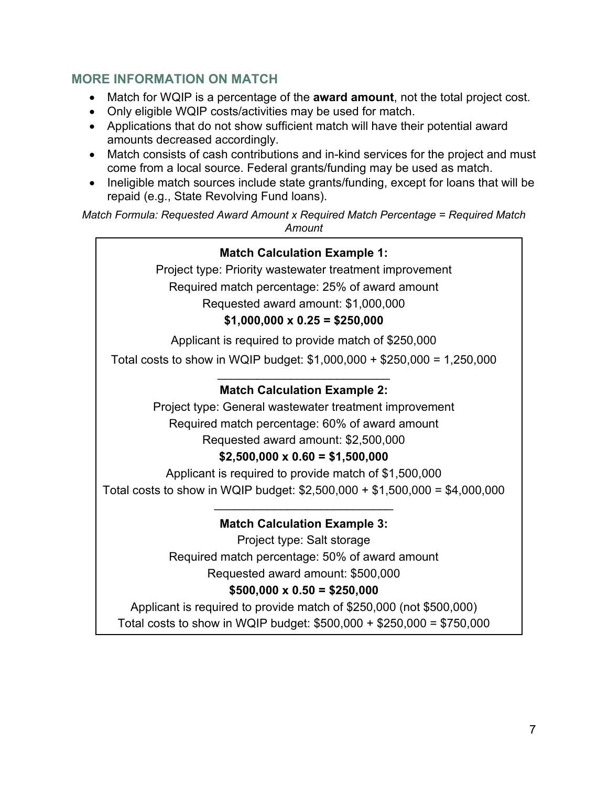#### **MORE INFORMATION ON MATCH**

- Match for WQIP is a percentage of the **award amount**, not the total project cost.
- Only eligible WQIP costs/activities may be used for match.
- Applications that do not show sufficient match will have their potential award amounts decreased accordingly.
- Match consists of cash contributions and in-kind services for the project and must come from a local source. Federal grants/funding may be used as match.
- Ineligible match sources include state grants/funding, except for loans that will be repaid (e.g., State Revolving Fund loans).

*Match Formula: Requested Award Amount x Required Match Percentage = Required Match Amount*

#### **Match Calculation Example 1:**

Project type: Priority wastewater treatment improvement Required match percentage: 25% of award amount Requested award amount: \$1,000,000

#### **\$1,000,000 x 0.25 = \$250,000**

Applicant is required to provide match of \$250,000

Total costs to show in WQIP budget: \$1,000,000 + \$250,000 = 1,250,000 \_\_\_\_\_\_\_\_\_\_\_\_\_\_\_\_\_\_\_\_\_\_\_\_\_\_

#### **Match Calculation Example 2:**

Project type: General wastewater treatment improvement Required match percentage: 60% of award amount

## Requested award amount: \$2,500,000

#### **\$2,500,000 x 0.60 = \$1,500,000**

Applicant is required to provide match of \$1,500,000 Total costs to show in WQIP budget: \$2,500,000 + \$1,500,000 = \$4,000,000

#### \_\_\_\_\_\_\_\_\_\_\_\_\_\_\_\_\_\_\_\_\_\_\_\_\_\_\_ **Match Calculation Example 3:**

Project type: Salt storage Required match percentage: 50% of award amount Requested award amount: \$500,000

#### **\$500,000 x 0.50 = \$250,000**

Applicant is required to provide match of \$250,000 (not \$500,000) Total costs to show in WQIP budget: \$500,000 + \$250,000 = \$750,000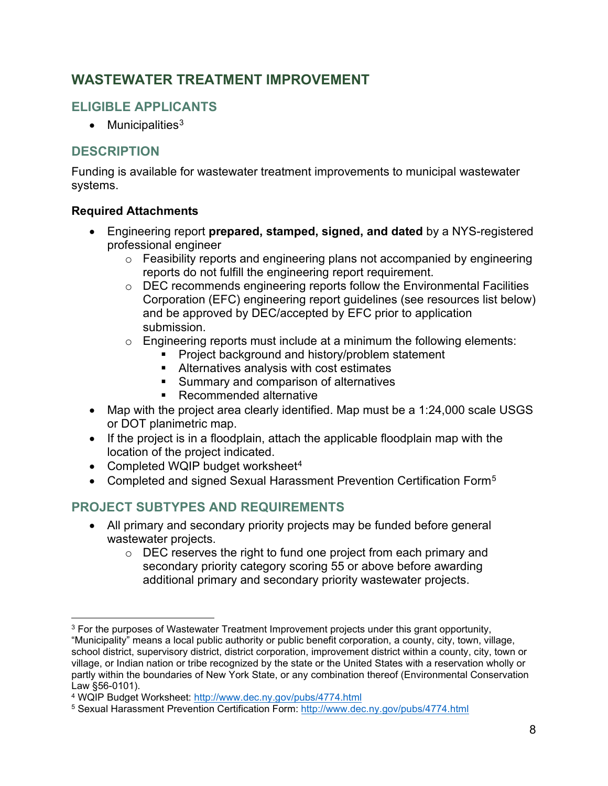## <span id="page-7-0"></span>**WASTEWATER TREATMENT IMPROVEMENT**

## **ELIGIBLE APPLICANTS**

• Municipalities $3$ 

#### **DESCRIPTION**

Funding is available for wastewater treatment improvements to municipal wastewater systems.

#### **Required Attachments**

- Engineering report **prepared, stamped, signed, and dated** by a NYS-registered professional engineer
	- o Feasibility reports and engineering plans not accompanied by engineering reports do not fulfill the engineering report requirement.
	- o DEC recommends engineering reports follow the Environmental Facilities Corporation (EFC) engineering report guidelines (see resources list below) and be approved by DEC/accepted by EFC prior to application submission.
	- $\circ$  Engineering reports must include at a minimum the following elements:
		- **Project background and history/problem statement**
		- Alternatives analysis with cost estimates
		- **Summary and comparison of alternatives**
		- Recommended alternative
- Map with the project area clearly identified. Map must be a 1:24,000 scale USGS or DOT planimetric map.
- If the project is in a floodplain, attach the applicable floodplain map with the location of the project indicated.
- Completed WQIP budget worksheet $4$
- Completed and signed Sexual Harassment Prevention Certification Form<sup>5</sup>

## **PROJECT SUBTYPES AND REQUIREMENTS**

- All primary and secondary priority projects may be funded before general wastewater projects.
	- $\circ$  DEC reserves the right to fund one project from each primary and secondary priority category scoring 55 or above before awarding additional primary and secondary priority wastewater projects.

<span id="page-7-1"></span><sup>&</sup>lt;sup>3</sup> For the purposes of Wastewater Treatment Improvement projects under this grant opportunity, "Municipality" means a local public authority or public benefit corporation, a county, city, town, village, school district, supervisory district, district corporation, improvement district within a county, city, town or village, or Indian nation or tribe recognized by the state or the United States with a reservation wholly or partly within the boundaries of New York State, or any combination thereof (Environmental Conservation Law §56-0101).

<span id="page-7-2"></span><sup>4</sup> WQIP Budget Worksheet:<http://www.dec.ny.gov/pubs/4774.html>

<span id="page-7-3"></span><sup>5</sup> Sexual Harassment Prevention Certification Form:<http://www.dec.ny.gov/pubs/4774.html>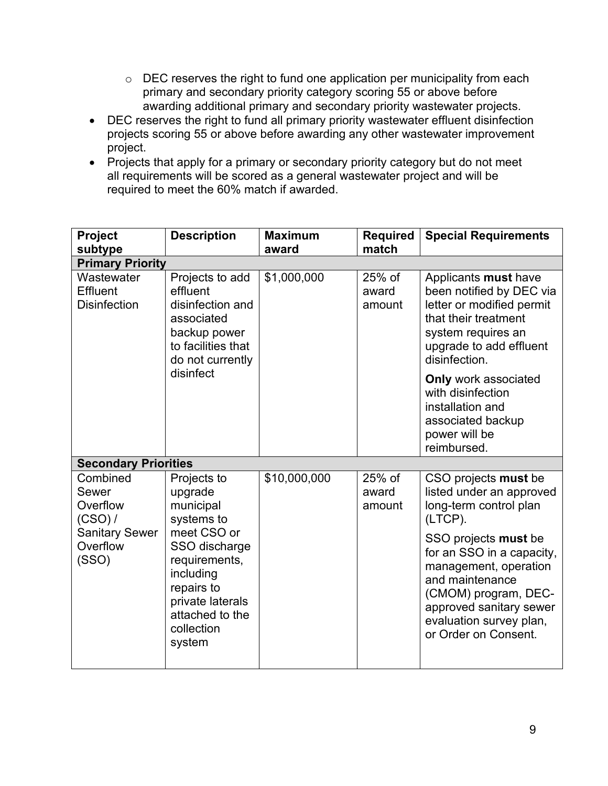- o DEC reserves the right to fund one application per municipality from each primary and secondary priority category scoring 55 or above before awarding additional primary and secondary priority wastewater projects.
- DEC reserves the right to fund all primary priority wastewater effluent disinfection projects scoring 55 or above before awarding any other wastewater improvement project.
- Projects that apply for a primary or secondary priority category but do not meet all requirements will be scored as a general wastewater project and will be required to meet the 60% match if awarded.

| Project<br>subtype                                                                     | <b>Description</b>                                                                                                                                                                           | <b>Maximum</b><br>award | <b>Required</b><br>match  | <b>Special Requirements</b>                                                                                                                                                                                                                                                                  |
|----------------------------------------------------------------------------------------|----------------------------------------------------------------------------------------------------------------------------------------------------------------------------------------------|-------------------------|---------------------------|----------------------------------------------------------------------------------------------------------------------------------------------------------------------------------------------------------------------------------------------------------------------------------------------|
| <b>Primary Priority</b>                                                                |                                                                                                                                                                                              |                         |                           |                                                                                                                                                                                                                                                                                              |
| Wastewater<br><b>Effluent</b><br><b>Disinfection</b>                                   | Projects to add<br>effluent<br>disinfection and<br>associated<br>backup power<br>to facilities that<br>do not currently                                                                      | \$1,000,000             | 25% of<br>award<br>amount | Applicants must have<br>been notified by DEC via<br>letter or modified permit<br>that their treatment<br>system requires an<br>upgrade to add effluent<br>disinfection.                                                                                                                      |
|                                                                                        | disinfect                                                                                                                                                                                    |                         |                           | <b>Only work associated</b><br>with disinfection<br>installation and<br>associated backup<br>power will be<br>reimbursed.                                                                                                                                                                    |
| <b>Secondary Priorities</b>                                                            |                                                                                                                                                                                              |                         |                           |                                                                                                                                                                                                                                                                                              |
| Combined<br>Sewer<br>Overflow<br>(CSO) /<br><b>Sanitary Sewer</b><br>Overflow<br>(SSO) | Projects to<br>upgrade<br>municipal<br>systems to<br>meet CSO or<br>SSO discharge<br>requirements,<br>including<br>repairs to<br>private laterals<br>attached to the<br>collection<br>system | \$10,000,000            | 25% of<br>award<br>amount | CSO projects must be<br>listed under an approved<br>long-term control plan<br>(LTCP).<br>SSO projects must be<br>for an SSO in a capacity,<br>management, operation<br>and maintenance<br>(CMOM) program, DEC-<br>approved sanitary sewer<br>evaluation survey plan,<br>or Order on Consent. |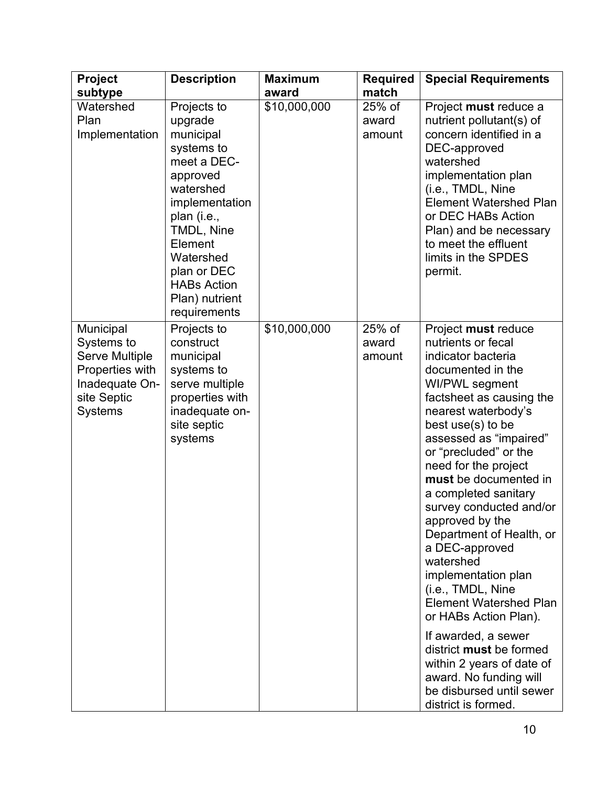| Project                                                                                                                | <b>Description</b>                                                                                                                                                                                                                      | <b>Maximum</b> | <b>Required</b>           | <b>Special Requirements</b>                                                                                                                                                                                                                                                                                                                                                                                                                                                                                                                                                                                                                                                           |
|------------------------------------------------------------------------------------------------------------------------|-----------------------------------------------------------------------------------------------------------------------------------------------------------------------------------------------------------------------------------------|----------------|---------------------------|---------------------------------------------------------------------------------------------------------------------------------------------------------------------------------------------------------------------------------------------------------------------------------------------------------------------------------------------------------------------------------------------------------------------------------------------------------------------------------------------------------------------------------------------------------------------------------------------------------------------------------------------------------------------------------------|
| subtype                                                                                                                |                                                                                                                                                                                                                                         | award          | match                     |                                                                                                                                                                                                                                                                                                                                                                                                                                                                                                                                                                                                                                                                                       |
| Watershed<br>Plan<br>Implementation                                                                                    | Projects to<br>upgrade<br>municipal<br>systems to<br>meet a DEC-<br>approved<br>watershed<br>implementation<br>plan (i.e.,<br>TMDL, Nine<br>Element<br>Watershed<br>plan or DEC<br><b>HABs Action</b><br>Plan) nutrient<br>requirements | \$10,000,000   | 25% of<br>award<br>amount | Project must reduce a<br>nutrient pollutant(s) of<br>concern identified in a<br>DEC-approved<br>watershed<br>implementation plan<br>(i.e., TMDL, Nine<br><b>Element Watershed Plan</b><br>or DEC HABs Action<br>Plan) and be necessary<br>to meet the effluent<br>limits in the SPDES<br>permit.                                                                                                                                                                                                                                                                                                                                                                                      |
| Municipal<br>Systems to<br><b>Serve Multiple</b><br>Properties with<br>Inadequate On-<br>site Septic<br><b>Systems</b> | Projects to<br>construct<br>municipal<br>systems to<br>serve multiple<br>properties with<br>inadequate on-<br>site septic<br>systems                                                                                                    | \$10,000,000   | 25% of<br>award<br>amount | Project must reduce<br>nutrients or fecal<br>indicator bacteria<br>documented in the<br>WI/PWL segment<br>factsheet as causing the<br>nearest waterbody's<br>best use(s) to be<br>assessed as "impaired"<br>or "precluded" or the<br>need for the project<br>must be documented in<br>a completed sanitary<br>survey conducted and/or<br>approved by the<br>Department of Health, or<br>a DEC-approved<br>watershed<br>implementation plan<br>(i.e., TMDL, Nine<br><b>Element Watershed Plan</b><br>or HABs Action Plan).<br>If awarded, a sewer<br>district must be formed<br>within 2 years of date of<br>award. No funding will<br>be disbursed until sewer<br>district is formed. |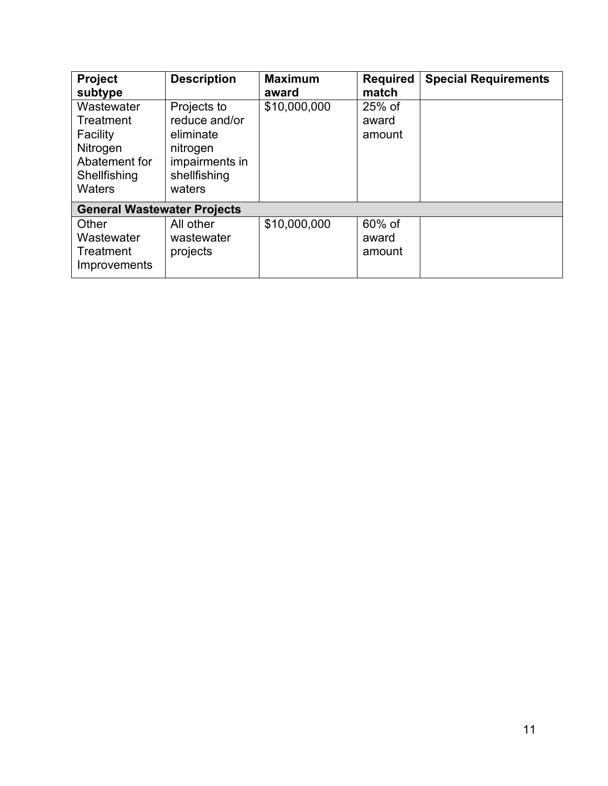| Project<br>subtype                                                                                | <b>Description</b>                                                                                | <b>Maximum</b><br>award | <b>Required</b><br>match  | <b>Special Requirements</b> |  |  |  |
|---------------------------------------------------------------------------------------------------|---------------------------------------------------------------------------------------------------|-------------------------|---------------------------|-----------------------------|--|--|--|
| Wastewater<br>Treatment<br>Facility<br>Nitrogen<br>Abatement for<br>Shellfishing<br><b>Waters</b> | Projects to<br>reduce and/or<br>eliminate<br>nitrogen<br>impairments in<br>shellfishing<br>waters | \$10,000,000            | 25% of<br>award<br>amount |                             |  |  |  |
| <b>General Wastewater Projects</b>                                                                |                                                                                                   |                         |                           |                             |  |  |  |
| Other<br>Wastewater<br>Treatment<br>Improvements                                                  | All other<br>wastewater<br>projects                                                               | \$10,000,000            | 60% of<br>award<br>amount |                             |  |  |  |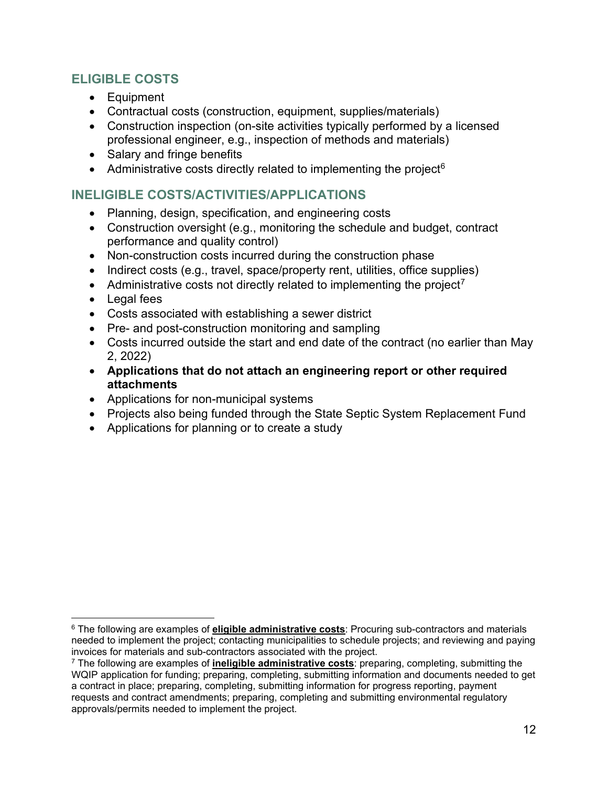#### **ELIGIBLE COSTS**

- Equipment
- Contractual costs (construction, equipment, supplies/materials)
- Construction inspection (on-site activities typically performed by a licensed professional engineer, e.g., inspection of methods and materials)
- Salary and fringe benefits
- Administrative costs directly related to implementing the project<sup>[6](#page-11-0)</sup>

#### **INELIGIBLE COSTS/ACTIVITIES/APPLICATIONS**

- Planning, design, specification, and engineering costs
- Construction oversight (e.g., monitoring the schedule and budget, contract performance and quality control)
- Non-construction costs incurred during the construction phase
- Indirect costs (e.g., travel, space/property rent, utilities, office supplies)
- Administrative costs not directly related to implementing the project<sup>[7](#page-11-1)</sup>
- Legal fees
- Costs associated with establishing a sewer district
- Pre- and post-construction monitoring and sampling
- Costs incurred outside the start and end date of the contract (no earlier than May 2, 2022)
- **Applications that do not attach an engineering report or other required attachments**
- Applications for non-municipal systems
- Projects also being funded through the State Septic System Replacement Fund
- Applications for planning or to create a study

<span id="page-11-0"></span><sup>6</sup> The following are examples of **eligible administrative costs**: Procuring sub-contractors and materials needed to implement the project; contacting municipalities to schedule projects; and reviewing and paying invoices for materials and sub-contractors associated with the project.

<span id="page-11-1"></span><sup>7</sup> The following are examples of **ineligible administrative costs**: preparing, completing, submitting the WQIP application for funding; preparing, completing, submitting information and documents needed to get a contract in place; preparing, completing, submitting information for progress reporting, payment requests and contract amendments; preparing, completing and submitting environmental regulatory approvals/permits needed to implement the project.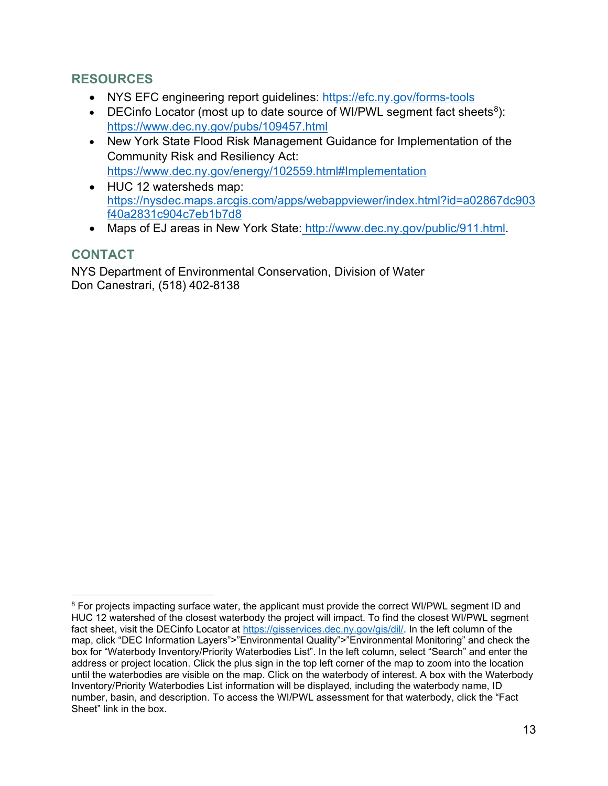#### **RESOURCES**

- NYS EFC engineering report guidelines: https://efc.ny.gov/forms-tools
- DECinfo Locator (most up to date source of WI/PWL segment fact sheets<sup>8</sup>): <https://www.dec.ny.gov/pubs/109457.html>
- New York State Flood Risk Management Guidance for Implementation of the Community Risk and Resiliency Act: <https://www.dec.ny.gov/energy/102559.html#Implementation>
- HUC 12 watersheds map: [https://nysdec.maps.arcgis.com/apps/webappviewer/index.html?id=a02867dc903](https://nysdec.maps.arcgis.com/apps/webappviewer/index.html?id=a02867dc903f40a2831c904c7eb1b7d8) [f40a2831c904c7eb1b7d8](https://nysdec.maps.arcgis.com/apps/webappviewer/index.html?id=a02867dc903f40a2831c904c7eb1b7d8)
- Maps of EJ areas in New York State: [http://www.dec.ny.gov/public/911.html.](http://www.dec.ny.gov/public/911.html)

#### **CONTACT**

NYS Department of Environmental Conservation, Division of Water Don Canestrari, (518) 402-8138

<span id="page-12-0"></span><sup>&</sup>lt;sup>8</sup> For projects impacting surface water, the applicant must provide the correct WI/PWL segment ID and HUC 12 watershed of the closest waterbody the project will impact. To find the closest WI/PWL segment fact sheet, visit the DECinfo Locator at [https://gisservices.dec.ny.gov/gis/dil/.](https://gisservices.dec.ny.gov/gis/dil/) In the left column of the map, click "DEC Information Layers">"Environmental Quality">"Environmental Monitoring" and check the box for "Waterbody Inventory/Priority Waterbodies List". In the left column, select "Search" and enter the address or project location. Click the plus sign in the top left corner of the map to zoom into the location until the waterbodies are visible on the map. Click on the waterbody of interest. A box with the Waterbody Inventory/Priority Waterbodies List information will be displayed, including the waterbody name, ID number, basin, and description. To access the WI/PWL assessment for that waterbody, click the "Fact Sheet" link in the box.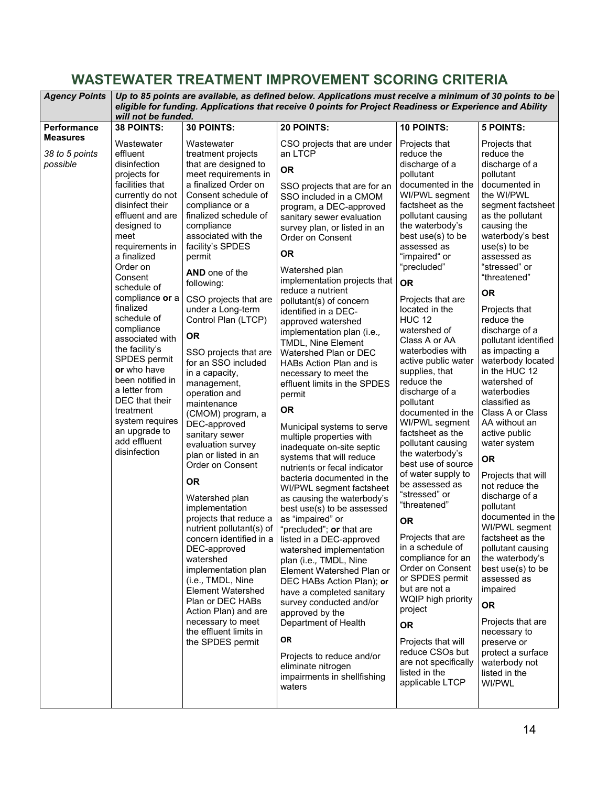## <span id="page-13-0"></span>**WASTEWATER TREATMENT IMPROVEMENT SCORING CRITERIA**

| <b>Agency Points</b>                          | Up to 85 points are available, as defined below. Applications must receive a minimum of 30 points to be<br>eligible for funding. Applications that receive 0 points for Project Readiness or Experience and Ability<br>will not be funded.                                                                                                                                                                                                                                                                   |                                                                                                                                                                                                                                                                                                                                                                                                                                                                                                                                                                                                                                                                                                                                                                                                                                                                                                                                                          |                                                                                                                                                                                                                                                                                                                                                                                                                                                                                                                                                                                                                                                                                                                                                                                                                                                                                                                                                                                                                                                                                                                                                                                                                                                                 |                                                                                                                                                                                                                                                                                                                                                                                                                                                                                                                                                                                                                                                                                                                                                                                                                                                                                                                                           |                                                                                                                                                                                                                                                                                                                                                                                                                                                                                                                                                                                                                                                                                                                                                                                                                                                                                      |  |  |
|-----------------------------------------------|--------------------------------------------------------------------------------------------------------------------------------------------------------------------------------------------------------------------------------------------------------------------------------------------------------------------------------------------------------------------------------------------------------------------------------------------------------------------------------------------------------------|----------------------------------------------------------------------------------------------------------------------------------------------------------------------------------------------------------------------------------------------------------------------------------------------------------------------------------------------------------------------------------------------------------------------------------------------------------------------------------------------------------------------------------------------------------------------------------------------------------------------------------------------------------------------------------------------------------------------------------------------------------------------------------------------------------------------------------------------------------------------------------------------------------------------------------------------------------|-----------------------------------------------------------------------------------------------------------------------------------------------------------------------------------------------------------------------------------------------------------------------------------------------------------------------------------------------------------------------------------------------------------------------------------------------------------------------------------------------------------------------------------------------------------------------------------------------------------------------------------------------------------------------------------------------------------------------------------------------------------------------------------------------------------------------------------------------------------------------------------------------------------------------------------------------------------------------------------------------------------------------------------------------------------------------------------------------------------------------------------------------------------------------------------------------------------------------------------------------------------------|-------------------------------------------------------------------------------------------------------------------------------------------------------------------------------------------------------------------------------------------------------------------------------------------------------------------------------------------------------------------------------------------------------------------------------------------------------------------------------------------------------------------------------------------------------------------------------------------------------------------------------------------------------------------------------------------------------------------------------------------------------------------------------------------------------------------------------------------------------------------------------------------------------------------------------------------|--------------------------------------------------------------------------------------------------------------------------------------------------------------------------------------------------------------------------------------------------------------------------------------------------------------------------------------------------------------------------------------------------------------------------------------------------------------------------------------------------------------------------------------------------------------------------------------------------------------------------------------------------------------------------------------------------------------------------------------------------------------------------------------------------------------------------------------------------------------------------------------|--|--|
| <b>Performance</b>                            | <b>38 POINTS:</b>                                                                                                                                                                                                                                                                                                                                                                                                                                                                                            | 30 POINTS:                                                                                                                                                                                                                                                                                                                                                                                                                                                                                                                                                                                                                                                                                                                                                                                                                                                                                                                                               | 20 POINTS:                                                                                                                                                                                                                                                                                                                                                                                                                                                                                                                                                                                                                                                                                                                                                                                                                                                                                                                                                                                                                                                                                                                                                                                                                                                      | <b>10 POINTS:</b>                                                                                                                                                                                                                                                                                                                                                                                                                                                                                                                                                                                                                                                                                                                                                                                                                                                                                                                         | <b>5 POINTS:</b>                                                                                                                                                                                                                                                                                                                                                                                                                                                                                                                                                                                                                                                                                                                                                                                                                                                                     |  |  |
| <b>Measures</b><br>38 to 5 points<br>possible | Wastewater<br>effluent<br>disinfection<br>projects for<br>facilities that<br>currently do not<br>disinfect their<br>effluent and are<br>designed to<br>meet<br>requirements in<br>a finalized<br>Order on<br>Consent<br>schedule of<br>compliance or a<br>finalized<br>schedule of<br>compliance<br>associated with<br>the facility's<br>SPDES permit<br>or who have<br>been notified in<br>a letter from<br>DEC that their<br>treatment<br>system requires<br>an upgrade to<br>add effluent<br>disinfection | Wastewater<br>treatment projects<br>that are designed to<br>meet requirements in<br>a finalized Order on<br>Consent schedule of<br>compliance or a<br>finalized schedule of<br>compliance<br>associated with the<br>facility's SPDES<br>permit<br>AND one of the<br>following:<br>CSO projects that are<br>under a Long-term<br>Control Plan (LTCP)<br><b>OR</b><br>SSO projects that are<br>for an SSO included<br>in a capacity,<br>management,<br>operation and<br>maintenance<br>(CMOM) program, a<br>DEC-approved<br>sanitary sewer<br>evaluation survey<br>plan or listed in an<br>Order on Consent<br>0R<br>Watershed plan<br>implementation<br>projects that reduce a<br>nutrient pollutant(s) of<br>concern identified in a<br>DEC-approved<br>watershed<br>implementation plan<br>(i.e., TMDL, Nine<br><b>Element Watershed</b><br>Plan or DEC HABs<br>Action Plan) and are<br>necessary to meet<br>the effluent limits in<br>the SPDES permit | CSO projects that are under<br>an LTCP<br><b>OR</b><br>SSO projects that are for an<br>SSO included in a CMOM<br>program, a DEC-approved<br>sanitary sewer evaluation<br>survey plan, or listed in an<br>Order on Consent<br><b>OR</b><br>Watershed plan<br>implementation projects that<br>reduce a nutrient<br>pollutant(s) of concern<br>identified in a DEC-<br>approved watershed<br>implementation plan (i.e.,<br>TMDL, Nine Element<br>Watershed Plan or DEC<br><b>HABs Action Plan and is</b><br>necessary to meet the<br>effluent limits in the SPDES<br>permit<br><b>OR</b><br>Municipal systems to serve<br>multiple properties with<br>inadequate on-site septic<br>systems that will reduce<br>nutrients or fecal indicator<br>bacteria documented in the<br>WI/PWL segment factsheet<br>as causing the waterbody's<br>best use(s) to be assessed<br>as "impaired" or<br>"precluded"; or that are<br>listed in a DEC-approved<br>watershed implementation<br>plan (i.e., TMDL, Nine<br>Element Watershed Plan or<br>DEC HABs Action Plan); or<br>have a completed sanitary<br>survey conducted and/or<br>approved by the<br>Department of Health<br>ΟR<br>Projects to reduce and/or<br>eliminate nitrogen<br>impairments in shellfishing<br>waters | Projects that<br>reduce the<br>discharge of a<br>pollutant<br>documented in the<br>WI/PWL segment<br>factsheet as the<br>pollutant causing<br>the waterbody's<br>best use(s) to be<br>assessed as<br>"impaired" or<br>"precluded"<br><b>OR</b><br>Projects that are<br>located in the<br><b>HUC 12</b><br>watershed of<br>Class A or AA<br>waterbodies with<br>active public water<br>supplies, that<br>reduce the<br>discharge of a<br>pollutant<br>documented in the<br>WI/PWL segment<br>factsheet as the<br>pollutant causing<br>the waterbody's<br>best use of source<br>of water supply to<br>be assessed as<br>"stressed" or<br>"threatened"<br><b>OR</b><br>Projects that are<br>in a schedule of<br>compliance for an<br>Order on Consent<br>or SPDES permit<br>but are not a<br>WQIP high priority<br>project<br><b>OR</b><br>Projects that will<br>reduce CSOs but<br>are not specifically<br>listed in the<br>applicable LTCP | Projects that<br>reduce the<br>discharge of a<br>pollutant<br>documented in<br>the WI/PWL<br>segment factsheet<br>as the pollutant<br>causing the<br>waterbody's best<br>$use(s)$ to be<br>assessed as<br>"stressed" or<br>"threatened"<br><b>OR</b><br>Projects that<br>reduce the<br>discharge of a<br>pollutant identified<br>as impacting a<br>waterbody located<br>in the HUC 12<br>watershed of<br>waterbodies<br>classified as<br>Class A or Class<br>AA without an<br>active public<br>water system<br><b>OR</b><br>Projects that will<br>not reduce the<br>discharge of a<br>pollutant<br>documented in the<br>WI/PWL segment<br>factsheet as the<br>pollutant causing<br>the waterbody's<br>best use(s) to be<br>assessed as<br>impaired<br><b>OR</b><br>Projects that are<br>necessary to<br>preserve or<br>protect a surface<br>waterbody not<br>listed in the<br>WI/PWL |  |  |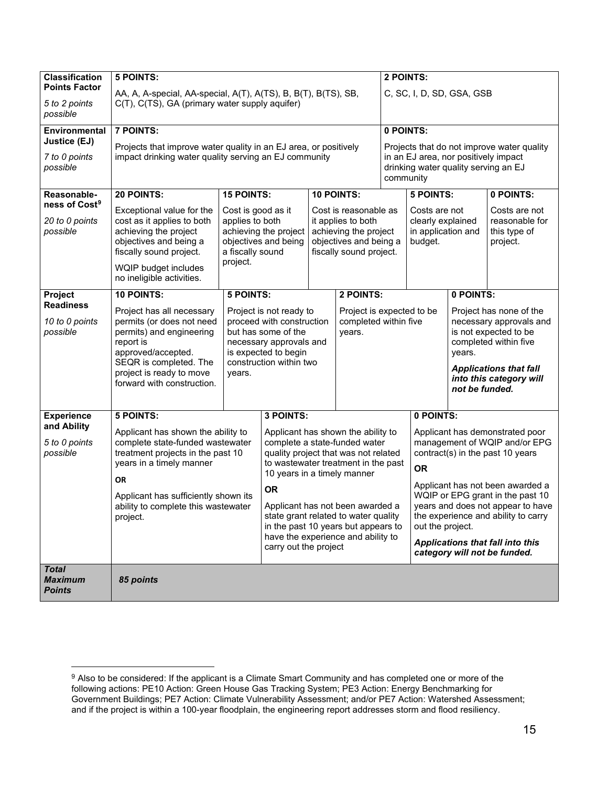| <b>Classification</b>                           | 5 POINTS:                                                                  |                                                |                                                  |  |                                                                            | 2 POINTS:                                                                                          |                                                                              |                |                                                                   |
|-------------------------------------------------|----------------------------------------------------------------------------|------------------------------------------------|--------------------------------------------------|--|----------------------------------------------------------------------------|----------------------------------------------------------------------------------------------------|------------------------------------------------------------------------------|----------------|-------------------------------------------------------------------|
| <b>Points Factor</b>                            | AA, A, A-special, AA-special, A(T), A(TS), B, B(T), B(TS), SB,             |                                                |                                                  |  |                                                                            | C, SC, I, D, SD, GSA, GSB                                                                          |                                                                              |                |                                                                   |
| 5 to 2 points<br>possible                       |                                                                            | C(T), C(TS), GA (primary water supply aquifer) |                                                  |  |                                                                            |                                                                                                    |                                                                              |                |                                                                   |
| Environmental                                   | <b>7 POINTS:</b>                                                           |                                                |                                                  |  |                                                                            | 0 POINTS:                                                                                          |                                                                              |                |                                                                   |
| Justice (EJ)                                    | Projects that improve water quality in an EJ area, or positively           |                                                |                                                  |  |                                                                            |                                                                                                    |                                                                              |                | Projects that do not improve water quality                        |
| 7 to 0 points<br>possible                       | impact drinking water quality serving an EJ community                      |                                                |                                                  |  |                                                                            | community                                                                                          | in an EJ area, nor positively impact<br>drinking water quality serving an EJ |                |                                                                   |
| Reasonable-                                     | 20 POINTS:                                                                 | <b>15 POINTS:</b>                              |                                                  |  | 10 POINTS:                                                                 |                                                                                                    | <b>5 POINTS:</b>                                                             |                | 0 POINTS:                                                         |
| ness of Cost <sup>9</sup>                       | Exceptional value for the                                                  | Cost is good as it                             |                                                  |  | Cost is reasonable as                                                      |                                                                                                    | Costs are not                                                                |                | Costs are not                                                     |
| 20 to 0 points                                  | cost as it applies to both                                                 | applies to both                                |                                                  |  | it applies to both                                                         |                                                                                                    | clearly explained                                                            |                | reasonable for                                                    |
| possible                                        | achieving the project<br>objectives and being a<br>fiscally sound project. | a fiscally sound                               | achieving the project<br>objectives and being    |  | achieving the project<br>objectives and being a<br>fiscally sound project. |                                                                                                    | in application and<br>budget.                                                |                | this type of<br>project.                                          |
|                                                 | WQIP budget includes<br>no ineligible activities.                          | project.                                       |                                                  |  |                                                                            |                                                                                                    |                                                                              |                |                                                                   |
| Project                                         | <b>10 POINTS:</b>                                                          | <b>5 POINTS:</b>                               |                                                  |  | 2 POINTS:                                                                  |                                                                                                    |                                                                              | 0 POINTS:      |                                                                   |
| <b>Readiness</b>                                | Project has all necessary                                                  |                                                | Project is not ready to                          |  |                                                                            | Project is expected to be<br>Project has none of the                                               |                                                                              |                |                                                                   |
| 10 to 0 points<br>possible                      | permits (or does not need<br>permits) and engineering                      |                                                | proceed with construction<br>but has some of the |  | years.                                                                     | completed within five<br>necessary approvals and<br>is not expected to be<br>completed within five |                                                                              |                |                                                                   |
|                                                 | report is                                                                  |                                                | necessary approvals and                          |  |                                                                            |                                                                                                    |                                                                              |                |                                                                   |
|                                                 | approved/accepted.<br>SEQR is completed. The                               |                                                | is expected to begin<br>construction within two  |  |                                                                            | years.<br><b>Applications that fall</b><br>into this category will                                 |                                                                              |                |                                                                   |
|                                                 | project is ready to move                                                   | years.                                         |                                                  |  |                                                                            |                                                                                                    |                                                                              |                |                                                                   |
|                                                 | forward with construction.                                                 |                                                |                                                  |  |                                                                            |                                                                                                    |                                                                              | not be funded. |                                                                   |
|                                                 |                                                                            |                                                |                                                  |  |                                                                            |                                                                                                    |                                                                              |                |                                                                   |
| <b>Experience</b>                               | <b>5 POINTS:</b>                                                           |                                                | 3 POINTS:                                        |  |                                                                            |                                                                                                    | 0 POINTS:                                                                    |                |                                                                   |
| and Ability                                     | Applicant has shown the ability to                                         |                                                |                                                  |  | Applicant has shown the ability to                                         |                                                                                                    |                                                                              |                | Applicant has demonstrated poor                                   |
| 5 to 0 points<br>possible                       | complete state-funded wastewater<br>treatment projects in the past 10      |                                                |                                                  |  | complete a state-funded water<br>quality project that was not related      |                                                                                                    |                                                                              |                | management of WQIP and/or EPG<br>contract(s) in the past 10 years |
|                                                 | years in a timely manner                                                   |                                                |                                                  |  | to wastewater treatment in the past                                        |                                                                                                    | <b>OR</b>                                                                    |                |                                                                   |
|                                                 | <b>OR</b>                                                                  |                                                | 10 years in a timely manner                      |  |                                                                            |                                                                                                    |                                                                              |                | Applicant has not been awarded a                                  |
|                                                 | Applicant has sufficiently shown its                                       |                                                | <b>OR</b>                                        |  |                                                                            |                                                                                                    |                                                                              |                | WQIP or EPG grant in the past 10                                  |
|                                                 | ability to complete this wastewater                                        |                                                |                                                  |  | Applicant has not been awarded a<br>state grant related to water quality   |                                                                                                    |                                                                              |                | years and does not appear to have                                 |
|                                                 | project.                                                                   |                                                | in the past 10 years but appears to              |  |                                                                            |                                                                                                    | out the project.                                                             |                | the experience and ability to carry                               |
|                                                 |                                                                            |                                                | carry out the project                            |  | have the experience and ability to                                         |                                                                                                    |                                                                              |                | <b>Applications that fall into this</b>                           |
|                                                 |                                                                            |                                                |                                                  |  |                                                                            |                                                                                                    |                                                                              |                | category will not be funded.                                      |
| <b>Total</b><br><b>Maximum</b><br><b>Points</b> | 85 points                                                                  |                                                |                                                  |  |                                                                            |                                                                                                    |                                                                              |                |                                                                   |

<span id="page-14-0"></span> $^9$  Also to be considered: If the applicant is a Climate Smart Community and has completed one or more of the following actions: PE10 Action: Green House Gas Tracking System; PE3 Action: Energy Benchmarking for Government Buildings; PE7 Action: Climate Vulnerability Assessment; and/or PE7 Action: Watershed Assessment; and if the project is within a 100-year floodplain, the engineering report addresses storm and flood resiliency.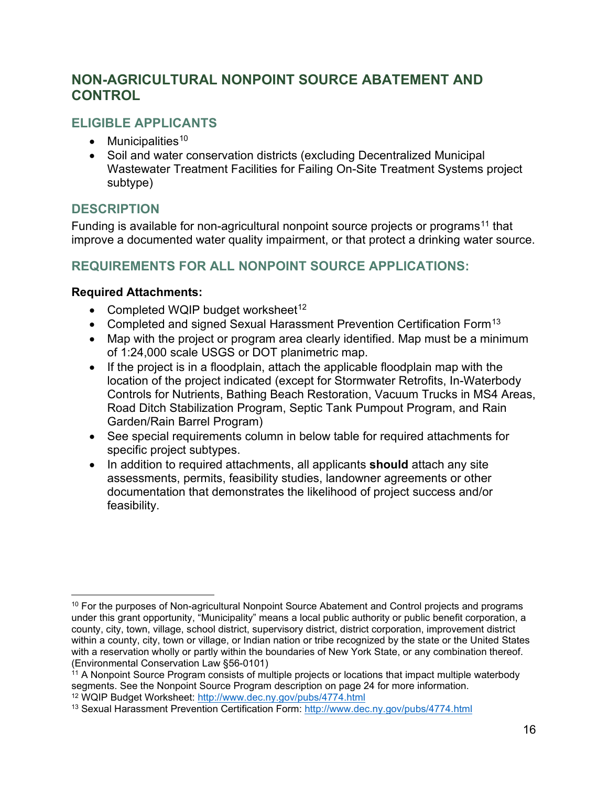## <span id="page-15-0"></span>**NON-AGRICULTURAL NONPOINT SOURCE ABATEMENT AND CONTROL**

#### **ELIGIBLE APPLICANTS**

- Municipalities<sup>[10](#page-15-1)</sup>
- Soil and water conservation districts (excluding Decentralized Municipal Wastewater Treatment Facilities for Failing On-Site Treatment Systems project subtype)

#### **DESCRIPTION**

Funding is available for non-agricultural nonpoint source projects or programs<sup>[11](#page-15-2)</sup> that improve a documented water quality impairment, or that protect a drinking water source.

## **REQUIREMENTS FOR ALL NONPOINT SOURCE APPLICATIONS:**

#### **Required Attachments:**

- Completed WQIP budget worksheet<sup>[12](#page-15-3)</sup>
- Completed and signed Sexual Harassment Prevention Certification Form<sup>[13](#page-15-4)</sup>
- Map with the project or program area clearly identified. Map must be a minimum of 1:24,000 scale USGS or DOT planimetric map.
- If the project is in a floodplain, attach the applicable floodplain map with the location of the project indicated (except for Stormwater Retrofits, In-Waterbody Controls for Nutrients, Bathing Beach Restoration, Vacuum Trucks in MS4 Areas, Road Ditch Stabilization Program, Septic Tank Pumpout Program, and Rain Garden/Rain Barrel Program)
- See special requirements column in below table for required attachments for specific project subtypes.
- In addition to required attachments, all applicants **should** attach any site assessments, permits, feasibility studies, landowner agreements or other documentation that demonstrates the likelihood of project success and/or feasibility.

<span id="page-15-1"></span><sup>&</sup>lt;sup>10</sup> For the purposes of Non-agricultural Nonpoint Source Abatement and Control projects and programs under this grant opportunity, "Municipality" means a local public authority or public benefit corporation, a county, city, town, village, school district, supervisory district, district corporation, improvement district within a county, city, town or village, or Indian nation or tribe recognized by the state or the United States with a reservation wholly or partly within the boundaries of New York State, or any combination thereof. (Environmental Conservation Law §56-0101)

<span id="page-15-2"></span> $\frac{1}{11}$  A Nonpoint Source Program consists of multiple projects or locations that impact multiple waterbody segments. See the Nonpoint Source Program description on page 24 for more information.

<span id="page-15-4"></span><span id="page-15-3"></span><sup>&</sup>lt;sup>12</sup> WQIP Budget Worksheet: <u>http://www.dec.ny.gov/pubs/4774.html</u><br><sup>13</sup> Sexual Harassment Prevention Certification Form: http://www.dec.ny.gov/pubs/4774.html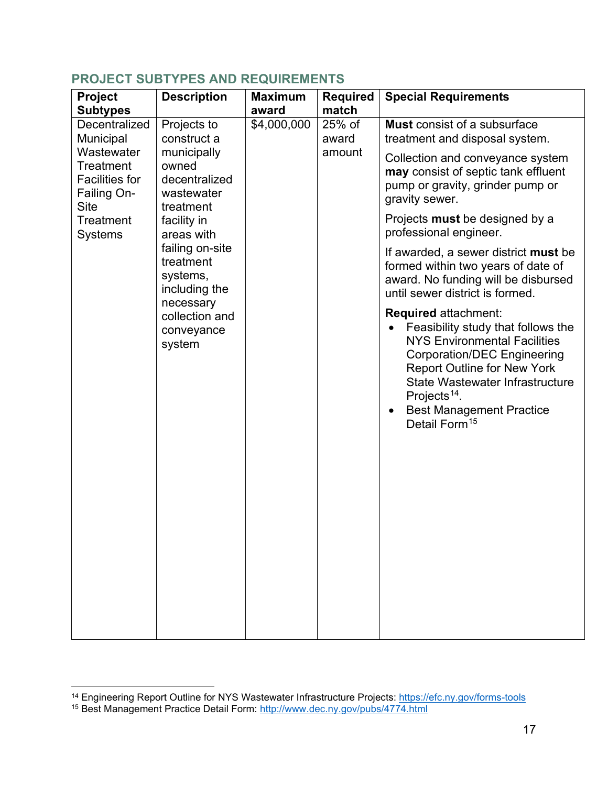| Project                                                                               | <b>Description</b>                                               | <b>Maximum</b> | <b>Required</b> | <b>Special Requirements</b>                                                                                                                                                                                                                                                                                                |
|---------------------------------------------------------------------------------------|------------------------------------------------------------------|----------------|-----------------|----------------------------------------------------------------------------------------------------------------------------------------------------------------------------------------------------------------------------------------------------------------------------------------------------------------------------|
| <b>Subtypes</b>                                                                       |                                                                  | award          | match           |                                                                                                                                                                                                                                                                                                                            |
| Decentralized<br>Municipal                                                            | Projects to<br>construct a                                       | \$4,000,000    | 25% of<br>award | <b>Must</b> consist of a subsurface<br>treatment and disposal system.                                                                                                                                                                                                                                                      |
| Wastewater<br><b>Treatment</b><br><b>Facilities for</b><br>Failing On-<br><b>Site</b> | municipally<br>owned<br>decentralized<br>wastewater<br>treatment |                | amount          | Collection and conveyance system<br>may consist of septic tank effluent<br>pump or gravity, grinder pump or<br>gravity sewer.                                                                                                                                                                                              |
| <b>Treatment</b><br><b>Systems</b>                                                    | facility in<br>areas with                                        |                |                 | Projects must be designed by a<br>professional engineer.                                                                                                                                                                                                                                                                   |
|                                                                                       | failing on-site<br>treatment<br>systems,<br>including the        |                |                 | If awarded, a sewer district must be<br>formed within two years of date of<br>award. No funding will be disbursed<br>until sewer district is formed.                                                                                                                                                                       |
|                                                                                       | necessary<br>collection and<br>conveyance<br>system              |                |                 | <b>Required attachment:</b><br>Feasibility study that follows the<br><b>NYS Environmental Facilities</b><br><b>Corporation/DEC Engineering</b><br><b>Report Outline for New York</b><br><b>State Wastewater Infrastructure</b><br>Projects <sup>14</sup> .<br><b>Best Management Practice</b><br>Detail Form <sup>15</sup> |

#### **PROJECT SUBTYPES AND REQUIREMENTS**

<span id="page-16-2"></span><span id="page-16-1"></span><span id="page-16-0"></span><sup>&</sup>lt;sup>14</sup> Engineering Report Outline for NYS Wastewater Infrastructure Projects:<https://efc.ny.gov/forms-tools><sup>15</sup> Best Management Practice Detail Form: <u>http://www.dec.ny.gov/pubs/4774.html</u>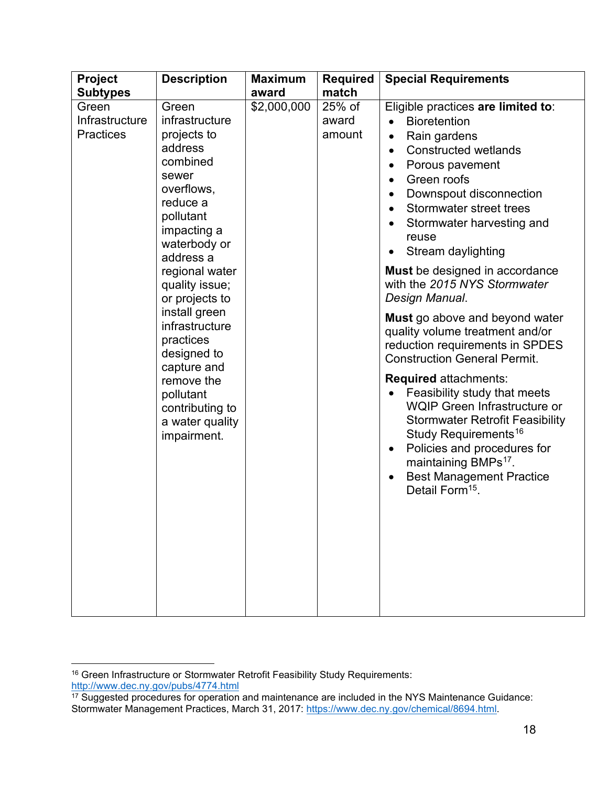| Project                                     | <b>Description</b>                                                                                                                                                                                                                                                                                                                                                            | <b>Maximum</b> | <b>Required</b>           | <b>Special Requirements</b>                                                                                                                                                                                                                                                                                                                                                                                                                                                                                                                                                                                                                                                                                                                                                                                                                                                                                                                                       |
|---------------------------------------------|-------------------------------------------------------------------------------------------------------------------------------------------------------------------------------------------------------------------------------------------------------------------------------------------------------------------------------------------------------------------------------|----------------|---------------------------|-------------------------------------------------------------------------------------------------------------------------------------------------------------------------------------------------------------------------------------------------------------------------------------------------------------------------------------------------------------------------------------------------------------------------------------------------------------------------------------------------------------------------------------------------------------------------------------------------------------------------------------------------------------------------------------------------------------------------------------------------------------------------------------------------------------------------------------------------------------------------------------------------------------------------------------------------------------------|
| <b>Subtypes</b>                             |                                                                                                                                                                                                                                                                                                                                                                               | award          | match                     |                                                                                                                                                                                                                                                                                                                                                                                                                                                                                                                                                                                                                                                                                                                                                                                                                                                                                                                                                                   |
| Green<br>Infrastructure<br><b>Practices</b> | Green<br>infrastructure<br>projects to<br>address<br>combined<br>sewer<br>overflows,<br>reduce a<br>pollutant<br>impacting a<br>waterbody or<br>address a<br>regional water<br>quality issue;<br>or projects to<br>install green<br>infrastructure<br>practices<br>designed to<br>capture and<br>remove the<br>pollutant<br>contributing to<br>a water quality<br>impairment. | \$2,000,000    | 25% of<br>award<br>amount | Eligible practices are limited to:<br><b>Bioretention</b><br>Rain gardens<br>$\bullet$<br><b>Constructed wetlands</b><br>$\bullet$<br>Porous pavement<br>$\bullet$<br>Green roofs<br>$\bullet$<br>Downspout disconnection<br>$\bullet$<br>Stormwater street trees<br>$\bullet$<br>Stormwater harvesting and<br>$\bullet$<br>reuse<br>Stream daylighting<br>$\bullet$<br>Must be designed in accordance<br>with the 2015 NYS Stormwater<br>Design Manual.<br>Must go above and beyond water<br>quality volume treatment and/or<br>reduction requirements in SPDES<br><b>Construction General Permit.</b><br><b>Required attachments:</b><br>Feasibility study that meets<br>$\bullet$<br>WQIP Green Infrastructure or<br><b>Stormwater Retrofit Feasibility</b><br>Study Requirements <sup>16</sup><br>Policies and procedures for<br>$\bullet$<br>maintaining BMPs <sup>17</sup> .<br><b>Best Management Practice</b><br>$\bullet$<br>Detail Form <sup>15</sup> . |
|                                             |                                                                                                                                                                                                                                                                                                                                                                               |                |                           |                                                                                                                                                                                                                                                                                                                                                                                                                                                                                                                                                                                                                                                                                                                                                                                                                                                                                                                                                                   |

<span id="page-17-3"></span><span id="page-17-2"></span><span id="page-17-0"></span><sup>&</sup>lt;sup>16</sup> Green Infrastructure or Stormwater Retrofit Feasibility Study Requirements:

<span id="page-17-1"></span><sup>&</sup>lt;u>http://www.dec.ny.gov/pubs/4774.html</u><br><sup>17</sup> Suggested procedures for operation and maintenance are included in the NYS Maintenance Guidance: Stormwater Management Practices, March 31, 2017: [https://www.dec.ny.gov/chemical/8694.html.](https://www.dec.ny.gov/chemical/8694.html)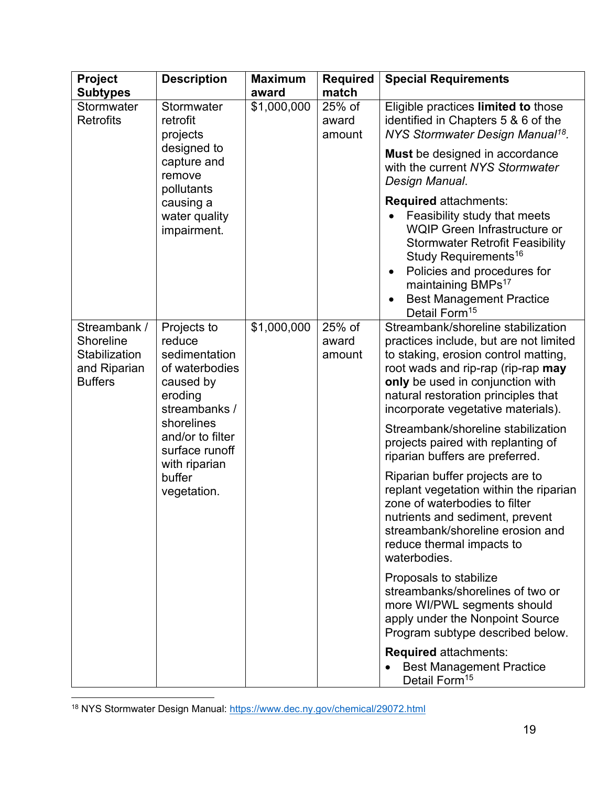| Project<br><b>Subtypes</b>                                                                 | <b>Description</b>                                                                                | <b>Maximum</b><br>award | <b>Required</b><br>match  | <b>Special Requirements</b>                                                                                                                                                                                                                                                                                                     |
|--------------------------------------------------------------------------------------------|---------------------------------------------------------------------------------------------------|-------------------------|---------------------------|---------------------------------------------------------------------------------------------------------------------------------------------------------------------------------------------------------------------------------------------------------------------------------------------------------------------------------|
| Stormwater<br><b>Retrofits</b>                                                             | Stormwater<br>retrofit<br>projects                                                                | \$1,000,000             | 25% of<br>award<br>amount | Eligible practices limited to those<br>identified in Chapters 5 & 6 of the<br>NYS Stormwater Design Manual <sup>18</sup> .                                                                                                                                                                                                      |
|                                                                                            | designed to<br>capture and<br>remove<br>pollutants                                                |                         |                           | Must be designed in accordance<br>with the current NYS Stormwater<br>Design Manual.                                                                                                                                                                                                                                             |
|                                                                                            | causing a<br>water quality<br>impairment.                                                         |                         |                           | <b>Required attachments:</b><br>Feasibility study that meets<br><b>WQIP Green Infrastructure or</b><br><b>Stormwater Retrofit Feasibility</b><br>Study Requirements <sup>16</sup><br>Policies and procedures for<br>$\bullet$<br>maintaining BMPs <sup>17</sup><br><b>Best Management Practice</b><br>Detail Form <sup>15</sup> |
| Streambank /<br><b>Shoreline</b><br><b>Stabilization</b><br>and Riparian<br><b>Buffers</b> | Projects to<br>reduce<br>sedimentation<br>of waterbodies<br>caused by<br>eroding<br>streambanks / | \$1,000,000             | 25% of<br>award<br>amount | Streambank/shoreline stabilization<br>practices include, but are not limited<br>to staking, erosion control matting,<br>root wads and rip-rap (rip-rap may<br>only be used in conjunction with<br>natural restoration principles that<br>incorporate vegetative materials).                                                     |
|                                                                                            | shorelines<br>and/or to filter<br>surface runoff<br>with riparian                                 |                         |                           | Streambank/shoreline stabilization<br>projects paired with replanting of<br>riparian buffers are preferred.                                                                                                                                                                                                                     |
|                                                                                            | buffer<br>vegetation.                                                                             |                         |                           | Riparian buffer projects are to<br>replant vegetation within the riparian<br>zone of waterbodies to filter<br>nutrients and sediment, prevent<br>streambank/shoreline erosion and<br>reduce thermal impacts to<br>waterbodies.                                                                                                  |
|                                                                                            |                                                                                                   |                         |                           | Proposals to stabilize<br>streambanks/shorelines of two or<br>more WI/PWL segments should<br>apply under the Nonpoint Source<br>Program subtype described below.                                                                                                                                                                |
|                                                                                            |                                                                                                   |                         |                           | <b>Required attachments:</b><br><b>Best Management Practice</b><br>Detail Form <sup>15</sup>                                                                                                                                                                                                                                    |

<span id="page-18-0"></span><sup>18</sup> NYS Stormwater Design Manual:<https://www.dec.ny.gov/chemical/29072.html>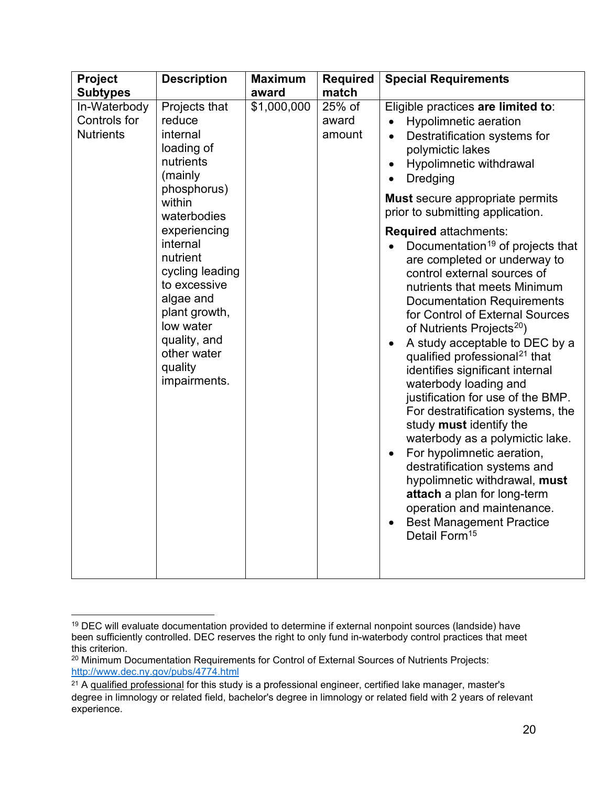| Project                                                             | <b>Description</b>                                                                                                                                                                                                                                                                                | <b>Maximum</b>       | <b>Required</b>                    | <b>Special Requirements</b>                                                                                                                                                                                                                                                                                                                                                                                                                                                                                                                                                                                                                                                                                                                                                                                                                                                                                                                                                                                                                                                                 |
|---------------------------------------------------------------------|---------------------------------------------------------------------------------------------------------------------------------------------------------------------------------------------------------------------------------------------------------------------------------------------------|----------------------|------------------------------------|---------------------------------------------------------------------------------------------------------------------------------------------------------------------------------------------------------------------------------------------------------------------------------------------------------------------------------------------------------------------------------------------------------------------------------------------------------------------------------------------------------------------------------------------------------------------------------------------------------------------------------------------------------------------------------------------------------------------------------------------------------------------------------------------------------------------------------------------------------------------------------------------------------------------------------------------------------------------------------------------------------------------------------------------------------------------------------------------|
| <b>Subtypes</b><br>In-Waterbody<br>Controls for<br><b>Nutrients</b> | Projects that<br>reduce<br>internal<br>loading of<br>nutrients<br>(mainly<br>phosphorus)<br>within<br>waterbodies<br>experiencing<br>internal<br>nutrient<br>cycling leading<br>to excessive<br>algae and<br>plant growth,<br>low water<br>quality, and<br>other water<br>quality<br>impairments. | award<br>\$1,000,000 | match<br>25% of<br>award<br>amount | Eligible practices are limited to:<br><b>Hypolimnetic aeration</b><br>Destratification systems for<br>$\bullet$<br>polymictic lakes<br>Hypolimnetic withdrawal<br>$\bullet$<br><b>Dredging</b><br><b>Must secure appropriate permits</b><br>prior to submitting application.<br><b>Required attachments:</b><br>Documentation <sup>19</sup> of projects that<br>are completed or underway to<br>control external sources of<br>nutrients that meets Minimum<br><b>Documentation Requirements</b><br>for Control of External Sources<br>of Nutrients Projects <sup>20</sup> )<br>A study acceptable to DEC by a<br>qualified professional <sup>21</sup> that<br>identifies significant internal<br>waterbody loading and<br>justification for use of the BMP.<br>For destratification systems, the<br>study must identify the<br>waterbody as a polymictic lake.<br>For hypolimnetic aeration,<br>destratification systems and<br>hypolimnetic withdrawal, must<br>attach a plan for long-term<br>operation and maintenance.<br><b>Best Management Practice</b><br>Detail Form <sup>15</sup> |
|                                                                     |                                                                                                                                                                                                                                                                                                   |                      |                                    |                                                                                                                                                                                                                                                                                                                                                                                                                                                                                                                                                                                                                                                                                                                                                                                                                                                                                                                                                                                                                                                                                             |

<span id="page-19-0"></span><sup>19</sup> DEC will evaluate documentation provided to determine if external nonpoint sources (landside) have been sufficiently controlled. DEC reserves the right to only fund in-waterbody control practices that meet this criterion.

<span id="page-19-1"></span><sup>&</sup>lt;sup>20</sup> Minimum Documentation Requirements for Control of External Sources of Nutrients Projects: <http://www.dec.ny.gov/pubs/4774.html>

<span id="page-19-2"></span><sup>&</sup>lt;sup>21</sup> A qualified professional for this study is a professional engineer, certified lake manager, master's degree in limnology or related field, bachelor's degree in limnology or related field with 2 years of relevant experience.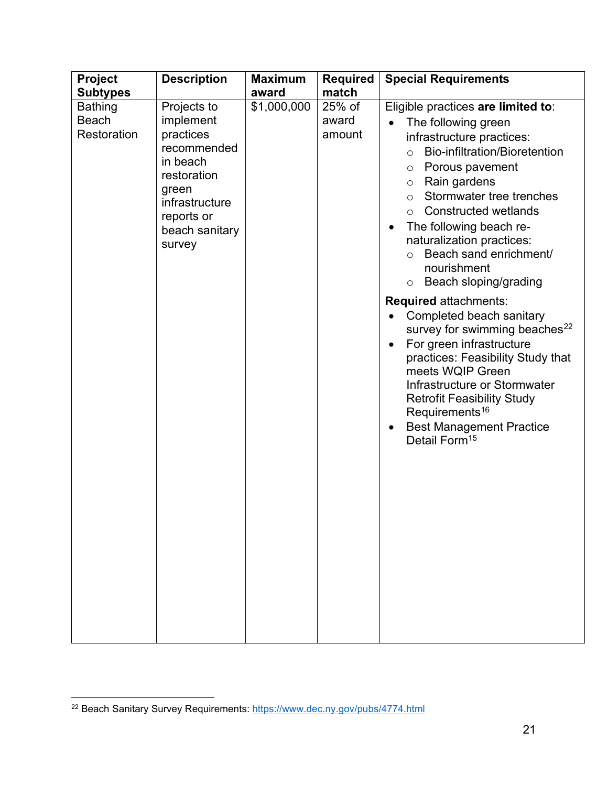| Project                                       | <b>Description</b>                                                                                                                                   | <b>Maximum</b> | <b>Required</b>           | <b>Special Requirements</b>                                                                                                                                                                                                                                                                                                                                                                                                                                                                                                                                                                                                                                                                                                                                                                                                          |
|-----------------------------------------------|------------------------------------------------------------------------------------------------------------------------------------------------------|----------------|---------------------------|--------------------------------------------------------------------------------------------------------------------------------------------------------------------------------------------------------------------------------------------------------------------------------------------------------------------------------------------------------------------------------------------------------------------------------------------------------------------------------------------------------------------------------------------------------------------------------------------------------------------------------------------------------------------------------------------------------------------------------------------------------------------------------------------------------------------------------------|
| <b>Subtypes</b>                               |                                                                                                                                                      | award          | match                     |                                                                                                                                                                                                                                                                                                                                                                                                                                                                                                                                                                                                                                                                                                                                                                                                                                      |
| <b>Bathing</b><br><b>Beach</b><br>Restoration | Projects to<br>implement<br>practices<br>recommended<br>in beach<br>restoration<br>green<br>infrastructure<br>reports or<br>beach sanitary<br>survey | \$1,000,000    | 25% of<br>award<br>amount | Eligible practices are limited to:<br>The following green<br>infrastructure practices:<br>Bio-infiltration/Bioretention<br>$\bigcirc$<br>o Porous pavement<br>Rain gardens<br>$\circ$<br>Stormwater tree trenches<br>$\circ$<br><b>Constructed wetlands</b><br>$\circ$<br>The following beach re-<br>$\bullet$<br>naturalization practices:<br>Beach sand enrichment/<br>$\circ$<br>nourishment<br>Beach sloping/grading<br>$\circ$<br>Required attachments:<br>Completed beach sanitary<br>$\bullet$<br>survey for swimming beaches <sup>22</sup><br>For green infrastructure<br>$\bullet$<br>practices: Feasibility Study that<br>meets WQIP Green<br>Infrastructure or Stormwater<br><b>Retrofit Feasibility Study</b><br>Requirements <sup>16</sup><br><b>Best Management Practice</b><br>$\bullet$<br>Detail Form <sup>15</sup> |

<span id="page-20-0"></span><sup>&</sup>lt;sup>22</sup> Beach Sanitary Survey Requirements: https://www.dec.ny.gov/pubs/4774.html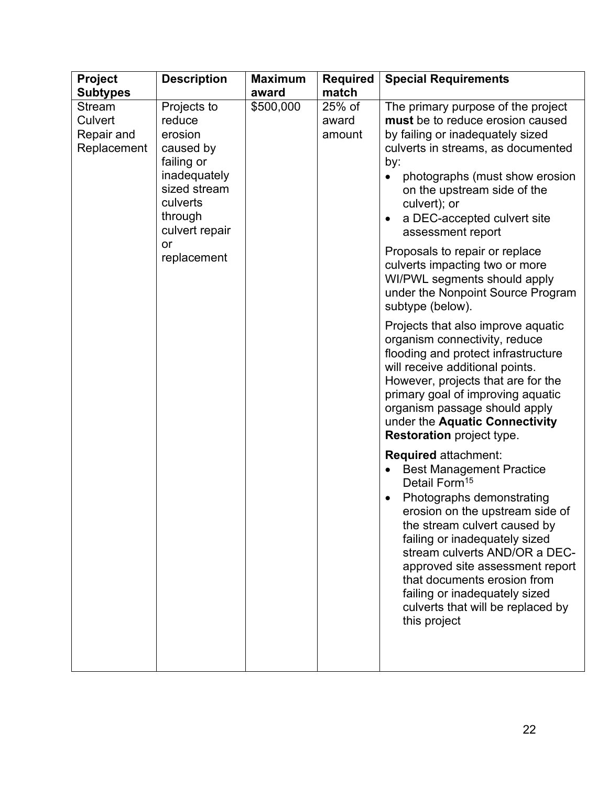| <b>Project</b>                                 | <b>Description</b>                                                                                                                                        | <b>Maximum</b> | <b>Required</b>           | <b>Special Requirements</b>                                                                                                                                                                                                                                                                                                                                                                                                                                                                                                                                                                                                                                                                                                                                                        |
|------------------------------------------------|-----------------------------------------------------------------------------------------------------------------------------------------------------------|----------------|---------------------------|------------------------------------------------------------------------------------------------------------------------------------------------------------------------------------------------------------------------------------------------------------------------------------------------------------------------------------------------------------------------------------------------------------------------------------------------------------------------------------------------------------------------------------------------------------------------------------------------------------------------------------------------------------------------------------------------------------------------------------------------------------------------------------|
| <b>Subtypes</b>                                |                                                                                                                                                           | award          | match                     |                                                                                                                                                                                                                                                                                                                                                                                                                                                                                                                                                                                                                                                                                                                                                                                    |
| Stream<br>Culvert<br>Repair and<br>Replacement | Projects to<br>reduce<br>erosion<br>caused by<br>failing or<br>inadequately<br>sized stream<br>culverts<br>through<br>culvert repair<br>or<br>replacement | \$500,000      | 25% of<br>award<br>amount | The primary purpose of the project<br>must be to reduce erosion caused<br>by failing or inadequately sized<br>culverts in streams, as documented<br>by:<br>photographs (must show erosion<br>$\bullet$<br>on the upstream side of the<br>culvert); or<br>a DEC-accepted culvert site<br>$\bullet$<br>assessment report<br>Proposals to repair or replace<br>culverts impacting two or more<br>WI/PWL segments should apply<br>under the Nonpoint Source Program<br>subtype (below).<br>Projects that also improve aquatic<br>organism connectivity, reduce<br>flooding and protect infrastructure<br>will receive additional points.<br>However, projects that are for the<br>primary goal of improving aquatic<br>organism passage should apply<br>under the Aquatic Connectivity |
|                                                |                                                                                                                                                           |                |                           | <b>Restoration</b> project type.<br><b>Required attachment:</b><br><b>Best Management Practice</b><br>Detail Form <sup>15</sup><br>Photographs demonstrating<br>erosion on the upstream side of<br>the stream culvert caused by<br>failing or inadequately sized<br>stream culverts AND/OR a DEC-<br>approved site assessment report<br>that documents erosion from<br>failing or inadequately sized<br>culverts that will be replaced by<br>this project                                                                                                                                                                                                                                                                                                                          |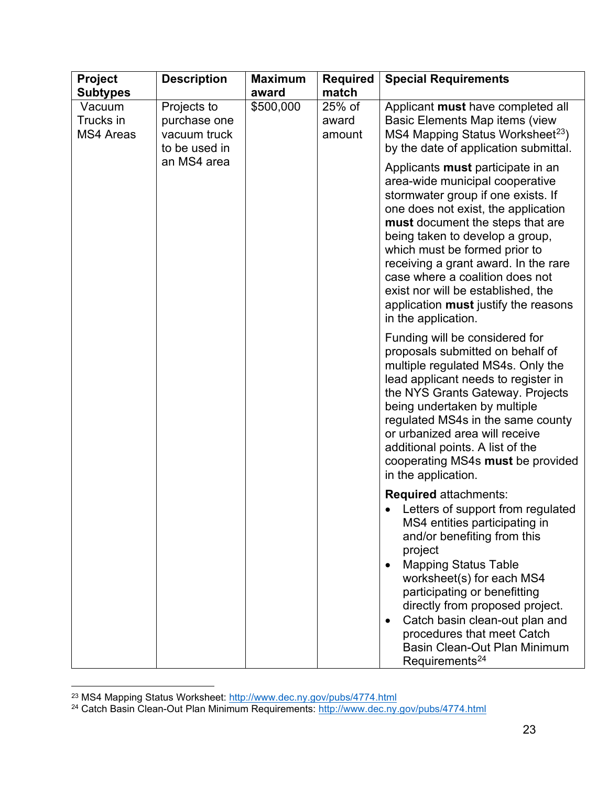| <b>Project</b><br><b>Subtypes</b>       | <b>Description</b>                                           | <b>Maximum</b><br>award | <b>Required</b><br>match  | <b>Special Requirements</b>                                                                                                                                                                                                                                                                                                                                                                                                               |
|-----------------------------------------|--------------------------------------------------------------|-------------------------|---------------------------|-------------------------------------------------------------------------------------------------------------------------------------------------------------------------------------------------------------------------------------------------------------------------------------------------------------------------------------------------------------------------------------------------------------------------------------------|
| Vacuum<br>Trucks in<br><b>MS4 Areas</b> | Projects to<br>purchase one<br>vacuum truck<br>to be used in | \$500,000               | 25% of<br>award<br>amount | Applicant must have completed all<br>Basic Elements Map items (view<br>MS4 Mapping Status Worksheet <sup>23</sup> )<br>by the date of application submittal.                                                                                                                                                                                                                                                                              |
|                                         | an MS4 area                                                  |                         |                           | Applicants must participate in an<br>area-wide municipal cooperative<br>stormwater group if one exists. If<br>one does not exist, the application<br>must document the steps that are<br>being taken to develop a group,<br>which must be formed prior to<br>receiving a grant award. In the rare<br>case where a coalition does not<br>exist nor will be established, the<br>application must justify the reasons<br>in the application. |
|                                         |                                                              |                         |                           | Funding will be considered for<br>proposals submitted on behalf of<br>multiple regulated MS4s. Only the<br>lead applicant needs to register in<br>the NYS Grants Gateway. Projects<br>being undertaken by multiple<br>regulated MS4s in the same county<br>or urbanized area will receive<br>additional points. A list of the<br>cooperating MS4s must be provided<br>in the application.                                                 |
|                                         |                                                              |                         |                           | <b>Required attachments:</b><br>Letters of support from regulated<br>MS4 entities participating in<br>and/or benefiting from this<br>project<br><b>Mapping Status Table</b><br>$\bullet$<br>worksheet(s) for each MS4<br>participating or benefitting<br>directly from proposed project.                                                                                                                                                  |
|                                         |                                                              |                         |                           | Catch basin clean-out plan and<br>$\bullet$<br>procedures that meet Catch<br>Basin Clean-Out Plan Minimum<br>Requirements <sup>24</sup>                                                                                                                                                                                                                                                                                                   |

<span id="page-22-1"></span><span id="page-22-0"></span><sup>&</sup>lt;sup>23</sup> MS4 Mapping Status Worksheet: <u>http://www.dec.ny.gov/pubs/4774.html</u><br><sup>24</sup> Catch Basin Clean-Out Plan Minimum Requirements: <u>http://www.dec.ny.gov/pubs/4774.html</u>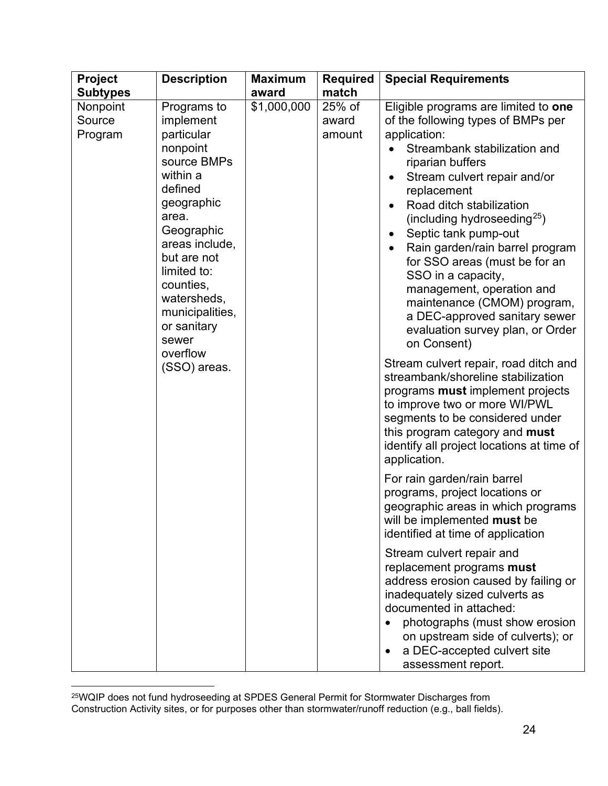| <b>Project</b>                | <b>Description</b>                                                                                                                                                                                                                                               | <b>Maximum</b> | <b>Required</b>           | <b>Special Requirements</b>                                                                                                                                                                                                                                                                                                                                                                                                                                                                                                            |  |  |
|-------------------------------|------------------------------------------------------------------------------------------------------------------------------------------------------------------------------------------------------------------------------------------------------------------|----------------|---------------------------|----------------------------------------------------------------------------------------------------------------------------------------------------------------------------------------------------------------------------------------------------------------------------------------------------------------------------------------------------------------------------------------------------------------------------------------------------------------------------------------------------------------------------------------|--|--|
| <b>Subtypes</b>               |                                                                                                                                                                                                                                                                  | award          | match                     |                                                                                                                                                                                                                                                                                                                                                                                                                                                                                                                                        |  |  |
| Nonpoint<br>Source<br>Program | Programs to<br>implement<br>particular<br>nonpoint<br>source BMPs<br>within a<br>defined<br>geographic<br>area.<br>Geographic<br>areas include,<br>but are not<br>limited to:<br>counties,<br>watersheds,<br>municipalities,<br>or sanitary<br>sewer<br>overflow | \$1,000,000    | 25% of<br>award<br>amount | Eligible programs are limited to one<br>of the following types of BMPs per<br>application:<br>Streambank stabilization and<br>riparian buffers<br>Stream culvert repair and/or<br>replacement<br>Road ditch stabilization<br>(including hydroseeding <sup>25</sup> )<br>Septic tank pump-out<br>Rain garden/rain barrel program<br>for SSO areas (must be for an<br>SSO in a capacity,<br>management, operation and<br>maintenance (CMOM) program,<br>a DEC-approved sanitary sewer<br>evaluation survey plan, or Order<br>on Consent) |  |  |
|                               | (SSO) areas.                                                                                                                                                                                                                                                     |                |                           | Stream culvert repair, road ditch and<br>streambank/shoreline stabilization<br>programs <b>must</b> implement projects<br>to improve two or more WI/PWL<br>segments to be considered under<br>this program category and must<br>identify all project locations at time of<br>application.                                                                                                                                                                                                                                              |  |  |
|                               |                                                                                                                                                                                                                                                                  |                |                           | For rain garden/rain barrel<br>programs, project locations or<br>geographic areas in which programs<br>will be implemented must be<br>identified at time of application                                                                                                                                                                                                                                                                                                                                                                |  |  |
|                               |                                                                                                                                                                                                                                                                  |                |                           | Stream culvert repair and<br>replacement programs must<br>address erosion caused by failing or<br>inadequately sized culverts as<br>documented in attached:<br>photographs (must show erosion<br>on upstream side of culverts); or<br>a DEC-accepted culvert site<br>assessment report.                                                                                                                                                                                                                                                |  |  |

<span id="page-23-0"></span> $^{25}$ WQIP does not fund hydroseeding at SPDES General Permit for Stormwater Discharges from Construction Activity sites, or for purposes other than stormwater/runoff reduction (e.g., ball fields).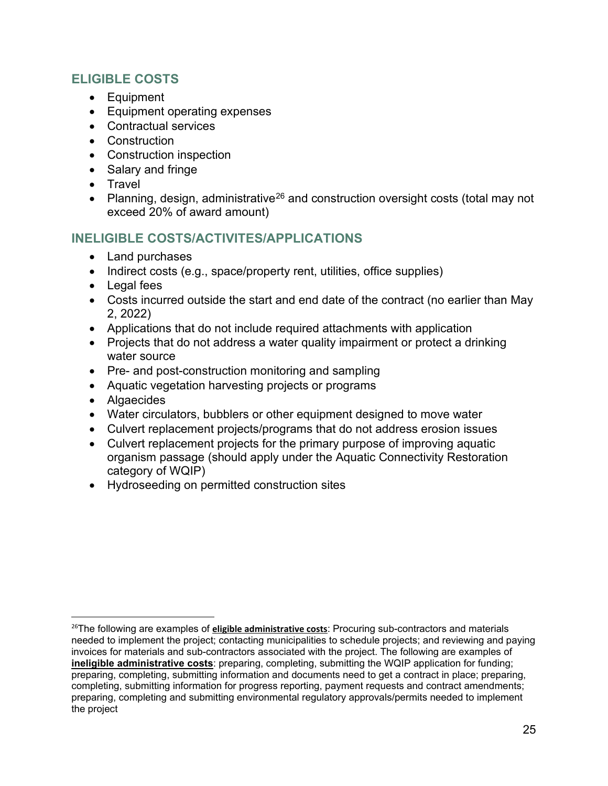#### **ELIGIBLE COSTS**

- Equipment
- Equipment operating expenses
- Contractual services
- Construction
- Construction inspection
- Salary and fringe
- Travel
- Planning, design, administrative<sup>[26](#page-24-0)</sup> and construction oversight costs (total may not exceed 20% of award amount)

#### **INELIGIBLE COSTS/ACTIVITES/APPLICATIONS**

- Land purchases
- Indirect costs (e.g., space/property rent, utilities, office supplies)
- Legal fees
- Costs incurred outside the start and end date of the contract (no earlier than May 2, 2022)
- Applications that do not include required attachments with application
- Projects that do not address a water quality impairment or protect a drinking water source
- Pre- and post-construction monitoring and sampling
- Aquatic vegetation harvesting projects or programs
- Algaecides
- Water circulators, bubblers or other equipment designed to move water
- Culvert replacement projects/programs that do not address erosion issues
- Culvert replacement projects for the primary purpose of improving aquatic organism passage (should apply under the Aquatic Connectivity Restoration category of WQIP)
- Hydroseeding on permitted construction sites

<span id="page-24-0"></span><sup>26</sup>The following are examples of **eligible administrative costs**: Procuring sub-contractors and materials needed to implement the project; contacting municipalities to schedule projects; and reviewing and paying invoices for materials and sub-contractors associated with the project. The following are examples of **ineligible administrative costs**: preparing, completing, submitting the WQIP application for funding; preparing, completing, submitting information and documents need to get a contract in place; preparing, completing, submitting information for progress reporting, payment requests and contract amendments; preparing, completing and submitting environmental regulatory approvals/permits needed to implement the project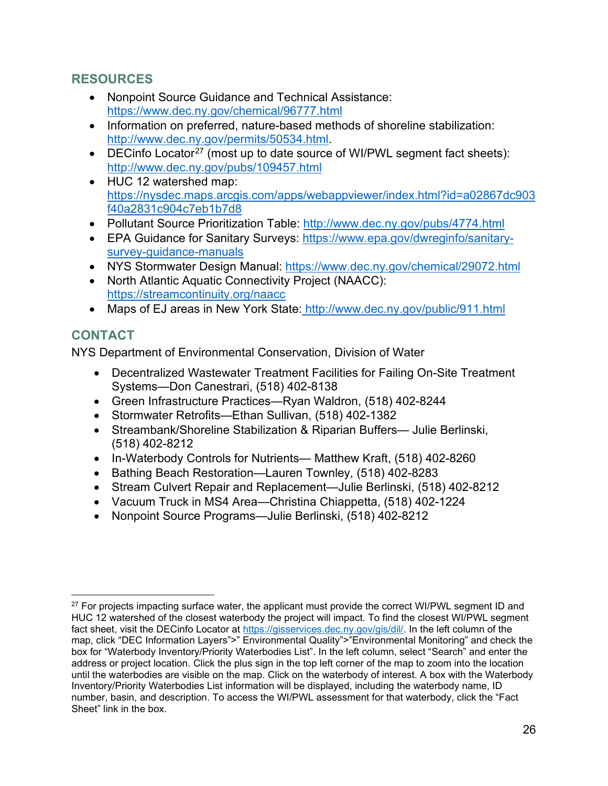#### **RESOURCES**

- Nonpoint Source Guidance and Technical Assistance: <https://www.dec.ny.gov/chemical/96777.html>
- Information on preferred, nature-based methods of shoreline stabilization: [http://www.dec.ny.gov/permits/50534.html.](http://www.dec.ny.gov/permits/50534.html)
- DECinfo Locator<sup>[27](#page-25-0)</sup> (most up to date source of WI/PWL segment fact sheets): <http://www.dec.ny.gov/pubs/109457.html>
- HUC 12 watershed map: [https://nysdec.maps.arcgis.com/apps/webappviewer/index.html?id=a02867dc903](https://nysdec.maps.arcgis.com/apps/webappviewer/index.html?id=a02867dc903f40a2831c904c7eb1b7d8) [f40a2831c904c7eb1b7d8](https://nysdec.maps.arcgis.com/apps/webappviewer/index.html?id=a02867dc903f40a2831c904c7eb1b7d8)
- Pollutant Source Prioritization Table: http://www.dec.ny.gov/pubs/4774.html
- EPA Guidance for Sanitary Surveys: [https://www.epa.gov/dwreginfo/sanitary](https://www.epa.gov/dwreginfo/sanitary-survey-guidance-manuals)[survey-guidance-manuals](https://www.epa.gov/dwreginfo/sanitary-survey-guidance-manuals)
- NYS Stormwater Design Manual:<https://www.dec.ny.gov/chemical/29072.html>
- North Atlantic Aquatic Connectivity Project (NAACC): <https://streamcontinuity.org/naacc>
- Maps of EJ areas in New York State: http://www.dec.ny.gov/public/911.html

## **CONTACT**

NYS Department of Environmental Conservation, Division of Water

- Decentralized Wastewater Treatment Facilities for Failing On-Site Treatment Systems—Don Canestrari, (518) 402-8138
- Green Infrastructure Practices—Ryan Waldron, (518) 402-8244
- Stormwater Retrofits—Ethan Sullivan, (518) 402-1382
- Streambank/Shoreline Stabilization & Riparian Buffers— Julie Berlinski, (518) 402-8212
- In-Waterbody Controls for Nutrients— Matthew Kraft, (518) 402-8260
- Bathing Beach Restoration—Lauren Townley, (518) 402-8283
- Stream Culvert Repair and Replacement—Julie Berlinski, (518) 402-8212
- Vacuum Truck in MS4 Area—Christina Chiappetta, (518) 402-1224
- Nonpoint Source Programs—Julie Berlinski, (518) 402-8212

<span id="page-25-0"></span><sup>&</sup>lt;sup>27</sup> For projects impacting surface water, the applicant must provide the correct WI/PWL segment ID and HUC 12 watershed of the closest waterbody the project will impact. To find the closest WI/PWL segment fact sheet, visit the DECinfo Locator at [https://gisservices.dec.ny.gov/gis/dil/.](https://gisservices.dec.ny.gov/gis/dil/) In the left column of the map, click "DEC Information Layers">" Environmental Quality">"Environmental Monitoring" and check the box for "Waterbody Inventory/Priority Waterbodies List". In the left column, select "Search" and enter the address or project location. Click the plus sign in the top left corner of the map to zoom into the location until the waterbodies are visible on the map. Click on the waterbody of interest. A box with the Waterbody Inventory/Priority Waterbodies List information will be displayed, including the waterbody name, ID number, basin, and description. To access the WI/PWL assessment for that waterbody, click the "Fact Sheet" link in the box.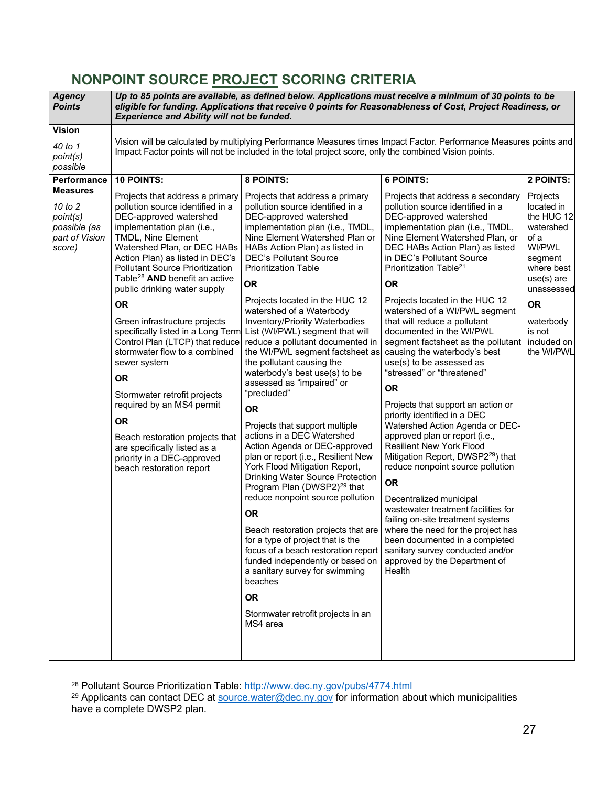## <span id="page-26-0"></span>**NONPOINT SOURCE PROJECT SCORING CRITERIA**

<span id="page-26-4"></span>

| Agency<br><b>Points</b>                                                                    | Up to 85 points are available, as defined below. Applications must receive a minimum of 30 points to be<br>eligible for funding. Applications that receive 0 points for Reasonableness of Cost, Project Readiness, or<br><b>Experience and Ability will not be funded.</b>                                                                                                                                                                                                                                                                                                                                              |                                                                                                                                                                                                                                                                                                                                                                                                                                                                                                                                                                                                                                  |                                                                                                                                                                                                                                                                                                                                                                                                                                                                                                                                                                                                                                                                 |                                                                                                                                                                                                          |  |  |  |
|--------------------------------------------------------------------------------------------|-------------------------------------------------------------------------------------------------------------------------------------------------------------------------------------------------------------------------------------------------------------------------------------------------------------------------------------------------------------------------------------------------------------------------------------------------------------------------------------------------------------------------------------------------------------------------------------------------------------------------|----------------------------------------------------------------------------------------------------------------------------------------------------------------------------------------------------------------------------------------------------------------------------------------------------------------------------------------------------------------------------------------------------------------------------------------------------------------------------------------------------------------------------------------------------------------------------------------------------------------------------------|-----------------------------------------------------------------------------------------------------------------------------------------------------------------------------------------------------------------------------------------------------------------------------------------------------------------------------------------------------------------------------------------------------------------------------------------------------------------------------------------------------------------------------------------------------------------------------------------------------------------------------------------------------------------|----------------------------------------------------------------------------------------------------------------------------------------------------------------------------------------------------------|--|--|--|
| <b>Vision</b><br>40 to 1<br>point(s)<br>possible                                           |                                                                                                                                                                                                                                                                                                                                                                                                                                                                                                                                                                                                                         | Impact Factor points will not be included in the total project score, only the combined Vision points.                                                                                                                                                                                                                                                                                                                                                                                                                                                                                                                           | Vision will be calculated by multiplying Performance Measures times Impact Factor. Performance Measures points and                                                                                                                                                                                                                                                                                                                                                                                                                                                                                                                                              |                                                                                                                                                                                                          |  |  |  |
| Performance<br>Measures<br>10 to 2<br>point(s)<br>possible (as<br>part of Vision<br>score) | 10 POINTS:<br>Projects that address a primary<br>pollution source identified in a<br>DEC-approved watershed<br>implementation plan (i.e.,<br>TMDL, Nine Element<br>Watershed Plan, or DEC HABs<br>Action Plan) as listed in DEC's<br><b>Pollutant Source Prioritization</b><br>Table <sup>28</sup> AND benefit an active<br>public drinking water supply<br><b>OR</b><br>Green infrastructure projects<br>specifically listed in a Long Term<br>Control Plan (LTCP) that reduce<br>stormwater flow to a combined<br>sewer system<br><b>OR</b><br>Stormwater retrofit projects<br>required by an MS4 permit<br><b>OR</b> | 8 POINTS:<br>Projects that address a primary<br>pollution source identified in a<br>DEC-approved watershed<br>implementation plan (i.e., TMDL,<br>Nine Element Watershed Plan or<br>HABs Action Plan) as listed in<br><b>DEC's Pollutant Source</b><br><b>Prioritization Table</b><br><b>OR</b><br>Projects located in the HUC 12<br>watershed of a Waterbody<br>Inventory/Priority Waterbodies<br>List (WI/PWL) segment that will<br>reduce a pollutant documented in<br>the WI/PWL segment factsheet as<br>the pollutant causing the<br>waterbody's best use(s) to be<br>assessed as "impaired" or<br>"precluded"<br><b>OR</b> | <b>6 POINTS:</b><br>Projects that address a secondary<br>pollution source identified in a<br>DEC-approved watershed<br>implementation plan (i.e., TMDL,<br>Nine Element Watershed Plan, or<br>DEC HABs Action Plan) as listed<br>in DEC's Pollutant Source<br>Prioritization Table <sup>21</sup><br><b>OR</b><br>Projects located in the HUC 12<br>watershed of a WI/PWL segment<br>that will reduce a pollutant<br>documented in the WI/PWL<br>segment factsheet as the pollutant<br>causing the waterbody's best<br>use(s) to be assessed as<br>"stressed" or "threatened"<br><b>OR</b><br>Projects that support an action or<br>priority identified in a DEC | 2 POINTS:<br>Projects<br>located in<br>the HUC 12<br>watershed<br>of a<br>WI/PWL<br>segment<br>where best<br>$use(s)$ are<br>unassessed<br><b>OR</b><br>waterbody<br>is not<br>included on<br>the WI/PWL |  |  |  |
|                                                                                            | Beach restoration projects that<br>are specifically listed as a<br>priority in a DEC-approved<br>beach restoration report                                                                                                                                                                                                                                                                                                                                                                                                                                                                                               | Projects that support multiple<br>actions in a DEC Watershed<br>Action Agenda or DEC-approved<br>plan or report (i.e., Resilient New<br>York Flood Mitigation Report,<br>Drinking Water Source Protection<br>Program Plan (DWSP2) <sup>29</sup> that<br>reduce nonpoint source pollution<br><b>OR</b><br>Beach restoration projects that are<br>for a type of project that is the<br>focus of a beach restoration report<br>funded independently or based on<br>a sanitary survey for swimming<br>beaches<br><b>OR</b><br>Stormwater retrofit projects in an<br>MS4 area                                                         | Watershed Action Agenda or DEC-<br>approved plan or report (i.e.,<br><b>Resilient New York Flood</b><br>Mitigation Report, DWSP2 <sup>29</sup> ) that<br>reduce nonpoint source pollution<br><b>OR</b><br>Decentralized municipal<br>wastewater treatment facilities for<br>failing on-site treatment systems<br>where the need for the project has<br>been documented in a completed<br>sanitary survey conducted and/or<br>approved by the Department of<br>Health                                                                                                                                                                                            |                                                                                                                                                                                                          |  |  |  |

<span id="page-26-3"></span><span id="page-26-2"></span><span id="page-26-1"></span><sup>&</sup>lt;sup>28</sup> Pollutant Source Prioritization Table: <u>http://www.dec.ny.gov/pubs/4774.html</u><br><sup>29</sup> Applicants can contact DEC at <u>source.water@dec.ny.gov</u> for information about which municipalities have a complete DWSP2 plan.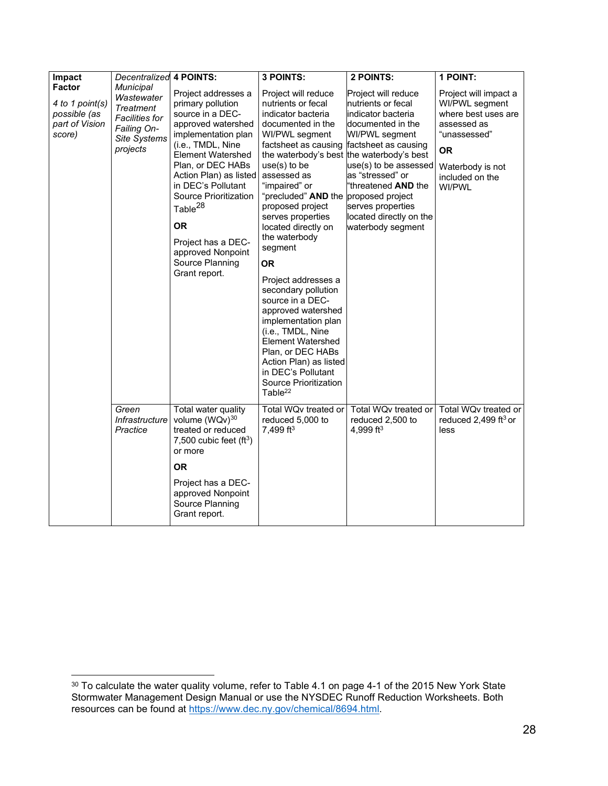| Impact                                                                | Decentralized                                                                                                   | <b>4 POINTS:</b>                                                                                                                                                                                                                                                                                                                                                     | 3 POINTS:                                                                                                                                                                                                                                                                                                                                                                                                                                                                                                                                                                                                         | 2 POINTS:                                                                                                                                                                                                                                                                                                                    | 1 POINT:                                                                                                                                                    |
|-----------------------------------------------------------------------|-----------------------------------------------------------------------------------------------------------------|----------------------------------------------------------------------------------------------------------------------------------------------------------------------------------------------------------------------------------------------------------------------------------------------------------------------------------------------------------------------|-------------------------------------------------------------------------------------------------------------------------------------------------------------------------------------------------------------------------------------------------------------------------------------------------------------------------------------------------------------------------------------------------------------------------------------------------------------------------------------------------------------------------------------------------------------------------------------------------------------------|------------------------------------------------------------------------------------------------------------------------------------------------------------------------------------------------------------------------------------------------------------------------------------------------------------------------------|-------------------------------------------------------------------------------------------------------------------------------------------------------------|
| Factor<br>4 to 1 point(s)<br>possible (as<br>part of Vision<br>score) | Municipal<br>Wastewater<br><b>Treatment</b><br><b>Facilities for</b><br>Failing On-<br>Site Systems<br>projects | Project addresses a<br>primary pollution<br>source in a DEC-<br>approved watershed<br>implementation plan<br>(i.e., TMDL, Nine<br>Element Watershed<br>Plan, or DEC HABs<br>Action Plan) as listed<br>in DEC's Pollutant<br>Source Prioritization<br>Table <sup>28</sup><br><b>OR</b><br>Project has a DEC-<br>approved Nonpoint<br>Source Planning<br>Grant report. | Project will reduce<br>nutrients or fecal<br>indicator bacteria<br>documented in the<br>WI/PWL segment<br>factsheet as causing<br>$use(s)$ to be<br>assessed as<br>"impaired" or<br>"precluded" <b>AND</b> the proposed project<br>proposed project<br>serves properties<br>located directly on<br>the waterbody<br>segment<br>OR.<br>Project addresses a<br>secondary pollution<br>source in a DEC-<br>approved watershed<br>implementation plan<br>(i.e., TMDL, Nine<br><b>Element Watershed</b><br>Plan, or DEC HABs<br>Action Plan) as listed<br>in DEC's Pollutant<br>Source Prioritization<br>Table $^{22}$ | Project will reduce<br>nutrients or fecal<br><b>i</b> ndicator bacteria<br>documented in the<br>WI/PWL segment<br>factsheet as causing<br>the waterbody's best the waterbody's best<br>use(s) to be assessed<br>as "stressed" or<br>"threatened AND the<br>serves properties<br>located directly on the<br>waterbody segment | Project will impact a<br>WI/PWL segment<br>where best uses are<br>assessed as<br>"unassessed"<br><b>OR</b><br>Waterbody is not<br>included on the<br>WI/PWL |
|                                                                       | Green<br>Infrastructure<br>Practice                                                                             | Total water quality<br>volume (WQv)30<br>treated or reduced<br>7,500 cubic feet $(ft^3)$<br>or more<br><b>OR</b><br>Project has a DEC-<br>approved Nonpoint<br>Source Planning<br>Grant report.                                                                                                                                                                      | Total WQv treated or<br>reduced 5,000 to<br>7,499 ft <sup>3</sup>                                                                                                                                                                                                                                                                                                                                                                                                                                                                                                                                                 | Total WQv treated or<br>reduced 2,500 to<br>4,999 ft <sup>3</sup>                                                                                                                                                                                                                                                            | Total WQv treated or<br>reduced 2,499 ft <sup>3</sup> or<br>less                                                                                            |

<span id="page-27-0"></span> $^{\rm 30}$  To calculate the water quality volume, refer to Table 4.1 on page 4-1 of the 2015 New York State Stormwater Management Design Manual or use the NYSDEC Runoff Reduction Worksheets. Both resources can be found at <u>https://www.dec.ny.gov/chemical/8694.html</u>.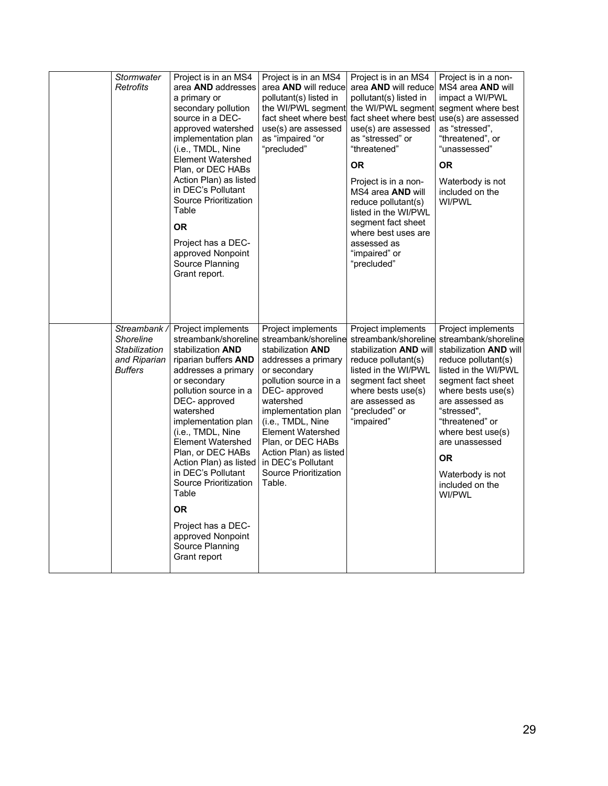|  | Stormwater<br>Retrofits                                                    | Project is in an MS4<br>area AND addresses<br>a primary or<br>secondary pollution<br>source in a DEC-<br>approved watershed<br>implementation plan<br>(i.e., TMDL, Nine<br><b>Element Watershed</b><br>Plan, or DEC HABs<br>Action Plan) as listed<br>in DEC's Pollutant<br>Source Prioritization<br>Table<br><b>OR</b><br>Project has a DEC-<br>approved Nonpoint<br>Source Planning<br>Grant report.                                                         | Project is in an MS4<br>area AND will reduce<br>pollutant(s) listed in<br>the WI/PWL segment<br>fact sheet where best<br>use(s) are assessed<br>as "impaired "or<br>"precluded"                                                                                                                                                                     | Project is in an MS4<br>area AND will reduce MS4 area AND will<br>pollutant(s) listed in<br>the WI/PWL segment segment where best<br>fact sheet where best<br>use(s) are assessed<br>as "stressed" or<br>"threatened"<br><b>OR</b><br>Project is in a non-<br>MS4 area AND will<br>reduce pollutant(s)<br>listed in the WI/PWL<br>segment fact sheet<br>where best uses are<br>assessed as<br>"impaired" or<br>"precluded" | Project is in a non-<br>impact a WI/PWL<br>use(s) are assessed<br>as "stressed",<br>"threatened", or<br>"unassessed"<br><b>OR</b><br>Waterbody is not<br>included on the<br>WI/PWL                                                                                                                                               |
|--|----------------------------------------------------------------------------|----------------------------------------------------------------------------------------------------------------------------------------------------------------------------------------------------------------------------------------------------------------------------------------------------------------------------------------------------------------------------------------------------------------------------------------------------------------|-----------------------------------------------------------------------------------------------------------------------------------------------------------------------------------------------------------------------------------------------------------------------------------------------------------------------------------------------------|----------------------------------------------------------------------------------------------------------------------------------------------------------------------------------------------------------------------------------------------------------------------------------------------------------------------------------------------------------------------------------------------------------------------------|----------------------------------------------------------------------------------------------------------------------------------------------------------------------------------------------------------------------------------------------------------------------------------------------------------------------------------|
|  | Streambank<br>Shoreline<br>Stabilization<br>and Riparian<br><b>Buffers</b> | Project implements<br>streambank/shoreline<br>stabilization <b>AND</b><br>riparian buffers AND<br>addresses a primary<br>or secondary<br>pollution source in a<br>DEC-approved<br>watershed<br>implementation plan<br>(i.e., TMDL, Nine<br>Element Watershed<br>Plan, or DEC HABs<br>Action Plan) as listed<br>in DEC's Pollutant<br>Source Prioritization<br>Table<br><b>OR</b><br>Project has a DEC-<br>approved Nonpoint<br>Source Planning<br>Grant report | Project implements<br>streambank/shoreline<br>stabilization <b>AND</b><br>addresses a primary<br>or secondary<br>pollution source in a<br>DEC-approved<br>watershed<br>implementation plan<br>(i.e., TMDL, Nine<br><b>Element Watershed</b><br>Plan, or DEC HABs<br>Action Plan) as listed<br>in DEC's Pollutant<br>Source Prioritization<br>Table. | Project implements<br>streambank/shoreline<br>stabilization <b>AND</b> will<br>reduce pollutant(s)<br>listed in the WI/PWL<br>segment fact sheet<br>where bests use(s)<br>are assessed as<br>"precluded" or<br>"impaired"                                                                                                                                                                                                  | Project implements<br>streambank/shoreline<br>stabilization <b>AND</b> will<br>reduce pollutant(s)<br>listed in the WI/PWL<br>segment fact sheet<br>where bests use(s)<br>are assessed as<br>"stressed",<br>"threatened" or<br>where best use(s)<br>are unassessed<br><b>OR</b><br>Waterbody is not<br>included on the<br>WI/PWL |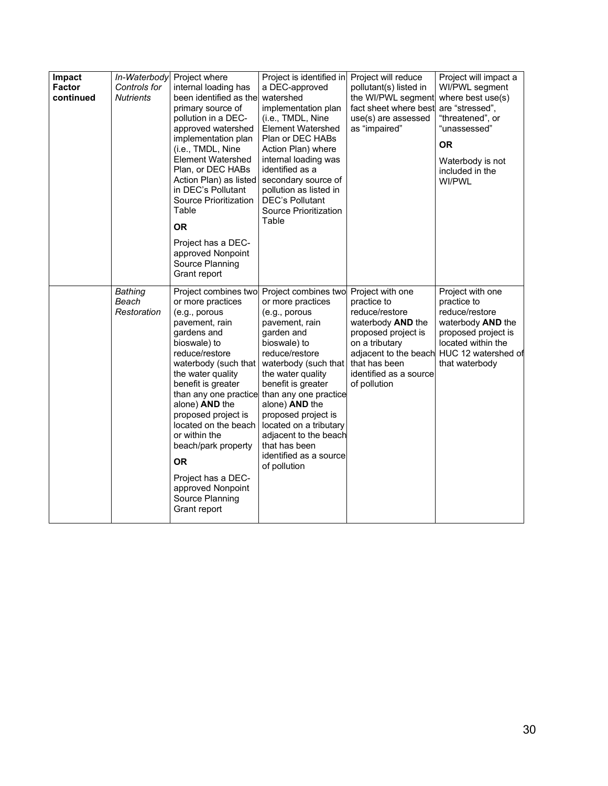| Impact<br><b>Factor</b><br>continued | In-Waterbody<br>Controls for<br><b>Nutrients</b> | Project where<br>internal loading has<br>been identified as the<br>primary source of<br>pollution in a DEC-<br>approved watershed<br>implementation plan<br>(i.e., TMDL, Nine<br>Element Watershed<br>Plan, or DEC HABs<br>Action Plan) as listed<br>in DEC's Pollutant<br>Source Prioritization<br>Table<br><b>OR</b><br>Project has a DEC-<br>approved Nonpoint<br>Source Planning<br>Grant report                          | Project is identified in<br>a DEC-approved<br>watershed<br>implementation plan<br>(i.e., TMDL, Nine<br><b>Element Watershed</b><br>Plan or DEC HABs<br>Action Plan) where<br>internal loading was<br>identified as a<br>secondary source of<br>pollution as listed in<br><b>DEC's Pollutant</b><br>Source Prioritization<br>Table                                               | Project will reduce<br>pollutant(s) listed in<br>the WI/PWL segment<br>fact sheet where best<br>use(s) are assessed<br>as "impaired"                                       | Project will impact a<br>WI/PWL segment<br>where best use(s)<br>are "stressed",<br>"threatened", or<br>"unassessed"<br><b>OR</b><br>Waterbody is not<br>included in the<br>WI/PWL  |
|--------------------------------------|--------------------------------------------------|-------------------------------------------------------------------------------------------------------------------------------------------------------------------------------------------------------------------------------------------------------------------------------------------------------------------------------------------------------------------------------------------------------------------------------|---------------------------------------------------------------------------------------------------------------------------------------------------------------------------------------------------------------------------------------------------------------------------------------------------------------------------------------------------------------------------------|----------------------------------------------------------------------------------------------------------------------------------------------------------------------------|------------------------------------------------------------------------------------------------------------------------------------------------------------------------------------|
|                                      | Bathing<br>Beach<br>Restoration                  | Project combines two<br>or more practices<br>(e.g., porous<br>pavement, rain<br>gardens and<br>bioswale) to<br>reduce/restore<br>waterbody (such that<br>the water quality<br>benefit is greater<br>than any one practice<br>alone) AND the<br>proposed project is<br>located on the beach<br>or within the<br>beach/park property<br><b>OR</b><br>Project has a DEC-<br>approved Nonpoint<br>Source Planning<br>Grant report | Project combines two<br>or more practices<br>(e.g., porous<br>pavement, rain<br>garden and<br>bioswale) to<br>reduce/restore<br>waterbody (such that<br>the water quality<br>benefit is greater<br>than any one practice<br>alone) AND the<br>proposed project is<br>located on a tributary<br>adjacent to the beach<br>that has been<br>identified as a source<br>of pollution | Project with one<br>practice to<br>reduce/restore<br>waterbody AND the<br>proposed project is<br>on a tributary<br>that has been<br>identified as a source<br>of pollution | Project with one<br>practice to<br>reduce/restore<br>waterbody AND the<br>proposed project is<br>located within the<br>adjacent to the beach HUC 12 watershed of<br>that waterbody |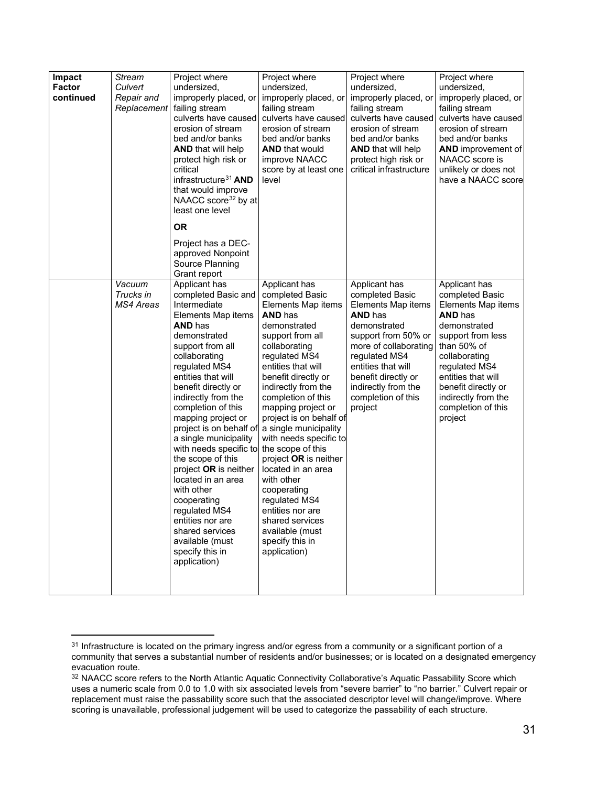| Impact<br>Stream<br><b>Factor</b><br>Culvert<br>continued<br>Repair and<br>Replacement |                                                                                                                                                                                                                                                                                                                                                                                                                                                                                                                                                                                                                     | Project where<br>undersized,<br>improperly placed, or<br>failing stream<br>culverts have caused<br>erosion of stream<br>bed and/or banks<br><b>AND</b> that will help<br>protect high risk or<br>critical<br>infrastructure <sup>31</sup> AND<br>that would improve<br>NAACC score <sup>32</sup> by at<br>least one level | Project where<br>undersized,<br>improperly placed, or<br>failing stream<br>culverts have caused<br>erosion of stream<br>bed and/or banks<br><b>AND that would</b><br>improve NAACC<br>score by at least one<br>level                                                                                                                                                                                                                                                                                                                                        | Project where<br>undersized,<br>improperly placed, or<br>failing stream<br>culverts have caused<br>erosion of stream<br>bed and/or banks<br><b>AND</b> that will help<br>protect high risk or<br>critical infrastructure                                       | Project where<br>undersized,<br>improperly placed, or<br>failing stream<br>culverts have caused<br>erosion of stream<br>bed and/or banks<br><b>AND</b> improvement of<br>NAACC score is<br>unlikely or does not<br>have a NAACC score                               |
|----------------------------------------------------------------------------------------|---------------------------------------------------------------------------------------------------------------------------------------------------------------------------------------------------------------------------------------------------------------------------------------------------------------------------------------------------------------------------------------------------------------------------------------------------------------------------------------------------------------------------------------------------------------------------------------------------------------------|---------------------------------------------------------------------------------------------------------------------------------------------------------------------------------------------------------------------------------------------------------------------------------------------------------------------------|-------------------------------------------------------------------------------------------------------------------------------------------------------------------------------------------------------------------------------------------------------------------------------------------------------------------------------------------------------------------------------------------------------------------------------------------------------------------------------------------------------------------------------------------------------------|----------------------------------------------------------------------------------------------------------------------------------------------------------------------------------------------------------------------------------------------------------------|---------------------------------------------------------------------------------------------------------------------------------------------------------------------------------------------------------------------------------------------------------------------|
|                                                                                        |                                                                                                                                                                                                                                                                                                                                                                                                                                                                                                                                                                                                                     | <b>OR</b><br>Project has a DEC-<br>approved Nonpoint<br>Source Planning<br>Grant report                                                                                                                                                                                                                                   |                                                                                                                                                                                                                                                                                                                                                                                                                                                                                                                                                             |                                                                                                                                                                                                                                                                |                                                                                                                                                                                                                                                                     |
|                                                                                        | Applicant has<br>Vacuum<br>Trucks in<br>completed Basic and<br>Intermediate<br>MS4 Areas<br>Elements Map items<br><b>AND has</b><br>demonstrated<br>support from all<br>collaborating<br>regulated MS4<br>entities that will<br>benefit directly or<br>indirectly from the<br>completion of this<br>mapping project or<br>project is on behalf of<br>a single municipality<br>with needs specific to<br>the scope of this<br>project OR is neither<br>located in an area<br>with other<br>cooperating<br>regulated MS4<br>entities nor are<br>shared services<br>available (must<br>specify this in<br>application) |                                                                                                                                                                                                                                                                                                                           | Applicant has<br>completed Basic<br>Elements Map items<br><b>AND</b> has<br>demonstrated<br>support from all<br>collaborating<br>regulated MS4<br>entities that will<br>benefit directly or<br>indirectly from the<br>completion of this<br>mapping project or<br>project is on behalf of<br>a single municipality<br>with needs specific to<br>the scope of this<br>project OR is neither<br>located in an area<br>with other<br>cooperating<br>regulated MS4<br>entities nor are<br>shared services<br>available (must<br>specify this in<br>application) | Applicant has<br>completed Basic<br>Elements Map items<br><b>AND has</b><br>demonstrated<br>support from 50% or<br>more of collaborating<br>regulated MS4<br>entities that will<br>benefit directly or<br>indirectly from the<br>completion of this<br>project | Applicant has<br>completed Basic<br>Elements Map items<br><b>AND has</b><br>demonstrated<br>support from less<br>than 50% of<br>collaborating<br>regulated MS4<br>entities that will<br>benefit directly or<br>indirectly from the<br>completion of this<br>project |

<span id="page-30-0"></span> $31$  Infrastructure is located on the primary ingress and/or egress from a community or a significant portion of a community that serves a substantial number of residents and/or businesses; or is located on a designated emergency evacuation route.

<span id="page-30-1"></span><sup>32</sup> NAACC score refers to the North Atlantic Aquatic Connectivity Collaborative's Aquatic Passability Score which uses a numeric scale from 0.0 to 1.0 with six associated levels from "severe barrier" to "no barrier." Culvert repair or replacement must raise the passability score such that the associated descriptor level will change/improve. Where scoring is unavailable, professional judgement will be used to categorize the passability of each structure.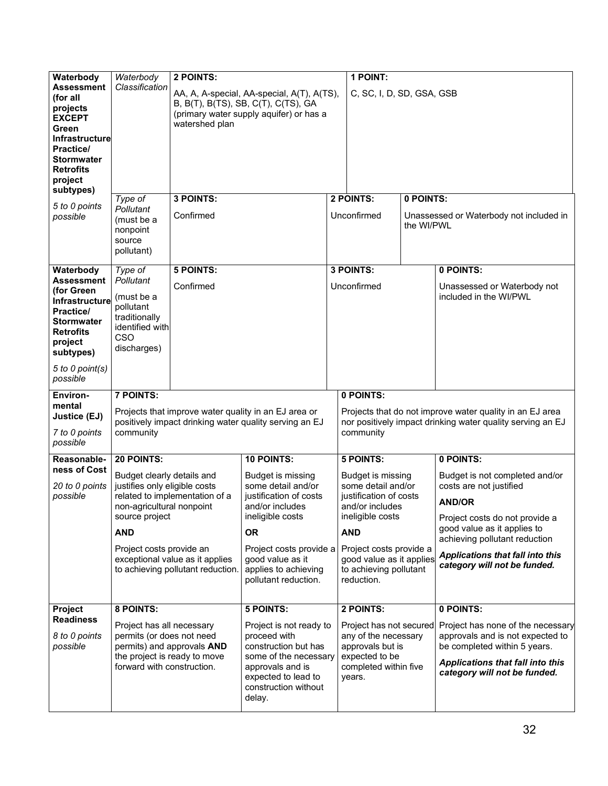| Waterbody                                                                                                                                                     | Waterbody                                                                                                                                          | 2 POINTS:                                                            |                                                                                                                                                                       |  | 1 POINT:                                                                                                                            |            |                                                                                                                                                                                  |  |
|---------------------------------------------------------------------------------------------------------------------------------------------------------------|----------------------------------------------------------------------------------------------------------------------------------------------------|----------------------------------------------------------------------|-----------------------------------------------------------------------------------------------------------------------------------------------------------------------|--|-------------------------------------------------------------------------------------------------------------------------------------|------------|----------------------------------------------------------------------------------------------------------------------------------------------------------------------------------|--|
| <b>Assessment</b><br>(for all<br>projects<br><b>EXCEPT</b><br>Green<br><b>Infrastructure</b><br>Practice/<br><b>Stormwater</b><br><b>Retrofits</b><br>project | Classification                                                                                                                                     | watershed plan                                                       | AA, A, A-special, AA-special, A(T), A(TS),<br>B, B(T), B(TS), SB, C(T), C(TS), GA<br>(primary water supply aquifer) or has a                                          |  | C, SC, I, D, SD, GSA, GSB                                                                                                           |            |                                                                                                                                                                                  |  |
| subtypes)                                                                                                                                                     | Type of                                                                                                                                            | 3 POINTS:                                                            |                                                                                                                                                                       |  | 2 POINTS:                                                                                                                           | 0 POINTS:  |                                                                                                                                                                                  |  |
| 5 to 0 points<br>possible                                                                                                                                     | Pollutant<br>(must be a<br>nonpoint<br>source<br>pollutant)                                                                                        | Confirmed                                                            |                                                                                                                                                                       |  | Unconfirmed                                                                                                                         | the WI/PWL | Unassessed or Waterbody not included in                                                                                                                                          |  |
| Waterbody                                                                                                                                                     | Type of                                                                                                                                            | <b>5 POINTS:</b>                                                     |                                                                                                                                                                       |  | 3 POINTS:                                                                                                                           |            | 0 POINTS:                                                                                                                                                                        |  |
| <b>Assessment</b><br>(for Green<br>Infrastructure<br>Practice/<br><b>Stormwater</b><br><b>Retrofits</b><br>project<br>subtypes)                               | Pollutant<br>(must be a<br>pollutant<br>traditionally<br>identified with<br><b>CSO</b><br>discharges)                                              | Confirmed                                                            |                                                                                                                                                                       |  | Unconfirmed                                                                                                                         |            | Unassessed or Waterbody not<br>included in the WI/PWL                                                                                                                            |  |
| 5 to 0 point(s)<br>possible                                                                                                                                   |                                                                                                                                                    |                                                                      |                                                                                                                                                                       |  |                                                                                                                                     |            |                                                                                                                                                                                  |  |
| Environ-                                                                                                                                                      | <b>7 POINTS:</b>                                                                                                                                   |                                                                      |                                                                                                                                                                       |  | 0 POINTS:                                                                                                                           |            |                                                                                                                                                                                  |  |
| mental<br>Justice (EJ)<br>7 to 0 points<br>possible                                                                                                           | community                                                                                                                                          |                                                                      | Projects that improve water quality in an EJ area or<br>positively impact drinking water quality serving an EJ                                                        |  | Projects that do not improve water quality in an EJ area<br>nor positively impact drinking water quality serving an EJ<br>community |            |                                                                                                                                                                                  |  |
| Reasonable-                                                                                                                                                   | 20 POINTS:                                                                                                                                         |                                                                      | 10 POINTS:                                                                                                                                                            |  | <b>5 POINTS:</b>                                                                                                                    |            | 0 POINTS:                                                                                                                                                                        |  |
| ness of Cost<br>20 to 0 points<br>possible                                                                                                                    | Budget clearly details and<br>justifies only eligible costs<br>non-agricultural nonpoint<br>source project                                         | related to implementation of a                                       | Budget is missing<br>some detail and/or<br>justification of costs<br>and/or includes<br>ineligible costs                                                              |  | Budget is missing<br>some detail and/or<br>justification of costs<br>and/or includes<br>ineligible costs                            |            | Budget is not completed and/or<br>costs are not justified<br><b>AND/OR</b><br>Project costs do not provide a                                                                     |  |
|                                                                                                                                                               | <b>AND</b>                                                                                                                                         |                                                                      | <b>OR</b>                                                                                                                                                             |  | <b>AND</b>                                                                                                                          |            | good value as it applies to<br>achieving pollutant reduction                                                                                                                     |  |
|                                                                                                                                                               | Project costs provide an                                                                                                                           | exceptional value as it applies<br>to achieving pollutant reduction. | Project costs provide a<br>good value as it<br>applies to achieving<br>pollutant reduction.                                                                           |  | Project costs provide a<br>good value as it applies<br>to achieving pollutant<br>reduction.                                         |            | Applications that fall into this<br>category will not be funded.                                                                                                                 |  |
| Project                                                                                                                                                       | 8 POINTS:                                                                                                                                          |                                                                      | <b>5 POINTS:</b>                                                                                                                                                      |  | 2 POINTS:                                                                                                                           |            | 0 POINTS:                                                                                                                                                                        |  |
| <b>Readiness</b><br>8 to 0 points<br>possible                                                                                                                 | Project has all necessary<br>permits (or does not need<br>permits) and approvals AND<br>the project is ready to move<br>forward with construction. |                                                                      | Project is not ready to<br>proceed with<br>construction but has<br>some of the necessary<br>approvals and is<br>expected to lead to<br>construction without<br>delay. |  | Project has not secured<br>any of the necessary<br>approvals but is<br>expected to be<br>completed within five<br>years.            |            | Project has none of the necessary<br>approvals and is not expected to<br>be completed within 5 years.<br><b>Applications that fall into this</b><br>category will not be funded. |  |
|                                                                                                                                                               |                                                                                                                                                    |                                                                      |                                                                                                                                                                       |  |                                                                                                                                     |            |                                                                                                                                                                                  |  |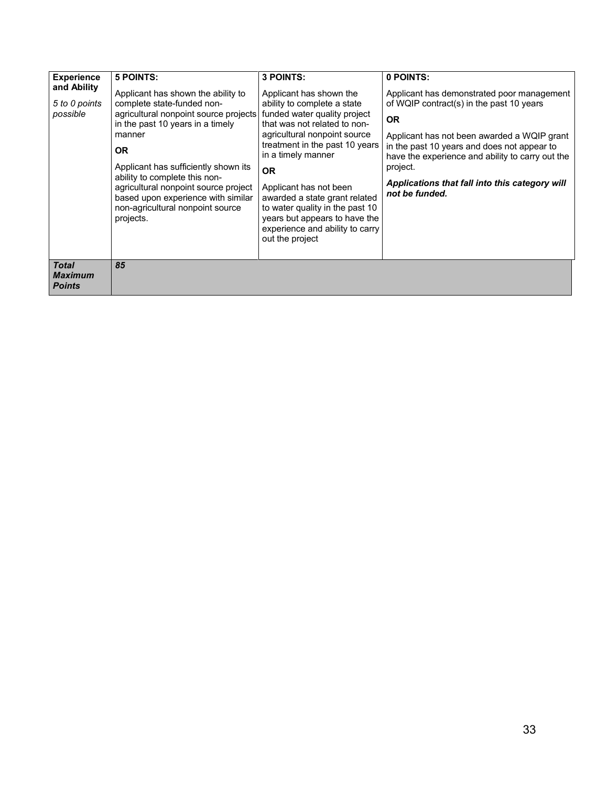| <b>Experience</b><br>and Ability<br>5 to 0 points<br>possible | 5 POINTS:<br>Applicant has shown the ability to<br>complete state-funded non-<br>agricultural nonpoint source projects<br>in the past 10 years in a timely<br>manner<br><b>OR</b><br>Applicant has sufficiently shown its<br>ability to complete this non-<br>agricultural nonpoint source project<br>based upon experience with similar<br>non-agricultural nonpoint source<br>projects. | 3 POINTS:<br>Applicant has shown the<br>ability to complete a state<br>funded water quality project<br>that was not related to non-<br>agricultural nonpoint source<br>treatment in the past 10 years<br>in a timely manner<br>OR.<br>Applicant has not been<br>awarded a state grant related<br>to water quality in the past 10<br>years but appears to have the<br>experience and ability to carry<br>out the project | 0 POINTS:<br>Applicant has demonstrated poor management<br>of WQIP contract(s) in the past 10 years<br><b>OR</b><br>Applicant has not been awarded a WQIP grant<br>in the past 10 years and does not appear to<br>have the experience and ability to carry out the<br>project.<br>Applications that fall into this category will<br>not be funded. |
|---------------------------------------------------------------|-------------------------------------------------------------------------------------------------------------------------------------------------------------------------------------------------------------------------------------------------------------------------------------------------------------------------------------------------------------------------------------------|-------------------------------------------------------------------------------------------------------------------------------------------------------------------------------------------------------------------------------------------------------------------------------------------------------------------------------------------------------------------------------------------------------------------------|----------------------------------------------------------------------------------------------------------------------------------------------------------------------------------------------------------------------------------------------------------------------------------------------------------------------------------------------------|
| <b>Total</b><br><b>Maximum</b><br><b>Points</b>               | 85                                                                                                                                                                                                                                                                                                                                                                                        |                                                                                                                                                                                                                                                                                                                                                                                                                         |                                                                                                                                                                                                                                                                                                                                                    |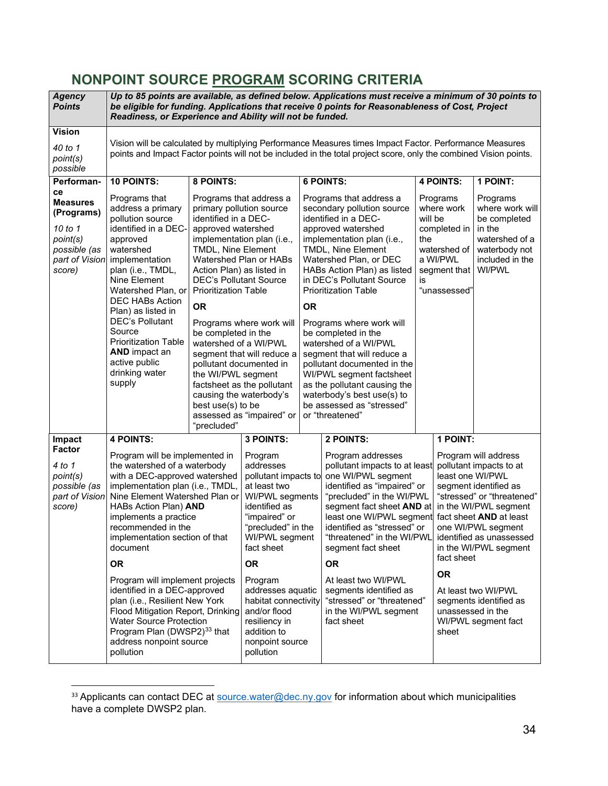## <span id="page-33-0"></span>**NONPOINT SOURCE PROGRAM SCORING CRITERIA**

| <b>Agency</b><br><b>Points</b>                                                                         |                                                                                                                                                                                                                                                                                                                                                                              | Up to 85 points are available, as defined below. Applications must receive a minimum of 30 points to<br>be eligible for funding. Applications that receive 0 points for Reasonableness of Cost, Project<br>Readiness, or Experience and Ability will not be funded.          |                                                                                                                                                                                                                                                                                        |           |                                                                                                                                                                                                                                                                                                                                                                                                                                                                                                                                                                 |                                                  |                                                                                                    |                                                                                                                                                                                                                                              |  |
|--------------------------------------------------------------------------------------------------------|------------------------------------------------------------------------------------------------------------------------------------------------------------------------------------------------------------------------------------------------------------------------------------------------------------------------------------------------------------------------------|------------------------------------------------------------------------------------------------------------------------------------------------------------------------------------------------------------------------------------------------------------------------------|----------------------------------------------------------------------------------------------------------------------------------------------------------------------------------------------------------------------------------------------------------------------------------------|-----------|-----------------------------------------------------------------------------------------------------------------------------------------------------------------------------------------------------------------------------------------------------------------------------------------------------------------------------------------------------------------------------------------------------------------------------------------------------------------------------------------------------------------------------------------------------------------|--------------------------------------------------|----------------------------------------------------------------------------------------------------|----------------------------------------------------------------------------------------------------------------------------------------------------------------------------------------------------------------------------------------------|--|
| <b>Vision</b><br>40 to 1<br>point(s)<br>possible                                                       |                                                                                                                                                                                                                                                                                                                                                                              | Vision will be calculated by multiplying Performance Measures times Impact Factor. Performance Measures<br>points and Impact Factor points will not be included in the total project score, only the combined Vision points.                                                 |                                                                                                                                                                                                                                                                                        |           |                                                                                                                                                                                                                                                                                                                                                                                                                                                                                                                                                                 |                                                  |                                                                                                    |                                                                                                                                                                                                                                              |  |
| Performan-                                                                                             | <b>10 POINTS:</b>                                                                                                                                                                                                                                                                                                                                                            | 8 POINTS:                                                                                                                                                                                                                                                                    |                                                                                                                                                                                                                                                                                        |           | <b>6 POINTS:</b>                                                                                                                                                                                                                                                                                                                                                                                                                                                                                                                                                |                                                  | <b>4 POINTS:</b>                                                                                   | 1 POINT:                                                                                                                                                                                                                                     |  |
| ce<br><b>Measures</b><br>(Programs)<br>10 to 1<br>point(s)<br>possible (as<br>part of Vision<br>score) | Programs that<br>address a primary<br>pollution source<br>identified in a DEC-<br>approved<br>watershed<br>implementation<br>plan (i.e., TMDL,<br>Nine Element<br>Watershed Plan, or<br><b>DEC HABs Action</b><br>Plan) as listed in<br><b>DEC's Pollutant</b><br>Source<br><b>Prioritization Table</b><br><b>AND</b> impact an<br>active public<br>drinking water<br>supply | identified in a DEC-<br>approved watershed<br><b>TMDL, Nine Element</b><br>Action Plan) as listed in<br><b>DEC's Pollutant Source</b><br><b>Prioritization Table</b><br><b>OR</b><br>be completed in the<br>watershed of a WI/PWL<br>the WI/PWL segment<br>best use(s) to be | Programs that address a<br>primary pollution source<br>implementation plan (i.e.,<br>Watershed Plan or HABs<br>Programs where work will<br>segment that will reduce a<br>pollutant documented in<br>factsheet as the pollutant<br>causing the waterbody's<br>assessed as "impaired" or | <b>OR</b> | Programs that address a<br>secondary pollution source<br>identified in a DEC-<br>approved watershed<br>implementation plan (i.e.,<br>TMDL, Nine Element<br>Watershed Plan, or DEC<br>HABs Action Plan) as listed<br>in DEC's Pollutant Source<br><b>Prioritization Table</b><br>Programs where work will<br>be completed in the<br>watershed of a WI/PWL<br>segment that will reduce a<br>pollutant documented in the<br>WI/PWL segment factsheet<br>as the pollutant causing the<br>waterbody's best use(s) to<br>be assessed as "stressed"<br>or "threatened" | will be<br>the<br>is                             | Programs<br>where work<br>completed in<br>watershed of<br>a WI/PWL<br>segment that<br>"unassessed" | Programs<br>where work will<br>be completed<br>in the<br>watershed of a<br>waterbody not<br>included in the<br>WI/PWL                                                                                                                        |  |
| Impact                                                                                                 |                                                                                                                                                                                                                                                                                                                                                                              | "precluded"                                                                                                                                                                                                                                                                  | 3 POINTS:                                                                                                                                                                                                                                                                              |           | 2 POINTS:                                                                                                                                                                                                                                                                                                                                                                                                                                                                                                                                                       |                                                  | 1 POINT:                                                                                           |                                                                                                                                                                                                                                              |  |
| Factor<br>4 to 1<br>point(s)<br>possible (as<br>part of Vision<br>score)                               | <b>4 POINTS:</b><br>Program will be implemented in<br>the watershed of a waterbody<br>with a DEC-approved watershed<br>implementation plan (i.e., TMDL,<br>Nine Element Watershed Plan or<br>HABs Action Plan) AND<br>implements a practice<br>recommended in the<br>implementation section of that<br>document                                                              |                                                                                                                                                                                                                                                                              | Program<br>addresses<br>pollutant impacts to<br>at least two<br>WI/PWL segments<br>identified as<br>"impaired" or<br>"precluded" in the<br>WI/PWL segment<br>fact sheet                                                                                                                |           | Program addresses<br>pollutant impacts to at least<br>one WI/PWL segment<br>identified as "impaired" or<br>"precluded" in the WI/PWL<br>segment fact sheet AND at<br>least one WI/PWL segment<br>identified as "stressed" or<br>"threatened" in the WI/PWL<br>segment fact sheet                                                                                                                                                                                                                                                                                | least one WI/PWL                                 |                                                                                                    | Program will address<br>pollutant impacts to at<br>segment identified as<br>"stressed" or "threatened"<br>in the WI/PWL segment<br>fact sheet <b>AND</b> at least<br>one WI/PWL segment<br>identified as unassessed<br>in the WI/PWL segment |  |
|                                                                                                        |                                                                                                                                                                                                                                                                                                                                                                              |                                                                                                                                                                                                                                                                              | <b>OR</b>                                                                                                                                                                                                                                                                              |           | <b>OR</b>                                                                                                                                                                                                                                                                                                                                                                                                                                                                                                                                                       |                                                  | fact sheet                                                                                         |                                                                                                                                                                                                                                              |  |
|                                                                                                        | <b>OR</b><br>Program will implement projects<br>identified in a DEC-approved<br>plan (i.e., Resilient New York<br>Flood Mitigation Report, Drinking<br><b>Water Source Protection</b><br>Program Plan (DWSP2) <sup>33</sup> that<br>address nonpoint source<br>pollution                                                                                                     |                                                                                                                                                                                                                                                                              | Program<br>addresses aquatic<br>habitat connectivity<br>and/or flood<br>resiliency in<br>addition to<br>nonpoint source<br>pollution                                                                                                                                                   |           | At least two WI/PWL<br>segments identified as<br>in the WI/PWL segment<br>fact sheet                                                                                                                                                                                                                                                                                                                                                                                                                                                                            | <b>OR</b><br>"stressed" or "threatened"<br>sheet |                                                                                                    | At least two WI/PWL<br>segments identified as<br>unassessed in the<br>WI/PWL segment fact                                                                                                                                                    |  |

<span id="page-33-1"></span><sup>&</sup>lt;sup>33</sup> Applicants can contact DEC at **source**.water@dec.ny.gov for information about which municipalities have a complete DWSP2 plan.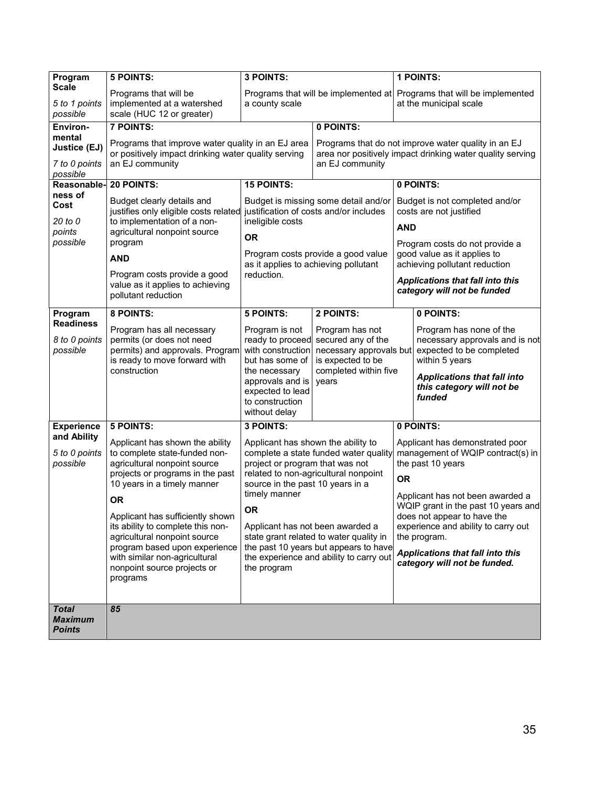| Program                         | <b>5 POINTS:</b>                                                                                         | 3 POINTS:                                                                                                                                                                                                                                        |                                                                                                                  | 1 POINTS:                                                                                                                                                                                            |                                                           |  |
|---------------------------------|----------------------------------------------------------------------------------------------------------|--------------------------------------------------------------------------------------------------------------------------------------------------------------------------------------------------------------------------------------------------|------------------------------------------------------------------------------------------------------------------|------------------------------------------------------------------------------------------------------------------------------------------------------------------------------------------------------|-----------------------------------------------------------|--|
| <b>Scale</b>                    | Programs that will be                                                                                    | Programs that will be implemented at Programs that will be implemented                                                                                                                                                                           |                                                                                                                  |                                                                                                                                                                                                      |                                                           |  |
| 5 to 1 points                   | implemented at a watershed                                                                               | a county scale                                                                                                                                                                                                                                   |                                                                                                                  |                                                                                                                                                                                                      | at the municipal scale                                    |  |
| possible                        | scale (HUC 12 or greater)                                                                                |                                                                                                                                                                                                                                                  |                                                                                                                  |                                                                                                                                                                                                      |                                                           |  |
| Environ-                        | 7 POINTS:                                                                                                |                                                                                                                                                                                                                                                  | 0 POINTS:                                                                                                        |                                                                                                                                                                                                      |                                                           |  |
| mental<br><b>Justice (EJ)</b>   | Programs that improve water quality in an EJ area<br>or positively impact drinking water quality serving |                                                                                                                                                                                                                                                  | Programs that do not improve water quality in an EJ<br>area nor positively impact drinking water quality serving |                                                                                                                                                                                                      |                                                           |  |
| 7 to 0 points<br>possible       | an EJ community<br>an EJ community                                                                       |                                                                                                                                                                                                                                                  |                                                                                                                  |                                                                                                                                                                                                      |                                                           |  |
| Reasonable-                     | 20 POINTS:                                                                                               | <b>15 POINTS:</b>                                                                                                                                                                                                                                |                                                                                                                  |                                                                                                                                                                                                      | 0 POINTS:                                                 |  |
| ness of<br>Cost                 | Budget clearly details and<br>justifies only eligible costs related                                      | Budget is missing some detail and/or<br>justification of costs and/or includes                                                                                                                                                                   |                                                                                                                  |                                                                                                                                                                                                      | Budget is not completed and/or<br>costs are not justified |  |
| 20 to 0<br>points               | to implementation of a non-<br>agricultural nonpoint source                                              | ineligible costs                                                                                                                                                                                                                                 |                                                                                                                  | <b>AND</b>                                                                                                                                                                                           |                                                           |  |
| possible                        | program                                                                                                  | <b>OR</b>                                                                                                                                                                                                                                        |                                                                                                                  | Program costs do not provide a                                                                                                                                                                       |                                                           |  |
|                                 | <b>AND</b>                                                                                               | Program costs provide a good value<br>as it applies to achieving pollutant<br>reduction.                                                                                                                                                         |                                                                                                                  | good value as it applies to<br>achieving pollutant reduction                                                                                                                                         |                                                           |  |
|                                 | Program costs provide a good<br>value as it applies to achieving<br>pollutant reduction                  |                                                                                                                                                                                                                                                  |                                                                                                                  | <b>Applications that fall into this</b><br>category will not be funded                                                                                                                               |                                                           |  |
| Program                         | 8 POINTS:                                                                                                | <b>5 POINTS:</b>                                                                                                                                                                                                                                 | 2 POINTS:                                                                                                        |                                                                                                                                                                                                      | 0 POINTS:                                                 |  |
| <b>Readiness</b>                | Program has all necessary                                                                                | Program is not                                                                                                                                                                                                                                   | Program has not                                                                                                  |                                                                                                                                                                                                      | Program has none of the                                   |  |
| 8 to 0 points                   | permits (or does not need                                                                                | ready to proceed                                                                                                                                                                                                                                 | secured any of the<br>necessary approvals and is not                                                             |                                                                                                                                                                                                      |                                                           |  |
| possible                        | permits) and approvals. Program                                                                          | with construction                                                                                                                                                                                                                                | necessary approvals but<br>expected to be completed                                                              |                                                                                                                                                                                                      |                                                           |  |
|                                 | is ready to move forward with<br>construction                                                            | but has some of<br>the necessary                                                                                                                                                                                                                 | is expected to be<br>completed within five                                                                       | within 5 years                                                                                                                                                                                       |                                                           |  |
|                                 |                                                                                                          | approvals and is                                                                                                                                                                                                                                 | years                                                                                                            | <b>Applications that fall into</b>                                                                                                                                                                   |                                                           |  |
|                                 |                                                                                                          | expected to lead                                                                                                                                                                                                                                 |                                                                                                                  |                                                                                                                                                                                                      | this category will not be<br>funded                       |  |
|                                 |                                                                                                          | to construction                                                                                                                                                                                                                                  |                                                                                                                  |                                                                                                                                                                                                      |                                                           |  |
|                                 |                                                                                                          | without delay                                                                                                                                                                                                                                    |                                                                                                                  |                                                                                                                                                                                                      |                                                           |  |
| <b>Experience</b>               | 5 POINTS:                                                                                                | 3 POINTS:                                                                                                                                                                                                                                        |                                                                                                                  |                                                                                                                                                                                                      | 0 POINTS:                                                 |  |
| and Ability                     | Applicant has shown the ability                                                                          | Applicant has shown the ability to                                                                                                                                                                                                               |                                                                                                                  | Applicant has demonstrated poor                                                                                                                                                                      |                                                           |  |
| 5 to 0 points                   | to complete state-funded non-                                                                            | complete a state funded water quality                                                                                                                                                                                                            |                                                                                                                  | management of WQIP contract(s) in                                                                                                                                                                    |                                                           |  |
| possible                        | agricultural nonpoint source<br>projects or programs in the past                                         | project or program that was not<br>related to non-agricultural nonpoint                                                                                                                                                                          |                                                                                                                  |                                                                                                                                                                                                      | the past 10 years                                         |  |
|                                 | 10 years in a timely manner                                                                              | source in the past 10 years in a<br>timely manner<br><b>OR</b><br>Applicant has not been awarded a<br>state grant related to water quality in<br>the past 10 years but appears to have<br>the experience and ability to carry out<br>the program |                                                                                                                  | <b>OR</b>                                                                                                                                                                                            |                                                           |  |
|                                 | <b>OR</b>                                                                                                |                                                                                                                                                                                                                                                  |                                                                                                                  |                                                                                                                                                                                                      | Applicant has not been awarded a                          |  |
|                                 |                                                                                                          |                                                                                                                                                                                                                                                  |                                                                                                                  | WQIP grant in the past 10 years and<br>does not appear to have the<br>experience and ability to carry out<br>the program.<br><b>Applications that fall into this</b><br>category will not be funded. |                                                           |  |
|                                 | Applicant has sufficiently shown<br>its ability to complete this non-                                    |                                                                                                                                                                                                                                                  |                                                                                                                  |                                                                                                                                                                                                      |                                                           |  |
|                                 | agricultural nonpoint source                                                                             |                                                                                                                                                                                                                                                  |                                                                                                                  |                                                                                                                                                                                                      |                                                           |  |
|                                 | program based upon experience                                                                            |                                                                                                                                                                                                                                                  |                                                                                                                  |                                                                                                                                                                                                      |                                                           |  |
|                                 | with similar non-agricultural<br>nonpoint source projects or                                             |                                                                                                                                                                                                                                                  |                                                                                                                  |                                                                                                                                                                                                      |                                                           |  |
|                                 | programs                                                                                                 |                                                                                                                                                                                                                                                  |                                                                                                                  |                                                                                                                                                                                                      |                                                           |  |
|                                 |                                                                                                          |                                                                                                                                                                                                                                                  |                                                                                                                  |                                                                                                                                                                                                      |                                                           |  |
| <b>Total</b>                    | 85                                                                                                       |                                                                                                                                                                                                                                                  |                                                                                                                  |                                                                                                                                                                                                      |                                                           |  |
| <b>Maximum</b><br><b>Points</b> |                                                                                                          |                                                                                                                                                                                                                                                  |                                                                                                                  |                                                                                                                                                                                                      |                                                           |  |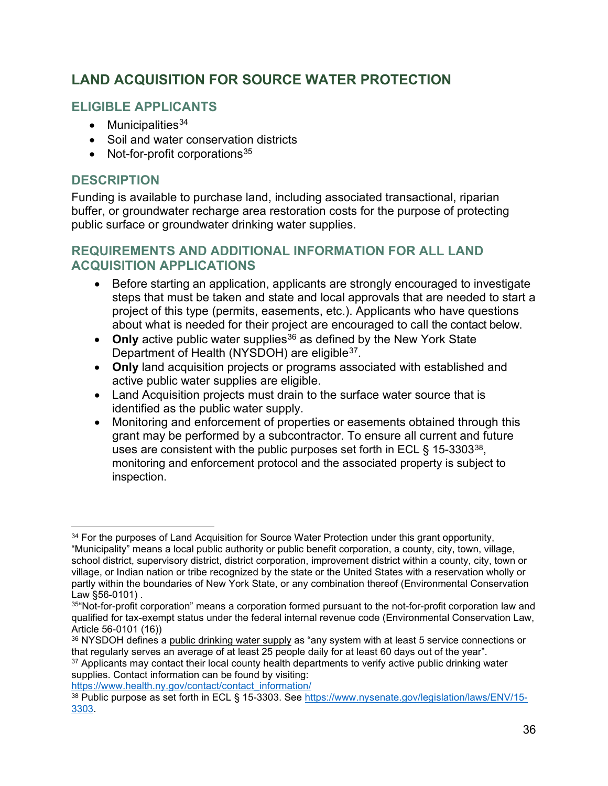## <span id="page-35-0"></span>**LAND ACQUISITION FOR SOURCE WATER PROTECTION**

#### **ELIGIBLE APPLICANTS**

- Municipalities $34$
- Soil and water conservation districts
- Not-for-profit corporations  $35$

#### **DESCRIPTION**

Funding is available to purchase land, including associated transactional, riparian buffer, or groundwater recharge area restoration costs for the purpose of protecting public surface or groundwater drinking water supplies.

#### **REQUIREMENTS AND ADDITIONAL INFORMATION FOR ALL LAND ACQUISITION APPLICATIONS**

- Before starting an application, applicants are strongly encouraged to investigate steps that must be taken and state and local approvals that are needed to start a project of this type (permits, easements, etc.). Applicants who have questions about what is needed for their project are encouraged to call the contact below.
- Only active public water supplies<sup>[36](#page-35-3)</sup> as defined by the New York State Department of Health (NYSDOH) are eligible<sup>37</sup>.
- **Only** land acquisition projects or programs associated with established and active public water supplies are eligible.
- Land Acquisition projects must drain to the surface water source that is identified as the public water supply.
- Monitoring and enforcement of properties or easements obtained through this grant may be performed by a subcontractor. To ensure all current and future uses are consistent with the public purposes set forth in ECL  $\S$  15-3303<sup>38</sup>. monitoring and enforcement protocol and the associated property is subject to inspection.

<span id="page-35-1"></span><sup>&</sup>lt;sup>34</sup> For the purposes of Land Acquisition for Source Water Protection under this grant opportunity, "Municipality" means a local public authority or public benefit corporation, a county, city, town, village, school district, supervisory district, district corporation, improvement district within a county, city, town or village, or Indian nation or tribe recognized by the state or the United States with a reservation wholly or partly within the boundaries of New York State, or any combination thereof (Environmental Conservation Law §56-0101) .

<span id="page-35-2"></span><sup>35&</sup>quot;Not-for-profit corporation" means a corporation formed pursuant to the not-for-profit corporation law and qualified for tax-exempt status under the federal internal revenue code (Environmental Conservation Law, Article 56-0101 (16))

<span id="page-35-3"></span><sup>36</sup> NYSDOH defines a public drinking water supply as "any system with at least 5 service connections or that regularly serves an average of at least 25 people daily for at least 60 days out of the year".

<span id="page-35-4"></span><sup>&</sup>lt;sup>37</sup> Applicants may contact their local county health departments to verify active public drinking water supplies. Contact information can be found by visiting:

<span id="page-35-5"></span>https://www.health.ny.gov/contact/contact\_information/<br><sup>38</sup> Public purpose as set forth in ECL § 15-3303. See [https://www.nysenate.gov/legislation/laws/ENV/15-](https://www.nysenate.gov/legislation/laws/ENV/15-3303) [3303.](https://www.nysenate.gov/legislation/laws/ENV/15-3303)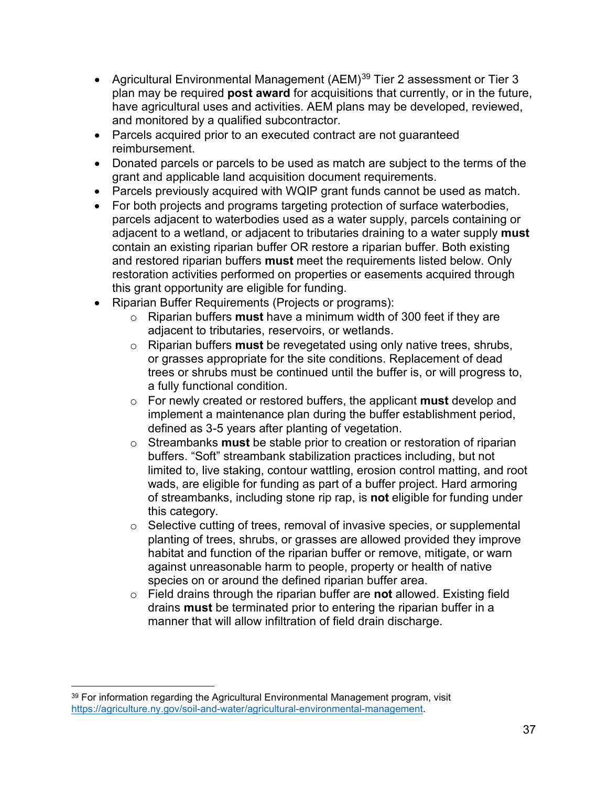- Agricultural Environmental Management (AEM)<sup>[39](#page-36-0)</sup> Tier 2 assessment or Tier 3 plan may be required **post award** for acquisitions that currently, or in the future, have agricultural uses and activities. AEM plans may be developed, reviewed, and monitored by a qualified subcontractor.
- Parcels acquired prior to an executed contract are not guaranteed reimbursement.
- Donated parcels or parcels to be used as match are subject to the terms of the grant and applicable land acquisition document requirements.
- Parcels previously acquired with WQIP grant funds cannot be used as match.
- For both projects and programs targeting protection of surface waterbodies, parcels adjacent to waterbodies used as a water supply, parcels containing or adjacent to a wetland, or adjacent to tributaries draining to a water supply **must** contain an existing riparian buffer OR restore a riparian buffer. Both existing and restored riparian buffers **must** meet the requirements listed below. Only restoration activities performed on properties or easements acquired through this grant opportunity are eligible for funding.
- Riparian Buffer Requirements (Projects or programs):
	- o Riparian buffers **must** have a minimum width of 300 feet if they are adjacent to tributaries, reservoirs, or wetlands.
	- o Riparian buffers **must** be revegetated using only native trees, shrubs, or grasses appropriate for the site conditions. Replacement of dead trees or shrubs must be continued until the buffer is, or will progress to, a fully functional condition.
	- o For newly created or restored buffers, the applicant **must** develop and implement a maintenance plan during the buffer establishment period, defined as 3-5 years after planting of vegetation.
	- o Streambanks **must** be stable prior to creation or restoration of riparian buffers. "Soft" streambank stabilization practices including, but not limited to, live staking, contour wattling, erosion control matting, and root wads, are eligible for funding as part of a buffer project. Hard armoring of streambanks, including stone rip rap, is **not** eligible for funding under this category.
	- $\circ$  Selective cutting of trees, removal of invasive species, or supplemental planting of trees, shrubs, or grasses are allowed provided they improve habitat and function of the riparian buffer or remove, mitigate, or warn against unreasonable harm to people, property or health of native species on or around the defined riparian buffer area.
	- o Field drains through the riparian buffer are **not** allowed. Existing field drains **must** be terminated prior to entering the riparian buffer in a manner that will allow infiltration of field drain discharge.

<span id="page-36-0"></span><sup>&</sup>lt;sup>39</sup> For information regarding the Agricultural Environmental Management program, visit [https://agriculture.ny.gov/soil-and-water/agricultural-environmental-management.](https://agriculture.ny.gov/soil-and-water/agricultural-environmental-management)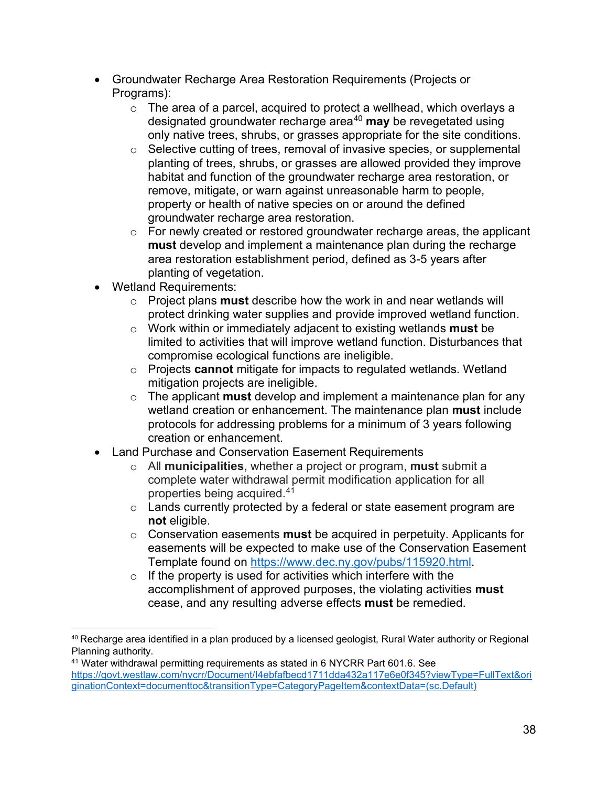- Groundwater Recharge Area Restoration Requirements (Projects or Programs):
	- o The area of a parcel, acquired to protect a wellhead, which overlays a designated groundwater recharge area<sup>[40](#page-37-0)</sup> may be revegetated using only native trees, shrubs, or grasses appropriate for the site conditions.
	- o Selective cutting of trees, removal of invasive species, or supplemental planting of trees, shrubs, or grasses are allowed provided they improve habitat and function of the groundwater recharge area restoration, or remove, mitigate, or warn against unreasonable harm to people, property or health of native species on or around the defined groundwater recharge area restoration.
	- $\circ$  For newly created or restored groundwater recharge areas, the applicant **must** develop and implement a maintenance plan during the recharge area restoration establishment period, defined as 3-5 years after planting of vegetation.
- Wetland Requirements:
	- o Project plans **must** describe how the work in and near wetlands will protect drinking water supplies and provide improved wetland function.
	- o Work within or immediately adjacent to existing wetlands **must** be limited to activities that will improve wetland function. Disturbances that compromise ecological functions are ineligible.
	- o Projects **cannot** mitigate for impacts to regulated wetlands. Wetland mitigation projects are ineligible.
	- o The applicant **must** develop and implement a maintenance plan for any wetland creation or enhancement. The maintenance plan **must** include protocols for addressing problems for a minimum of 3 years following creation or enhancement.
- Land Purchase and Conservation Easement Requirements
	- o All **municipalities**, whether a project or program, **must** submit a complete water withdrawal permit modification application for all properties being acquired.[41](#page-37-1)
	- o Lands currently protected by a federal or state easement program are **not** eligible.
	- o Conservation easements **must** be acquired in perpetuity. Applicants for easements will be expected to make use of the Conservation Easement Template found on [https://www.dec.ny.gov/pubs/115920.html.](https://www.dec.ny.gov/pubs/115920.html)
	- $\circ$  If the property is used for activities which interfere with the accomplishment of approved purposes, the violating activities **must** cease, and any resulting adverse effects **must** be remedied.

<span id="page-37-0"></span> $40$  Recharge area identified in a plan produced by a licensed geologist, Rural Water authority or Regional Planning authority.

<span id="page-37-1"></span><sup>41</sup> Water withdrawal permitting requirements as stated in 6 NYCRR Part 601.6. See [https://govt.westlaw.com/nycrr/Document/I4ebfafbecd1711dda432a117e6e0f345?viewType=FullText&ori](https://govt.westlaw.com/nycrr/Document/I4ebfafbecd1711dda432a117e6e0f345?viewType=FullText&originationContext=documenttoc&transitionType=CategoryPageItem&contextData=(sc.Default)) [ginationContext=documenttoc&transitionType=CategoryPageItem&contextData=\(sc.Default\)](https://govt.westlaw.com/nycrr/Document/I4ebfafbecd1711dda432a117e6e0f345?viewType=FullText&originationContext=documenttoc&transitionType=CategoryPageItem&contextData=(sc.Default))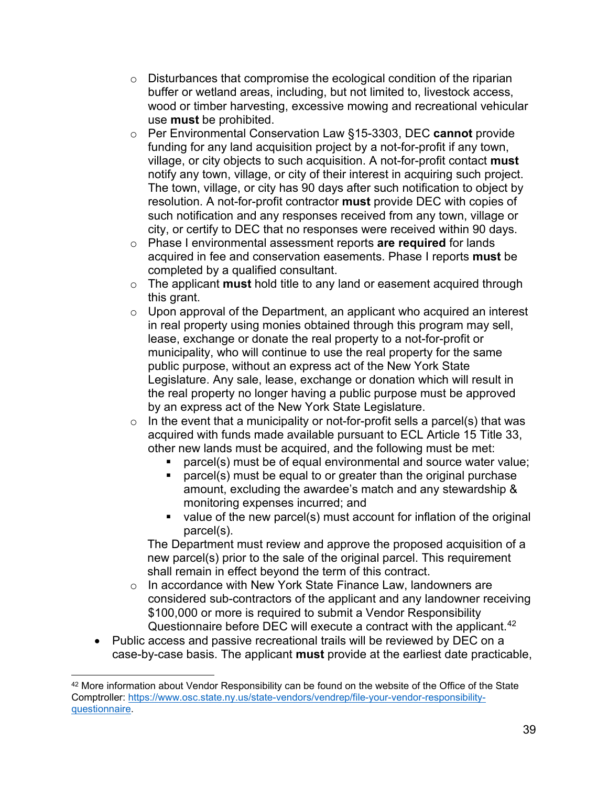- $\circ$  Disturbances that compromise the ecological condition of the riparian buffer or wetland areas, including, but not limited to, livestock access, wood or timber harvesting, excessive mowing and recreational vehicular use **must** be prohibited.
- o Per Environmental Conservation Law §15-3303, DEC **cannot** provide funding for any land acquisition project by a not-for-profit if any town, village, or city objects to such acquisition. A not-for-profit contact **must** notify any town, village, or city of their interest in acquiring such project. The town, village, or city has 90 days after such notification to object by resolution. A not-for-profit contractor **must** provide DEC with copies of such notification and any responses received from any town, village or city, or certify to DEC that no responses were received within 90 days.
- o Phase I environmental assessment reports **are required** for lands acquired in fee and conservation easements. Phase I reports **must** be completed by a qualified consultant.
- o The applicant **must** hold title to any land or easement acquired through this grant.
- o Upon approval of the Department, an applicant who acquired an interest in real property using monies obtained through this program may sell, lease, exchange or donate the real property to a not-for-profit or municipality, who will continue to use the real property for the same public purpose, without an express act of the New York State Legislature. Any sale, lease, exchange or donation which will result in the real property no longer having a public purpose must be approved by an express act of the New York State Legislature.
- $\circ$  In the event that a municipality or not-for-profit sells a parcel(s) that was acquired with funds made available pursuant to ECL Article 15 Title 33, other new lands must be acquired, and the following must be met:
	- parcel(s) must be of equal environmental and source water value;
	- parcel(s) must be equal to or greater than the original purchase amount, excluding the awardee's match and any stewardship & monitoring expenses incurred; and
	- value of the new parcel(s) must account for inflation of the original parcel(s).

The Department must review and approve the proposed acquisition of a new parcel(s) prior to the sale of the original parcel. This requirement shall remain in effect beyond the term of this contract.

- o In accordance with New York State Finance Law, landowners are considered sub-contractors of the applicant and any landowner receiving \$100,000 or more is required to submit a Vendor Responsibility Questionnaire before DEC will execute a contract with the applicant. [42](#page-38-0)
- Public access and passive recreational trails will be reviewed by DEC on a case-by-case basis. The applicant **must** provide at the earliest date practicable,

<span id="page-38-0"></span><sup>&</sup>lt;sup>42</sup> More information about Vendor Responsibility can be found on the website of the Office of the State Comptroller: [https://www.osc.state.ny.us/state-vendors/vendrep/file-your-vendor-responsibility](https://www.osc.state.ny.us/state-vendors/vendrep/file-your-vendor-responsibility-questionnaire)[questionnaire.](https://www.osc.state.ny.us/state-vendors/vendrep/file-your-vendor-responsibility-questionnaire)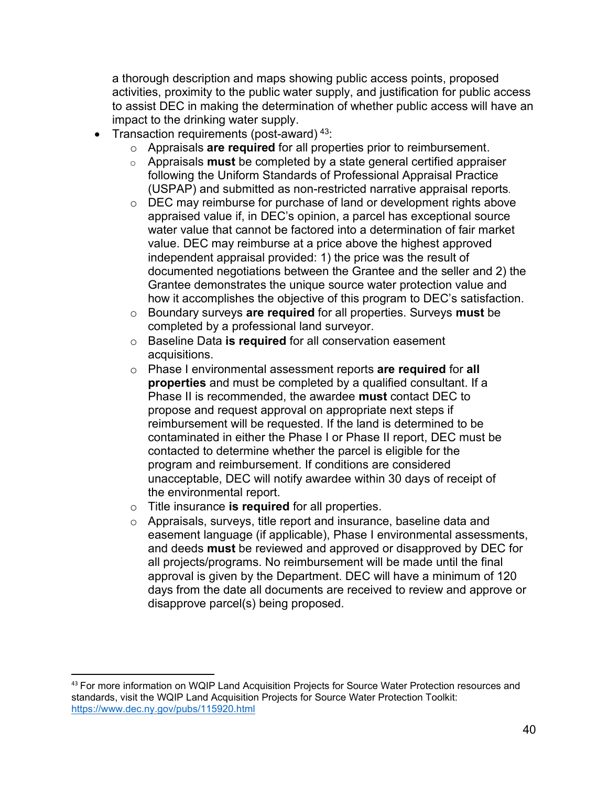a thorough description and maps showing public access points, proposed activities, proximity to the public water supply, and justification for public access to assist DEC in making the determination of whether public access will have an impact to the drinking water supply.

- Transaction requirements (post-award)<sup>[43](#page-39-0)</sup>:
	- o Appraisals **are required** for all properties prior to reimbursement.
	- o Appraisals **must** be completed by a state general certified appraiser following the Uniform Standards of Professional Appraisal Practice (USPAP) and submitted as non-restricted narrative appraisal reports.
	- o DEC may reimburse for purchase of land or development rights above appraised value if, in DEC's opinion, a parcel has exceptional source water value that cannot be factored into a determination of fair market value. DEC may reimburse at a price above the highest approved independent appraisal provided: 1) the price was the result of documented negotiations between the Grantee and the seller and 2) the Grantee demonstrates the unique source water protection value and how it accomplishes the objective of this program to DEC's satisfaction.
	- o Boundary surveys **are required** for all properties. Surveys **must** be completed by a professional land surveyor.
	- o Baseline Data **is required** for all conservation easement acquisitions.
	- o Phase I environmental assessment reports **are required** for **all properties** and must be completed by a qualified consultant. If a Phase II is recommended, the awardee **must** contact DEC to propose and request approval on appropriate next steps if reimbursement will be requested. If the land is determined to be contaminated in either the Phase I or Phase II report, DEC must be contacted to determine whether the parcel is eligible for the program and reimbursement. If conditions are considered unacceptable, DEC will notify awardee within 30 days of receipt of the environmental report.
	- o Title insurance **is required** for all properties.
	- o Appraisals, surveys, title report and insurance, baseline data and easement language (if applicable), Phase I environmental assessments, and deeds **must** be reviewed and approved or disapproved by DEC for all projects/programs. No reimbursement will be made until the final approval is given by the Department. DEC will have a minimum of 120 days from the date all documents are received to review and approve or disapprove parcel(s) being proposed.

<span id="page-39-0"></span><sup>&</sup>lt;sup>43</sup> For more information on WQIP Land Acquisition Projects for Source Water Protection resources and standards, visit the WQIP Land Acquisition Projects for Source Water Protection Toolkit: <https://www.dec.ny.gov/pubs/115920.html>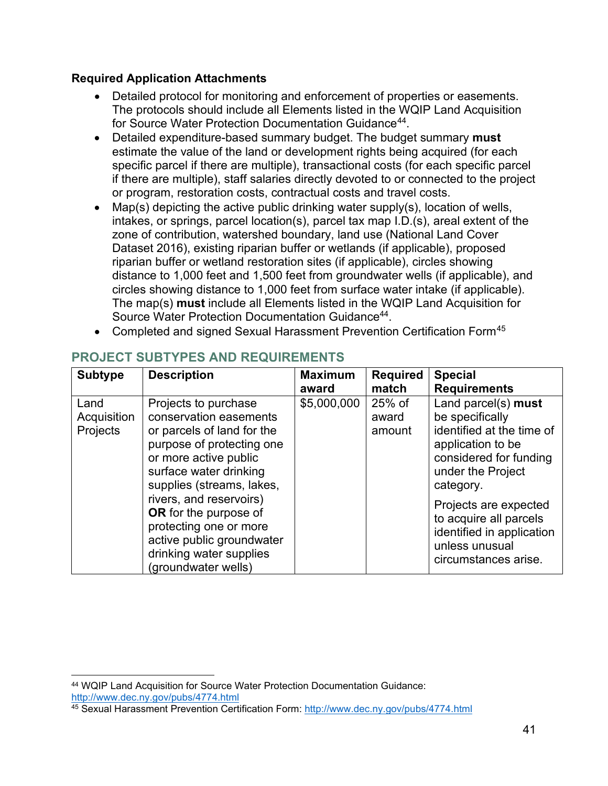#### **Required Application Attachments**

- <span id="page-40-0"></span>• Detailed protocol for monitoring and enforcement of properties or easements. The protocols should include all Elements listed in the WQIP Land Acquisition for Source Water Protection Documentation Guidance<sup>[44](#page-40-1)</sup>.
- Detailed expenditure-based summary budget. The budget summary **must** estimate the value of the land or development rights being acquired (for each specific parcel if there are multiple), transactional costs (for each specific parcel if there are multiple), staff salaries directly devoted to or connected to the project or program, restoration costs, contractual costs and travel costs.
- Map(s) depicting the active public drinking water supply(s), location of wells, intakes, or springs, parcel location(s), parcel tax map I.D.(s), areal extent of the zone of contribution, watershed boundary, land use (National Land Cover Dataset 2016), existing riparian buffer or wetlands (if applicable), proposed riparian buffer or wetland restoration sites (if applicable), circles showing distance to 1,000 feet and 1,500 feet from groundwater wells (if applicable), and circles showing distance to 1,000 feet from surface water intake (if applicable). The map(s) **must** include all Elements listed in the WQIP Land Acquisition for Source Water Protection Documentation Guidanc[e44.](#page-40-0)
- Completed and signed Sexual Harassment Prevention Certification Form<sup>[45](#page-40-2)</sup>

| <b>Subtype</b>                  | <b>Description</b>                                                                                                                                                                            | <b>Maximum</b> | <b>Required</b>           | <b>Special</b>                                                                                                                          |
|---------------------------------|-----------------------------------------------------------------------------------------------------------------------------------------------------------------------------------------------|----------------|---------------------------|-----------------------------------------------------------------------------------------------------------------------------------------|
|                                 |                                                                                                                                                                                               | award          | match                     | <b>Requirements</b>                                                                                                                     |
| Land<br>Acquisition<br>Projects | Projects to purchase<br>conservation easements<br>or parcels of land for the<br>purpose of protecting one<br>or more active public<br>surface water drinking                                  | \$5,000,000    | 25% of<br>award<br>amount | Land parcel(s) must<br>be specifically<br>identified at the time of<br>application to be<br>considered for funding<br>under the Project |
|                                 | supplies (streams, lakes,<br>rivers, and reservoirs)<br><b>OR</b> for the purpose of<br>protecting one or more<br>active public groundwater<br>drinking water supplies<br>(groundwater wells) |                |                           | category.<br>Projects are expected<br>to acquire all parcels<br>identified in application<br>unless unusual<br>circumstances arise.     |

## **PROJECT SUBTYPES AND REQUIREMENTS**

<span id="page-40-1"></span><sup>44</sup> WQIP Land Acquisition for Source Water Protection Documentation Guidance: <http://www.dec.ny.gov/pubs/4774.html>45 Sexual Harassment Prevention Certification Form:<http://www.dec.ny.gov/pubs/4774.html>

<span id="page-40-2"></span>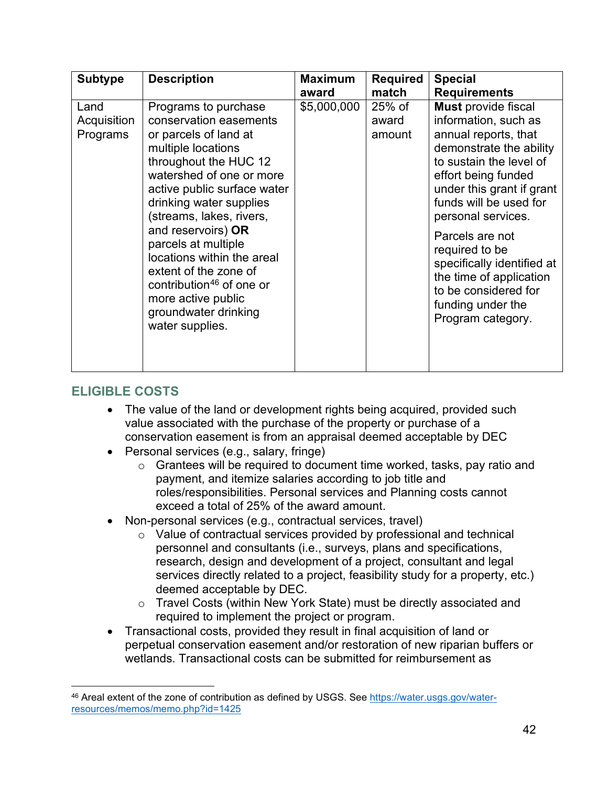| <b>Subtype</b>                  | <b>Description</b>                                                                                                                                                                                                                                                                                                                                                                                                                                    | <b>Maximum</b><br>award | <b>Required</b><br>match    | <b>Special</b><br><b>Requirements</b>                                                                                                                                                                                                                                                                                                                                                                |
|---------------------------------|-------------------------------------------------------------------------------------------------------------------------------------------------------------------------------------------------------------------------------------------------------------------------------------------------------------------------------------------------------------------------------------------------------------------------------------------------------|-------------------------|-----------------------------|------------------------------------------------------------------------------------------------------------------------------------------------------------------------------------------------------------------------------------------------------------------------------------------------------------------------------------------------------------------------------------------------------|
| Land<br>Acquisition<br>Programs | Programs to purchase<br>conservation easements<br>or parcels of land at<br>multiple locations<br>throughout the HUC 12<br>watershed of one or more<br>active public surface water<br>drinking water supplies<br>(streams, lakes, rivers,<br>and reservoirs) OR<br>parcels at multiple<br>locations within the areal<br>extent of the zone of<br>contribution <sup>46</sup> of one or<br>more active public<br>groundwater drinking<br>water supplies. | \$5,000,000             | $25%$ of<br>award<br>amount | <b>Must</b> provide fiscal<br>information, such as<br>annual reports, that<br>demonstrate the ability<br>to sustain the level of<br>effort being funded<br>under this grant if grant<br>funds will be used for<br>personal services.<br>Parcels are not<br>required to be<br>specifically identified at<br>the time of application<br>to be considered for<br>funding under the<br>Program category. |

#### **ELIGIBLE COSTS**

- The value of the land or development rights being acquired, provided such value associated with the purchase of the property or purchase of a conservation easement is from an appraisal deemed acceptable by DEC
- Personal services (e.g., salary, fringe)
	- o Grantees will be required to document time worked, tasks, pay ratio and payment, and itemize salaries according to job title and roles/responsibilities. Personal services and Planning costs cannot exceed a total of 25% of the award amount.
- Non-personal services (e.g., contractual services, travel)
	- o Value of contractual services provided by professional and technical personnel and consultants (i.e., surveys, plans and specifications, research, design and development of a project, consultant and legal services directly related to a project, feasibility study for a property, etc.) deemed acceptable by DEC.
	- o Travel Costs (within New York State) must be directly associated and required to implement the project or program.
- Transactional costs, provided they result in final acquisition of land or perpetual conservation easement and/or restoration of new riparian buffers or wetlands. Transactional costs can be submitted for reimbursement as

<span id="page-41-0"></span><sup>46</sup> Areal extent of the zone of contribution as defined by USGS. See [https://water.usgs.gov/water](https://water.usgs.gov/water-resources/memos/memo.php?id=1425)[resources/memos/memo.php?id=1425](https://water.usgs.gov/water-resources/memos/memo.php?id=1425)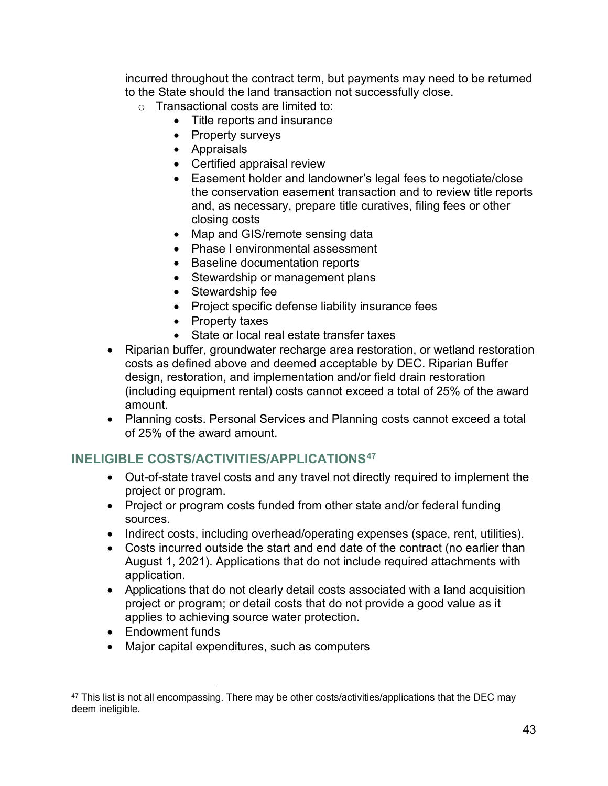incurred throughout the contract term, but payments may need to be returned to the State should the land transaction not successfully close.

- o Transactional costs are limited to:
	- Title reports and insurance
	- Property surveys
	- Appraisals
	- Certified appraisal review
	- Easement holder and landowner's legal fees to negotiate/close the conservation easement transaction and to review title reports and, as necessary, prepare title curatives, filing fees or other closing costs
	- Map and GIS/remote sensing data
	- Phase I environmental assessment
	- Baseline documentation reports
	- Stewardship or management plans
	- Stewardship fee
	- Project specific defense liability insurance fees
	- Property taxes
	- State or local real estate transfer taxes
- Riparian buffer, groundwater recharge area restoration, or wetland restoration costs as defined above and deemed acceptable by DEC. Riparian Buffer design, restoration, and implementation and/or field drain restoration (including equipment rental) costs cannot exceed a total of 25% of the award amount.
- Planning costs. Personal Services and Planning costs cannot exceed a total of 25% of the award amount.

## **INELIGIBLE COSTS/ACTIVITIES/APPLICATIONS[47](#page-42-0)**

- Out-of-state travel costs and any travel not directly required to implement the project or program.
- Project or program costs funded from other state and/or federal funding sources.
- Indirect costs, including overhead/operating expenses (space, rent, utilities).
- Costs incurred outside the start and end date of the contract (no earlier than August 1, 2021). Applications that do not include required attachments with application.
- Applications that do not clearly detail costs associated with a land acquisition project or program; or detail costs that do not provide a good value as it applies to achieving source water protection.
- Endowment funds
- Major capital expenditures, such as computers

<span id="page-42-0"></span><sup>47</sup> This list is not all encompassing. There may be other costs/activities/applications that the DEC may deem ineligible.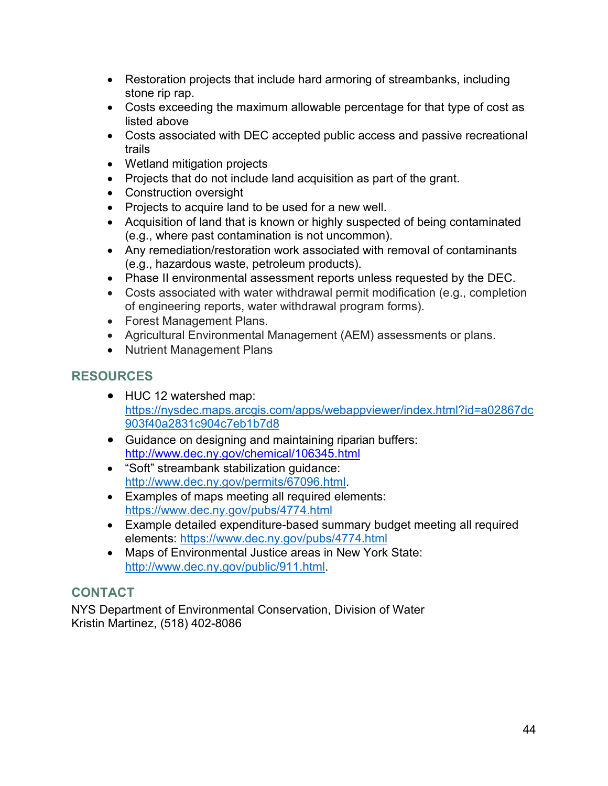- Restoration projects that include hard armoring of streambanks, including stone rip rap.
- Costs exceeding the maximum allowable percentage for that type of cost as listed above
- Costs associated with DEC accepted public access and passive recreational trails
- Wetland mitigation projects
- Projects that do not include land acquisition as part of the grant.
- Construction oversight
- Projects to acquire land to be used for a new well.
- Acquisition of land that is known or highly suspected of being contaminated (e.g., where past contamination is not uncommon).
- Any remediation/restoration work associated with removal of contaminants (e.g., hazardous waste, petroleum products).
- Phase II environmental assessment reports unless requested by the DEC.
- Costs associated with water withdrawal permit modification (e.g., completion of engineering reports, water withdrawal program forms).
- Forest Management Plans.
- Agricultural Environmental Management (AEM) assessments or plans.
- Nutrient Management Plans

## **RESOURCES**

- HUC 12 watershed map: [https://nysdec.maps.arcgis.com/apps/webappviewer/index.html?id=a02867dc](https://nysdec.maps.arcgis.com/apps/webappviewer/index.html?id=a02867dc903f40a2831c904c7eb1b7d8) [903f40a2831c904c7eb1b7d8](https://nysdec.maps.arcgis.com/apps/webappviewer/index.html?id=a02867dc903f40a2831c904c7eb1b7d8)
- Guidance on designing and maintaining riparian buffers: <http://www.dec.ny.gov/chemical/106345.html>
- "Soft" streambank stabilization guidance: [http://www.dec.ny.gov/permits/67096.html.](http://www.dec.ny.gov/permits/67096.html)
- Examples of maps meeting all required elements: <https://www.dec.ny.gov/pubs/4774.html>
- Example detailed expenditure-based summary budget meeting all required elements:<https://www.dec.ny.gov/pubs/4774.html>
- Maps of Environmental Justice areas in New York State[:](http://www.dec.ny.gov/public/911.html) [http://www.dec.ny.gov/public/911.html.](http://www.dec.ny.gov/public/911.html)

## **CONTACT**

NYS Department of Environmental Conservation, Division of Water Kristin Martinez, (518) 402-8086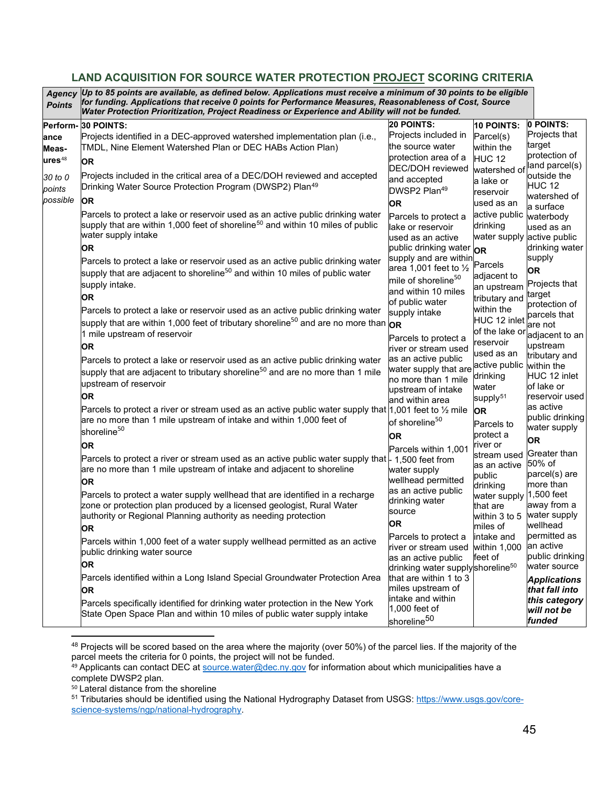#### <span id="page-44-1"></span><span id="page-44-0"></span>**LAND ACQUISITION FOR SOURCE WATER PROTECTION PROJECT SCORING CRITERIA**

| <b>Points</b>      | Agency Up to 85 points are available, as defined below. Applications must receive a minimum of 30 points to be eligible<br>for funding. Applications that receive 0 points for Performance Measures, Reasonableness of Cost, Source<br>Water Protection Prioritization, Project Readiness or Experience and Ability will not be funded. |                                              |                          |                             |
|--------------------|-----------------------------------------------------------------------------------------------------------------------------------------------------------------------------------------------------------------------------------------------------------------------------------------------------------------------------------------|----------------------------------------------|--------------------------|-----------------------------|
| Perform-           | 30 POINTS:                                                                                                                                                                                                                                                                                                                              | <b>20 POINTS:</b>                            | 10 POINTS:               | 0 POINTS:                   |
| ance               | Projects identified in a DEC-approved watershed implementation plan (i.e.,                                                                                                                                                                                                                                                              | Projects included in                         | Parcel(s)                | Projects that               |
| Meas-              | TMDL, Nine Element Watershed Plan or DEC HABs Action Plan)                                                                                                                                                                                                                                                                              | the source water                             | within the               | target                      |
| ures <sup>48</sup> | <b>OR</b>                                                                                                                                                                                                                                                                                                                               | protection area of a                         | <b>HUC 12</b>            | protection of               |
|                    |                                                                                                                                                                                                                                                                                                                                         | <b>DEC/DOH</b> reviewed                      | watershed of             | land parcel(s)              |
| 30 to 0            | Projects included in the critical area of a DEC/DOH reviewed and accepted                                                                                                                                                                                                                                                               | and accepted                                 | a lake or                | outside the                 |
| points             | Drinking Water Source Protection Program (DWSP2) Plan <sup>49</sup>                                                                                                                                                                                                                                                                     | DWSP2 Plan <sup>49</sup>                     | reservoir                | <b>HUC 12</b>               |
| possible           | <b>OR</b>                                                                                                                                                                                                                                                                                                                               | <b>OR</b>                                    | used as an               | watershed of<br>a surface   |
|                    | Parcels to protect a lake or reservoir used as an active public drinking water                                                                                                                                                                                                                                                          | Parcels to protect a                         | active public            | waterbody                   |
|                    | supply that are within 1,000 feet of shoreline $^{\rm 50}$ and within 10 miles of public                                                                                                                                                                                                                                                | lake or reservoir                            | drinking                 | used as an                  |
|                    | water supply intake                                                                                                                                                                                                                                                                                                                     | used as an active                            | water supply             | active public               |
|                    | <b>OR</b>                                                                                                                                                                                                                                                                                                                               | public drinking water OR                     |                          | drinking water              |
|                    | Parcels to protect a lake or reservoir used as an active public drinking water                                                                                                                                                                                                                                                          | supply and are within                        |                          | supply                      |
|                    | supply that are adjacent to shoreline <sup>50</sup> and within 10 miles of public water                                                                                                                                                                                                                                                 | area 1,001 feet to $\frac{1}{2}$             | Parcels                  | <b>OR</b>                   |
|                    |                                                                                                                                                                                                                                                                                                                                         | mile of shoreline <sup>50</sup>              | adjacent to              | Projects that               |
|                    | supply intake.                                                                                                                                                                                                                                                                                                                          | and within 10 miles                          | an upstream              | target                      |
|                    | <b>OR</b>                                                                                                                                                                                                                                                                                                                               | of public water                              | tributary and            | protection of               |
|                    | Parcels to protect a lake or reservoir used as an active public drinking water                                                                                                                                                                                                                                                          | supply intake                                | within the               | parcels that                |
|                    | supply that are within 1,000 feet of tributary shoreline <sup>50</sup> and are no more than $\mathsf{p}_\mathsf{R}$                                                                                                                                                                                                                     |                                              | HUC 12 inlet             | are not                     |
|                    | 1 mile upstream of reservoir                                                                                                                                                                                                                                                                                                            | Parcels to protect a                         | of the lake or           | adjacent to an              |
|                    | <b>OR</b>                                                                                                                                                                                                                                                                                                                               | river or stream used                         | reservoir                | upstream                    |
|                    | Parcels to protect a lake or reservoir used as an active public drinking water                                                                                                                                                                                                                                                          | as an active public                          | used as an               | tributary and               |
|                    | supply that are adjacent to tributary shoreline <sup>50</sup> and are no more than 1 mile                                                                                                                                                                                                                                               | water supply that are                        | active public            | within the                  |
|                    | upstream of reservoir                                                                                                                                                                                                                                                                                                                   | no more than 1 mile                          | drinking                 | HUC 12 inlet                |
|                    |                                                                                                                                                                                                                                                                                                                                         | upstream of intake                           | water                    | of lake or                  |
|                    | <b>OR</b>                                                                                                                                                                                                                                                                                                                               | and within area                              | supply <sup>51</sup>     | reservoir used<br>as active |
|                    | Parcels to protect a river or stream used as an active public water supply that $ 1,001$ feet to $\frac{1}{2}$ mile                                                                                                                                                                                                                     |                                              | <b>OR</b>                | public drinking             |
|                    | are no more than 1 mile upstream of intake and within 1,000 feet of                                                                                                                                                                                                                                                                     | of shoreline <sup>50</sup>                   | Parcels to               | water supply                |
|                    | shoreline <sup>50</sup>                                                                                                                                                                                                                                                                                                                 | OR.                                          | protect a                | <b>OR</b>                   |
|                    | OR                                                                                                                                                                                                                                                                                                                                      | Parcels within 1,001                         | river or                 |                             |
|                    | Parcels to protect a river or stream used as an active public water supply that $\downarrow$ 1,500 feet from                                                                                                                                                                                                                            |                                              | stream used              | Greater than                |
|                    | are no more than 1 mile upstream of intake and adjacent to shoreline                                                                                                                                                                                                                                                                    | water supply                                 | as an active             | 50% of<br>parcel(s) are     |
|                    | <b>OR</b>                                                                                                                                                                                                                                                                                                                               | wellhead permitted                           | public                   | more than                   |
|                    | Parcels to protect a water supply wellhead that are identified in a recharge                                                                                                                                                                                                                                                            | as an active public                          | drinking<br>water supply | 1,500 feet                  |
|                    | zone or protection plan produced by a licensed geologist, Rural Water                                                                                                                                                                                                                                                                   | drinking water                               | that are                 | away from a                 |
|                    | authority or Regional Planning authority as needing protection                                                                                                                                                                                                                                                                          | source                                       | within 3 to 5            | water supply                |
|                    | <b>OR</b>                                                                                                                                                                                                                                                                                                                               | <b>OR</b>                                    | miles of                 | wellhead                    |
|                    |                                                                                                                                                                                                                                                                                                                                         | Parcels to protect a                         | intake and               | permitted as                |
|                    | Parcels within 1,000 feet of a water supply wellhead permitted as an active<br>public drinking water source                                                                                                                                                                                                                             | river or stream used                         | within 1,000             | an active                   |
|                    |                                                                                                                                                                                                                                                                                                                                         | as an active public                          | feet of                  | public drinking             |
|                    | <b>OR</b>                                                                                                                                                                                                                                                                                                                               | drinking water supplyshoreline <sup>50</sup> |                          | water source                |
|                    | Parcels identified within a Long Island Special Groundwater Protection Area                                                                                                                                                                                                                                                             | that are within 1 to 3                       |                          | <b>Applications</b>         |
|                    | <b>OR</b>                                                                                                                                                                                                                                                                                                                               | miles upstream of                            |                          | that fall into              |
|                    | Parcels specifically identified for drinking water protection in the New York                                                                                                                                                                                                                                                           | intake and within                            |                          | this category               |
|                    | State Open Space Plan and within 10 miles of public water supply intake                                                                                                                                                                                                                                                                 | 1,000 feet of                                |                          | will not be                 |
|                    |                                                                                                                                                                                                                                                                                                                                         | shoreline <sup>50</sup>                      |                          | funded                      |

<span id="page-44-2"></span><sup>48</sup> Projects will be scored based on the area where the majority (over 50%) of the parcel lies. If the majority of the parcel meets the criteria for 0 points, the project will not be funded.

<span id="page-44-3"></span> $^{49}$  Applicants can contact DEC at  $\frac{\rm source.water@dec.ny.gov}$  $\frac{\rm source.water@dec.ny.gov}$  $\frac{\rm source.water@dec.ny.gov}$  for information about which municipalities have a complete DWSP2 plan.

<span id="page-44-4"></span><sup>50</sup> Lateral distance from the shoreline

<span id="page-44-5"></span><sup>51</sup> Tributaries should be identified using the National Hydrography Dataset from USGS: [https://www.usgs.gov/core](https://www.usgs.gov/core-science-systems/ngp/national-hydrography)[science-systems/ngp/national-hydrography.](https://www.usgs.gov/core-science-systems/ngp/national-hydrography)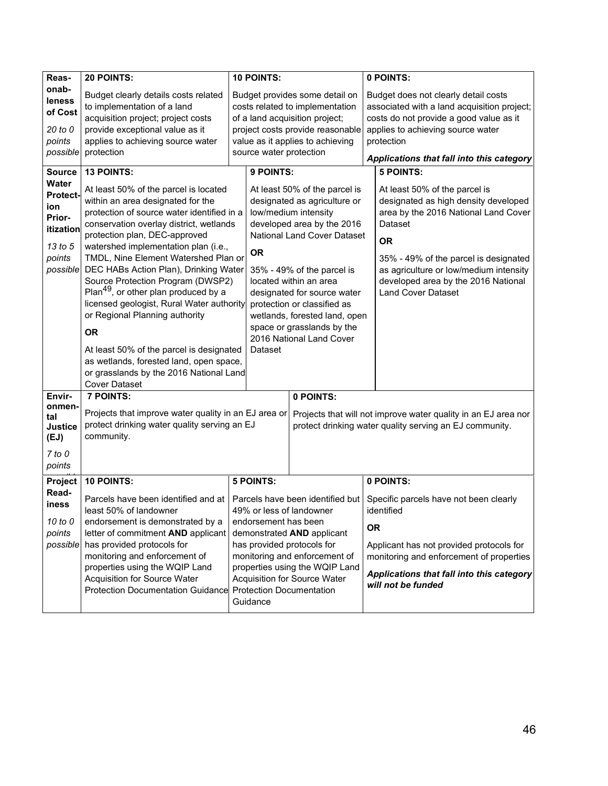| Reas-                                                                                          | 20 POINTS:                                                                                                                                                                                                                                                                                                                                                                                                                                                                                                                                                                                                                                           | 10 POINTS:                                                                |                                                                                                                                                                                                                                                                                                                                                                     | 0 POINTS:                                                                                                                                                                                                                                                                                    |  |  |
|------------------------------------------------------------------------------------------------|------------------------------------------------------------------------------------------------------------------------------------------------------------------------------------------------------------------------------------------------------------------------------------------------------------------------------------------------------------------------------------------------------------------------------------------------------------------------------------------------------------------------------------------------------------------------------------------------------------------------------------------------------|---------------------------------------------------------------------------|---------------------------------------------------------------------------------------------------------------------------------------------------------------------------------------------------------------------------------------------------------------------------------------------------------------------------------------------------------------------|----------------------------------------------------------------------------------------------------------------------------------------------------------------------------------------------------------------------------------------------------------------------------------------------|--|--|
| onab-<br>leness<br>of Cost<br>20 to 0<br>points<br>possible                                    | Budget clearly details costs related<br>to implementation of a land<br>acquisition project; project costs<br>provide exceptional value as it<br>applies to achieving source water<br>protection                                                                                                                                                                                                                                                                                                                                                                                                                                                      | source water protection                                                   | Budget provides some detail on<br>costs related to implementation<br>of a land acquisition project;<br>project costs provide reasonable<br>value as it applies to achieving                                                                                                                                                                                         | Budget does not clearly detail costs<br>associated with a land acquisition project;<br>costs do not provide a good value as it<br>applies to achieving source water<br>protection<br>Applications that fall into this category                                                               |  |  |
| <b>Source</b>                                                                                  | <b>13 POINTS:</b>                                                                                                                                                                                                                                                                                                                                                                                                                                                                                                                                                                                                                                    | 9 POINTS:                                                                 |                                                                                                                                                                                                                                                                                                                                                                     | <b>5 POINTS:</b>                                                                                                                                                                                                                                                                             |  |  |
| <b>Water</b><br><b>Protect-</b><br>ion<br>Prior-<br>itization<br>13 to 5<br>points<br>possible | At least 50% of the parcel is located<br>within an area designated for the<br>protection of source water identified in a<br>conservation overlay district, wetlands<br>protection plan, DEC-approved<br>watershed implementation plan (i.e.,<br>TMDL, Nine Element Watershed Plan or<br>DEC HABs Action Plan), Drinking Water<br>Source Protection Program (DWSP2)<br>Plan <sup>49</sup> , or other plan produced by a<br>licensed geologist, Rural Water authority<br>or Regional Planning authority<br><b>OR</b><br>At least 50% of the parcel is designated<br>as wetlands, forested land, open space,<br>or grasslands by the 2016 National Land | <b>OR</b><br>Dataset                                                      | At least 50% of the parcel is<br>designated as agriculture or<br>low/medium intensity<br>developed area by the 2016<br>National Land Cover Dataset<br>35% - 49% of the parcel is<br>located within an area<br>designated for source water<br>protection or classified as<br>wetlands, forested land, open<br>space or grasslands by the<br>2016 National Land Cover | At least 50% of the parcel is<br>designated as high density developed<br>area by the 2016 National Land Cover<br>Dataset<br><b>OR</b><br>35% - 49% of the parcel is designated<br>as agriculture or low/medium intensity<br>developed area by the 2016 National<br><b>Land Cover Dataset</b> |  |  |
|                                                                                                | <b>Cover Dataset</b>                                                                                                                                                                                                                                                                                                                                                                                                                                                                                                                                                                                                                                 |                                                                           |                                                                                                                                                                                                                                                                                                                                                                     |                                                                                                                                                                                                                                                                                              |  |  |
| Envir-<br>onmen∙<br>tal<br><b>Justice</b><br>(EJ)<br>$7$ to $0$<br>points                      | <b>7 POINTS:</b><br>Projects that improve water quality in an EJ area or<br>protect drinking water quality serving an EJ<br>community.                                                                                                                                                                                                                                                                                                                                                                                                                                                                                                               |                                                                           | 0 POINTS:                                                                                                                                                                                                                                                                                                                                                           | Projects that will not improve water quality in an EJ area nor<br>protect drinking water quality serving an EJ community.                                                                                                                                                                    |  |  |
|                                                                                                | 10 POINTS:                                                                                                                                                                                                                                                                                                                                                                                                                                                                                                                                                                                                                                           | <b>5 POINTS:</b>                                                          |                                                                                                                                                                                                                                                                                                                                                                     | 0 POINTS:                                                                                                                                                                                                                                                                                    |  |  |
| Project<br>Read-<br>iness<br>10 to 0<br>points                                                 | Parcels have been identified and at<br>least 50% of landowner<br>endorsement is demonstrated by a<br>letter of commitment AND applicant                                                                                                                                                                                                                                                                                                                                                                                                                                                                                                              | 49% or less of landowner<br>endorsement has been                          | Parcels have been identified but<br>demonstrated AND applicant                                                                                                                                                                                                                                                                                                      | Specific parcels have not been clearly<br>identified<br><b>OR</b>                                                                                                                                                                                                                            |  |  |
| possible                                                                                       | has provided protocols for<br>monitoring and enforcement of<br>properties using the WQIP Land<br>Acquisition for Source Water<br><b>Protection Documentation Guidance</b>                                                                                                                                                                                                                                                                                                                                                                                                                                                                            | has provided protocols for<br><b>Protection Documentation</b><br>Guidance | monitoring and enforcement of<br>properties using the WQIP Land<br>Acquisition for Source Water                                                                                                                                                                                                                                                                     | Applicant has not provided protocols for<br>monitoring and enforcement of properties<br>Applications that fall into this category<br>will not be funded                                                                                                                                      |  |  |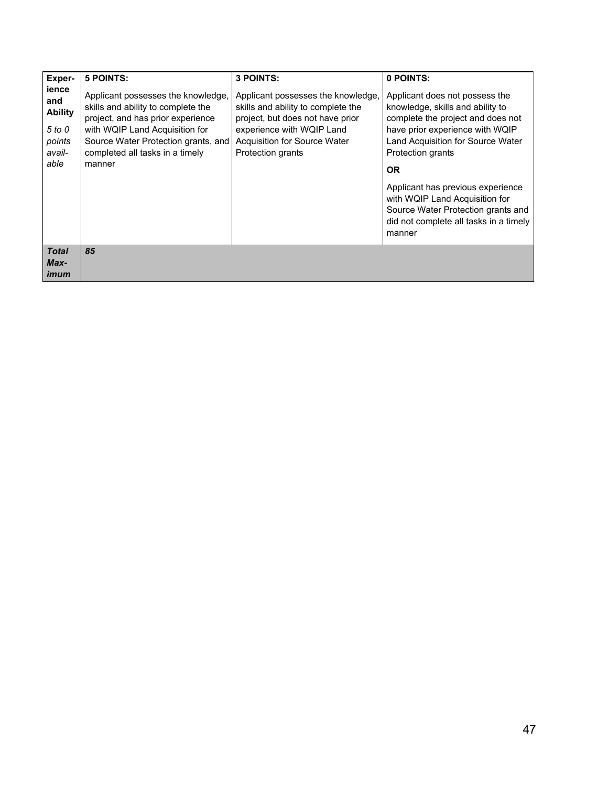| Exper-                                                               | <b>5 POINTS:</b>                                                                                                                                                                                                                    | <b>3 POINTS:</b>                                                                                                                                                                                      | 0 POINTS:                                                                                                                                                                                                                |
|----------------------------------------------------------------------|-------------------------------------------------------------------------------------------------------------------------------------------------------------------------------------------------------------------------------------|-------------------------------------------------------------------------------------------------------------------------------------------------------------------------------------------------------|--------------------------------------------------------------------------------------------------------------------------------------------------------------------------------------------------------------------------|
| ience<br>and<br><b>Ability</b><br>5 to 0<br>points<br>avail-<br>able | Applicant possesses the knowledge,<br>skills and ability to complete the<br>project, and has prior experience<br>with WQIP Land Acquisition for<br>Source Water Protection grants, and<br>completed all tasks in a timely<br>manner | Applicant possesses the knowledge,<br>skills and ability to complete the<br>project, but does not have prior<br>experience with WQIP Land<br>Acquisition for Source Water<br><b>Protection grants</b> | Applicant does not possess the<br>knowledge, skills and ability to<br>complete the project and does not<br>have prior experience with WQIP<br>Land Acquisition for Source Water<br><b>Protection grants</b><br><b>OR</b> |
|                                                                      |                                                                                                                                                                                                                                     |                                                                                                                                                                                                       | Applicant has previous experience<br>with WQIP Land Acquisition for<br>Source Water Protection grants and<br>did not complete all tasks in a timely<br>manner                                                            |
| <b>Total</b><br>Max-<br>imum                                         | 85                                                                                                                                                                                                                                  |                                                                                                                                                                                                       |                                                                                                                                                                                                                          |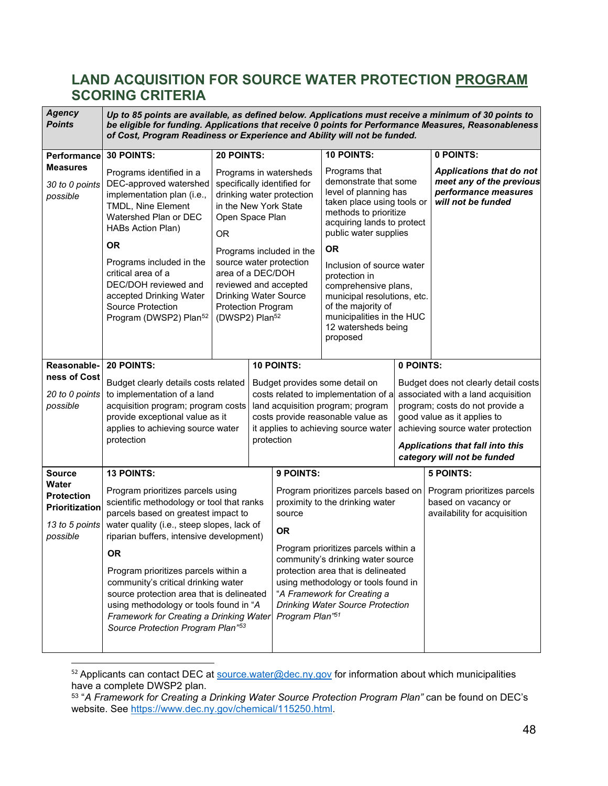## **LAND ACQUISITION FOR SOURCE WATER PROTECTION PROGRAM SCORING CRITERIA**

<span id="page-47-0"></span>

| <b>Agency</b><br><b>Points</b>                                             |                                                                                                                                                                                                                                                    |                                                                              | Up to 85 points are available, as defined below. Applications must receive a minimum of 30 points to<br>be eligible for funding. Applications that receive 0 points for Performance Measures, Reasonableness<br>of Cost, Program Readiness or Experience and Ability will not be funded. |                                                                                                                                                                                                        |                                                                                                                                                                                         |           |                                                                                                                                                                                                                                                             |  |  |  |  |
|----------------------------------------------------------------------------|----------------------------------------------------------------------------------------------------------------------------------------------------------------------------------------------------------------------------------------------------|------------------------------------------------------------------------------|------------------------------------------------------------------------------------------------------------------------------------------------------------------------------------------------------------------------------------------------------------------------------------------|--------------------------------------------------------------------------------------------------------------------------------------------------------------------------------------------------------|-----------------------------------------------------------------------------------------------------------------------------------------------------------------------------------------|-----------|-------------------------------------------------------------------------------------------------------------------------------------------------------------------------------------------------------------------------------------------------------------|--|--|--|--|
| <b>Performance</b>                                                         | <b>30 POINTS:</b>                                                                                                                                                                                                                                  | <b>20 POINTS:</b>                                                            |                                                                                                                                                                                                                                                                                          |                                                                                                                                                                                                        | 10 POINTS:                                                                                                                                                                              |           | 0 POINTS:                                                                                                                                                                                                                                                   |  |  |  |  |
| <b>Measures</b><br>30 to 0 points<br>possible                              | Programs identified in a<br>DEC-approved watershed<br>implementation plan (i.e.,<br>TMDL, Nine Element<br>Watershed Plan or DEC<br><b>HABs Action Plan)</b>                                                                                        | OR.                                                                          | Programs in watersheds<br>specifically identified for<br>drinking water protection<br>in the New York State<br>Open Space Plan                                                                                                                                                           |                                                                                                                                                                                                        | Programs that<br>demonstrate that some<br>level of planning has<br>taken place using tools or<br>methods to prioritize<br>acquiring lands to protect<br>public water supplies           |           | Applications that do not<br>meet any of the previous<br>performance measures<br>will not be funded                                                                                                                                                          |  |  |  |  |
|                                                                            | <b>OR</b>                                                                                                                                                                                                                                          |                                                                              |                                                                                                                                                                                                                                                                                          | Programs included in the                                                                                                                                                                               | <b>OR</b>                                                                                                                                                                               |           |                                                                                                                                                                                                                                                             |  |  |  |  |
|                                                                            | Programs included in the<br>critical area of a<br>DEC/DOH reviewed and<br>accepted Drinking Water<br>Source Protection<br>Program (DWSP2) Plan <sup>52</sup>                                                                                       | area of a DEC/DOH<br><b>Protection Program</b><br>(DWSP2) Plan <sup>52</sup> |                                                                                                                                                                                                                                                                                          | source water protection<br>reviewed and accepted<br>Drinking Water Source                                                                                                                              | Inclusion of source water<br>protection in<br>comprehensive plans,<br>municipal resolutions, etc.<br>of the majority of<br>municipalities in the HUC<br>12 watersheds being<br>proposed |           |                                                                                                                                                                                                                                                             |  |  |  |  |
| Reasonable-                                                                | 20 POINTS:                                                                                                                                                                                                                                         |                                                                              |                                                                                                                                                                                                                                                                                          | <b>10 POINTS:</b>                                                                                                                                                                                      |                                                                                                                                                                                         | 0 POINTS: |                                                                                                                                                                                                                                                             |  |  |  |  |
| ness of Cost<br>20 to 0 points<br>possible                                 | Budget clearly details costs related<br>to implementation of a land<br>acquisition program; program costs<br>provide exceptional value as it<br>applies to achieving source water<br>protection                                                    |                                                                              |                                                                                                                                                                                                                                                                                          | Budget provides some detail on<br>costs related to implementation of a<br>land acquisition program; program<br>costs provide reasonable value as<br>it applies to achieving source water<br>protection |                                                                                                                                                                                         |           | Budget does not clearly detail costs<br>associated with a land acquisition<br>program; costs do not provide a<br>good value as it applies to<br>achieving source water protection<br><b>Applications that fall into this</b><br>category will not be funded |  |  |  |  |
| <b>Source</b>                                                              | <b>13 POINTS:</b>                                                                                                                                                                                                                                  |                                                                              |                                                                                                                                                                                                                                                                                          | 9 POINTS:                                                                                                                                                                                              |                                                                                                                                                                                         |           | <b>5 POINTS:</b>                                                                                                                                                                                                                                            |  |  |  |  |
| Water<br><b>Protection</b><br>Prioritization<br>13 to 5 points<br>possible | Program prioritizes parcels using<br>scientific methodology or tool that ranks<br>parcels based on greatest impact to<br>water quality (i.e., steep slopes, lack of<br>riparian buffers, intensive development)                                    |                                                                              |                                                                                                                                                                                                                                                                                          | source<br><b>OR</b>                                                                                                                                                                                    | Program prioritizes parcels based on<br>proximity to the drinking water                                                                                                                 |           | Program prioritizes parcels<br>based on vacancy or<br>availability for acquisition                                                                                                                                                                          |  |  |  |  |
|                                                                            | <b>OR</b>                                                                                                                                                                                                                                          |                                                                              |                                                                                                                                                                                                                                                                                          |                                                                                                                                                                                                        | Program prioritizes parcels within a<br>community's drinking water source                                                                                                               |           |                                                                                                                                                                                                                                                             |  |  |  |  |
|                                                                            | Program prioritizes parcels within a<br>community's critical drinking water<br>source protection area that is delineated<br>using methodology or tools found in "A<br>Framework for Creating a Drinking Water<br>Source Protection Program Plan"53 |                                                                              |                                                                                                                                                                                                                                                                                          | Program Plan"51                                                                                                                                                                                        | protection area that is delineated<br>using methodology or tools found in<br>"A Framework for Creating a<br><b>Drinking Water Source Protection</b>                                     |           |                                                                                                                                                                                                                                                             |  |  |  |  |

<span id="page-47-1"></span>52 Applicants can contact DEC at [source.water@dec.ny.gov](mailto:source.water@dec.ny.gov) for information about which municipalities have a complete DWSP2 plan.

<span id="page-47-2"></span><sup>53 &</sup>quot;*A Framework for Creating a Drinking Water Source Protection Program Plan"* can be found on DEC's website. See [https://www.dec.ny.gov/chemical/115250.html.](https://www.dec.ny.gov/chemical/115250.html)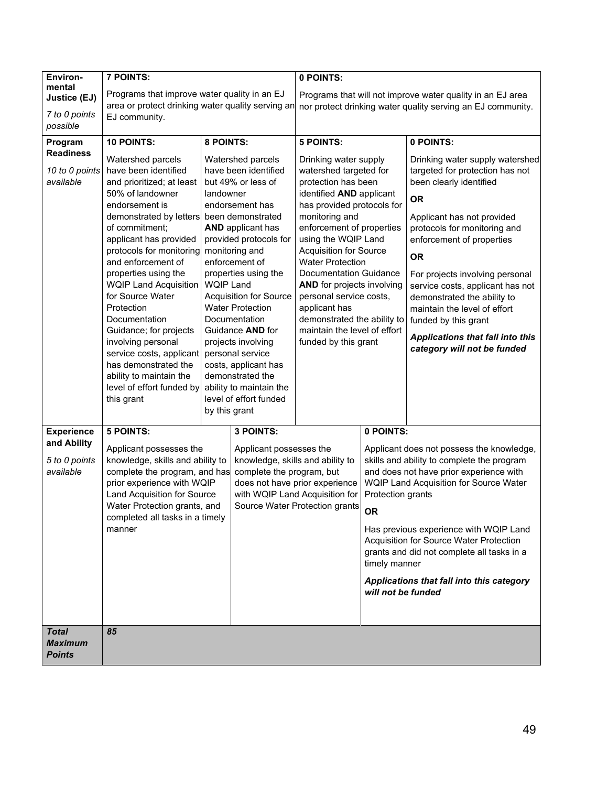| Environ-          | <b>7 POINTS:</b>                                                |                  |                                                          | 0 POINTS:                                                                                                                 |                    |                                                      |  |  |
|-------------------|-----------------------------------------------------------------|------------------|----------------------------------------------------------|---------------------------------------------------------------------------------------------------------------------------|--------------------|------------------------------------------------------|--|--|
| mental            | Programs that improve water quality in an EJ                    |                  |                                                          |                                                                                                                           |                    |                                                      |  |  |
| Justice (EJ)      | area or protect drinking water quality serving an               |                  |                                                          | Programs that will not improve water quality in an EJ area<br>nor protect drinking water quality serving an EJ community. |                    |                                                      |  |  |
| 7 to 0 points     | EJ community.                                                   |                  |                                                          |                                                                                                                           |                    |                                                      |  |  |
| possible          |                                                                 |                  |                                                          |                                                                                                                           |                    |                                                      |  |  |
| Program           | 10 POINTS:                                                      | 8 POINTS:        |                                                          | <b>5 POINTS:</b>                                                                                                          |                    | 0 POINTS:                                            |  |  |
| <b>Readiness</b>  | Watershed parcels                                               |                  | Watershed parcels                                        | Drinking water supply                                                                                                     |                    | Drinking water supply watershed                      |  |  |
| 10 to 0 points    | have been identified                                            |                  | have been identified                                     | watershed targeted for                                                                                                    |                    | targeted for protection has not                      |  |  |
| available         | and prioritized; at least                                       |                  | but 49% or less of                                       | protection has been                                                                                                       |                    | been clearly identified                              |  |  |
|                   | 50% of landowner                                                | landowner        |                                                          | identified AND applicant                                                                                                  |                    |                                                      |  |  |
|                   | endorsement is                                                  |                  | endorsement has                                          | has provided protocols for                                                                                                |                    | <b>OR</b>                                            |  |  |
|                   | demonstrated by letters                                         |                  | been demonstrated                                        | monitoring and                                                                                                            |                    | Applicant has not provided                           |  |  |
|                   | of commitment;                                                  |                  | <b>AND</b> applicant has                                 | enforcement of properties                                                                                                 |                    | protocols for monitoring and                         |  |  |
|                   | applicant has provided                                          |                  | provided protocols for                                   | using the WQIP Land                                                                                                       |                    | enforcement of properties                            |  |  |
|                   | protocols for monitoring<br>and enforcement of                  |                  | monitoring and<br>enforcement of                         | <b>Acquisition for Source</b><br><b>Water Protection</b>                                                                  |                    | <b>OR</b>                                            |  |  |
|                   | properties using the                                            |                  | properties using the                                     | <b>Documentation Guidance</b>                                                                                             |                    | For projects involving personal                      |  |  |
|                   | WQIP Land Acquisition                                           | <b>WQIP Land</b> |                                                          | <b>AND</b> for projects involving                                                                                         |                    | service costs, applicant has not                     |  |  |
|                   | for Source Water<br>Protection                                  |                  | <b>Acquisition for Source</b><br><b>Water Protection</b> | personal service costs,                                                                                                   |                    | demonstrated the ability to                          |  |  |
|                   | Documentation                                                   |                  | Documentation                                            | applicant has<br>demonstrated the ability to                                                                              |                    | maintain the level of effort<br>funded by this grant |  |  |
|                   | Guidance; for projects                                          |                  | Guidance AND for                                         | maintain the level of effort                                                                                              |                    |                                                      |  |  |
|                   | involving personal                                              |                  | projects involving                                       | funded by this grant                                                                                                      |                    | Applications that fall into this                     |  |  |
|                   | service costs, applicant                                        |                  | personal service                                         |                                                                                                                           |                    | category will not be funded                          |  |  |
|                   | has demonstrated the                                            |                  | costs, applicant has                                     |                                                                                                                           |                    |                                                      |  |  |
|                   | ability to maintain the                                         |                  | demonstrated the                                         |                                                                                                                           |                    |                                                      |  |  |
|                   | level of effort funded by                                       |                  | ability to maintain the                                  |                                                                                                                           |                    |                                                      |  |  |
|                   | this grant                                                      | by this grant    | level of effort funded                                   |                                                                                                                           |                    |                                                      |  |  |
|                   |                                                                 |                  |                                                          |                                                                                                                           |                    |                                                      |  |  |
| <b>Experience</b> | <b>5 POINTS:</b>                                                |                  | 3 POINTS:                                                |                                                                                                                           | 0 POINTS:          |                                                      |  |  |
| and Ability       | Applicant possesses the                                         |                  | Applicant possesses the                                  |                                                                                                                           |                    | Applicant does not possess the knowledge,            |  |  |
| 5 to 0 points     | knowledge, skills and ability to                                |                  | knowledge, skills and ability to                         |                                                                                                                           |                    | skills and ability to complete the program           |  |  |
| available         | complete the program, and has                                   |                  | complete the program, but                                |                                                                                                                           |                    | and does not have prior experience with              |  |  |
|                   | prior experience with WQIP                                      |                  |                                                          | does not have prior experience                                                                                            |                    | WQIP Land Acquisition for Source Water               |  |  |
|                   | Land Acquisition for Source                                     |                  |                                                          | with WQIP Land Acquisition for                                                                                            | Protection grants  |                                                      |  |  |
|                   | Water Protection grants, and<br>completed all tasks in a timely |                  |                                                          | Source Water Protection grants                                                                                            | <b>OR</b>          |                                                      |  |  |
|                   | manner                                                          |                  |                                                          |                                                                                                                           |                    | Has previous experience with WQIP Land               |  |  |
|                   |                                                                 |                  |                                                          |                                                                                                                           |                    | Acquisition for Source Water Protection              |  |  |
|                   |                                                                 |                  |                                                          |                                                                                                                           |                    | grants and did not complete all tasks in a           |  |  |
|                   |                                                                 |                  |                                                          |                                                                                                                           | timely manner      |                                                      |  |  |
|                   |                                                                 |                  |                                                          |                                                                                                                           |                    | Applications that fall into this category            |  |  |
|                   |                                                                 |                  |                                                          |                                                                                                                           | will not be funded |                                                      |  |  |
|                   |                                                                 |                  |                                                          |                                                                                                                           |                    |                                                      |  |  |
| <b>Total</b>      | 85                                                              |                  |                                                          |                                                                                                                           |                    |                                                      |  |  |
| <b>Maximum</b>    |                                                                 |                  |                                                          |                                                                                                                           |                    |                                                      |  |  |
| <b>Points</b>     |                                                                 |                  |                                                          |                                                                                                                           |                    |                                                      |  |  |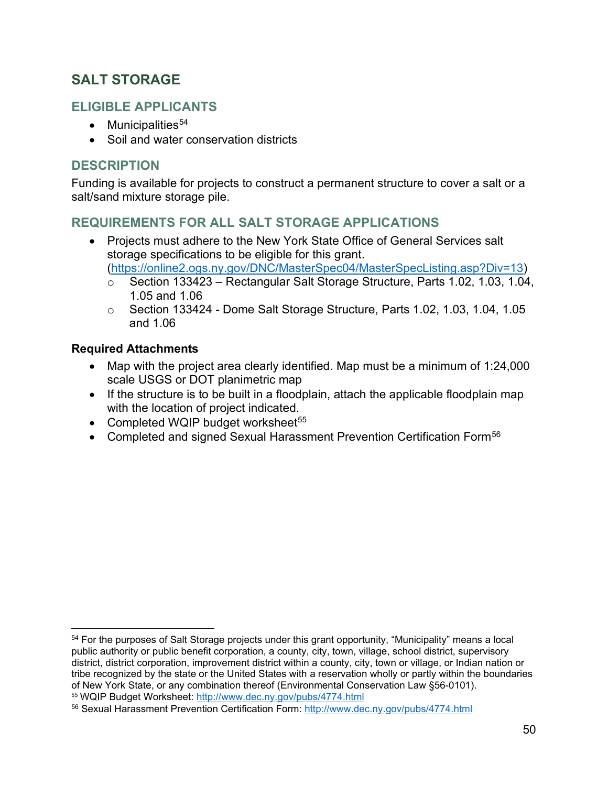## **SALT STORAGE**

## **ELIGIBLE APPLICANTS**

- $\bullet$  Municipalities<sup>[54](#page-49-0)</sup>
- Soil and water conservation districts

## **DESCRIPTION**

Funding is available for projects to construct a permanent structure to cover a salt or a salt/sand mixture storage pile.

## **REQUIREMENTS FOR ALL SALT STORAGE APPLICATIONS**

• Projects must adhere to the New York State Office of General Services salt storage specifications to be eligible for this grant.

[\(https://online2.ogs.ny.gov/DNC/MasterSpec04/MasterSpecListing.asp?Div=13\)](https://online2.ogs.ny.gov/DNC/MasterSpec04/MasterSpecListing.asp?Div=13)

- o Section 133423 Rectangular Salt Storage Structure, Parts 1.02, 1.03, 1.04, 1.05 and 1.06
- $\circ$  Section 133424 Dome Salt Storage Structure, Parts 1.02, 1.03, 1.04, 1.05 and 1.06

#### **Required Attachments**

- Map with the project area clearly identified. Map must be a minimum of 1:24,000 scale USGS or DOT planimetric map
- If the structure is to be built in a floodplain, attach the applicable floodplain map with the location of project indicated.
- Completed WQIP budget worksheet<sup>[55](#page-49-1)</sup>
- Completed and signed Sexual Harassment Prevention Certification Form<sup>[56](#page-49-2)</sup>

<span id="page-49-0"></span><sup>54</sup> For the purposes of Salt Storage projects under this grant opportunity, "Municipality" means a local public authority or public benefit corporation, a county, city, town, village, school district, supervisory district, district corporation, improvement district within a county, city, town or village, or Indian nation or tribe recognized by the state or the United States with a reservation wholly or partly within the boundaries of New York State, or any combination thereof (Environmental Conservation Law §56-0101). <sup>55</sup> WQIP Budget Worksheet:<http://www.dec.ny.gov/pubs/4774.html>

<span id="page-49-2"></span><span id="page-49-1"></span><sup>56</sup> Sexual Harassment Prevention Certification Form:<http://www.dec.ny.gov/pubs/4774.html>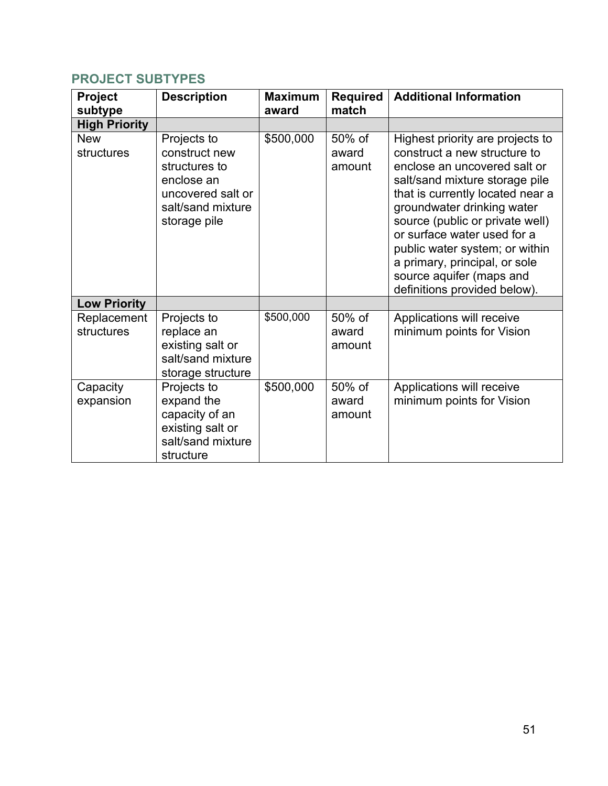## **PROJECT SUBTYPES**

| Project<br>subtype        | <b>Description</b>                                                                                                    | <b>Maximum</b><br>award | <b>Required</b><br>match  | <b>Additional Information</b>                                                                                                                                                                                                                                                                                                                                                                         |
|---------------------------|-----------------------------------------------------------------------------------------------------------------------|-------------------------|---------------------------|-------------------------------------------------------------------------------------------------------------------------------------------------------------------------------------------------------------------------------------------------------------------------------------------------------------------------------------------------------------------------------------------------------|
| <b>High Priority</b>      |                                                                                                                       |                         |                           |                                                                                                                                                                                                                                                                                                                                                                                                       |
| <b>New</b><br>structures  | Projects to<br>construct new<br>structures to<br>enclose an<br>uncovered salt or<br>salt/sand mixture<br>storage pile | \$500,000               | 50% of<br>award<br>amount | Highest priority are projects to<br>construct a new structure to<br>enclose an uncovered salt or<br>salt/sand mixture storage pile<br>that is currently located near a<br>groundwater drinking water<br>source (public or private well)<br>or surface water used for a<br>public water system; or within<br>a primary, principal, or sole<br>source aquifer (maps and<br>definitions provided below). |
| <b>Low Priority</b>       |                                                                                                                       |                         |                           |                                                                                                                                                                                                                                                                                                                                                                                                       |
| Replacement<br>structures | Projects to<br>replace an<br>existing salt or<br>salt/sand mixture<br>storage structure                               | \$500,000               | 50% of<br>award<br>amount | Applications will receive<br>minimum points for Vision                                                                                                                                                                                                                                                                                                                                                |
| Capacity<br>expansion     | Projects to<br>expand the<br>capacity of an<br>existing salt or<br>salt/sand mixture<br>structure                     | \$500,000               | 50% of<br>award<br>amount | Applications will receive<br>minimum points for Vision                                                                                                                                                                                                                                                                                                                                                |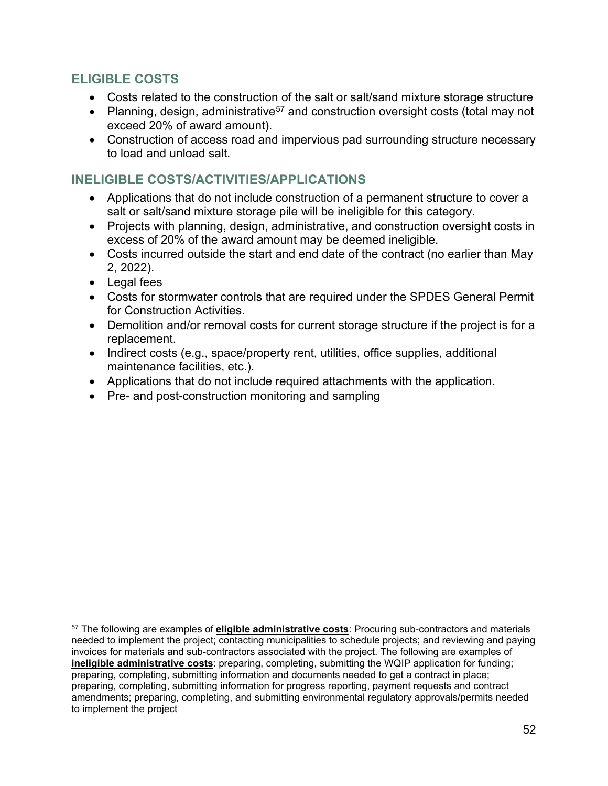## **ELIGIBLE COSTS**

- Costs related to the construction of the salt or salt/sand mixture storage structure
- Planning, design, administrative<sup>[57](#page-51-0)</sup> and construction oversight costs (total may not exceed 20% of award amount).
- Construction of access road and impervious pad surrounding structure necessary to load and unload salt.

#### **INELIGIBLE COSTS/ACTIVITIES/APPLICATIONS**

- Applications that do not include construction of a permanent structure to cover a salt or salt/sand mixture storage pile will be ineligible for this category.
- Projects with planning, design, administrative, and construction oversight costs in excess of 20% of the award amount may be deemed ineligible.
- Costs incurred outside the start and end date of the contract (no earlier than May 2, 2022).
- Legal fees
- Costs for stormwater controls that are required under the SPDES General Permit for Construction Activities.
- Demolition and/or removal costs for current storage structure if the project is for a replacement.
- Indirect costs (e.g., space/property rent, utilities, office supplies, additional maintenance facilities, etc.).
- Applications that do not include required attachments with the application.
- Pre- and post-construction monitoring and sampling

<span id="page-51-0"></span><sup>57</sup> The following are examples of **eligible administrative costs**: Procuring sub-contractors and materials needed to implement the project; contacting municipalities to schedule projects; and reviewing and paying invoices for materials and sub-contractors associated with the project. The following are examples of **ineligible administrative costs**: preparing, completing, submitting the WQIP application for funding; preparing, completing, submitting information and documents needed to get a contract in place; preparing, completing, submitting information for progress reporting, payment requests and contract amendments; preparing, completing, and submitting environmental regulatory approvals/permits needed to implement the project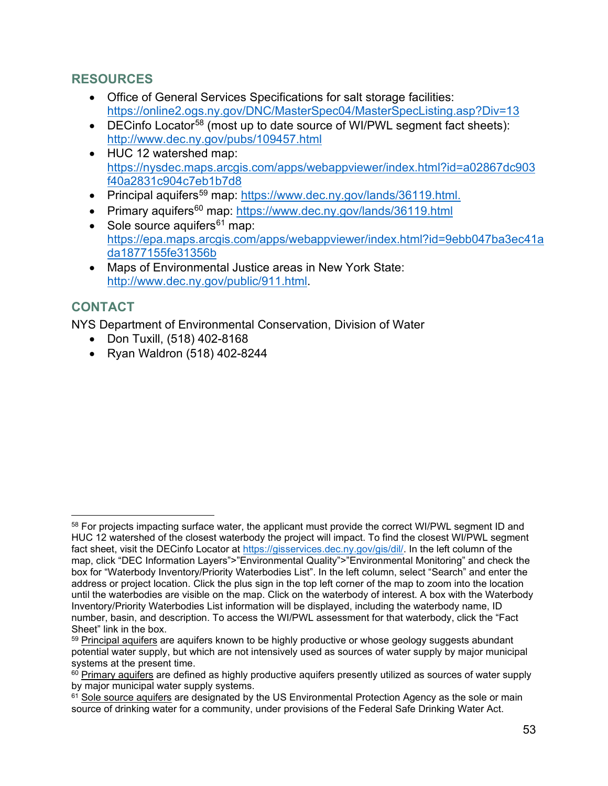## **RESOURCES**

- Office of General Services Specifications for salt storage facilities: <https://online2.ogs.ny.gov/DNC/MasterSpec04/MasterSpecListing.asp?Div=13>
- DECinfo Locator<sup>[58](#page-52-0)</sup> (most up to date source of WI/PWL segment fact sheets): <http://www.dec.ny.gov/pubs/109457.html>
- HUC 12 watershed map: [https://nysdec.maps.arcgis.com/apps/webappviewer/index.html?id=a02867dc903](https://nysdec.maps.arcgis.com/apps/webappviewer/index.html?id=a02867dc903f40a2831c904c7eb1b7d8) [f40a2831c904c7eb1b7d8](https://nysdec.maps.arcgis.com/apps/webappviewer/index.html?id=a02867dc903f40a2831c904c7eb1b7d8)
- Principal aquifers<sup>[59](#page-52-1)</sup> map: [https://www.dec.ny.gov/lands/36119.html.](https://www.dec.ny.gov/lands/36119.html)
- Primary aquifers<sup>[60](#page-52-2)</sup> map:<https://www.dec.ny.gov/lands/36119.html>
- Sole source aquifers<sup>[61](#page-52-3)</sup> map: [https://epa.maps.arcgis.com/apps/webappviewer/index.html?id=9ebb047ba3ec41a](https://epa.maps.arcgis.com/apps/webappviewer/index.html?id=9ebb047ba3ec41ada1877155fe31356b) [da1877155fe31356b](https://epa.maps.arcgis.com/apps/webappviewer/index.html?id=9ebb047ba3ec41ada1877155fe31356b)
- Maps of Environmental Justice areas in New York State[:](http://www.dec.ny.gov/public/911.html) [http://www.dec.ny.gov/public/911.html.](http://www.dec.ny.gov/public/911.html)

## **CONTACT**

NYS Department of Environmental Conservation, Division of Water

- Don Tuxill, (518) 402-8168
- Ryan Waldron (518) 402-8244

<span id="page-52-0"></span><sup>&</sup>lt;sup>58</sup> For projects impacting surface water, the applicant must provide the correct WI/PWL segment ID and HUC 12 watershed of the closest waterbody the project will impact. To find the closest WI/PWL segment fact sheet, visit the DECinfo Locator at [https://gisservices.dec.ny.gov/gis/dil/.](https://gisservices.dec.ny.gov/gis/dil/) In the left column of the map, click "DEC Information Layers">"Environmental Quality">"Environmental Monitoring" and check the box for "Waterbody Inventory/Priority Waterbodies List". In the left column, select "Search" and enter the address or project location. Click the plus sign in the top left corner of the map to zoom into the location until the waterbodies are visible on the map. Click on the waterbody of interest. A box with the Waterbody Inventory/Priority Waterbodies List information will be displayed, including the waterbody name, ID number, basin, and description. To access the WI/PWL assessment for that waterbody, click the "Fact Sheet" link in the box.<br><sup>59</sup> Principal aquifers are aquifers known to be highly productive or whose geology suggests abundant

<span id="page-52-1"></span>potential water supply, but which are not intensively used as sources of water supply by major municipal systems at the present time.

<span id="page-52-2"></span> $60$  Primary aquifers are defined as highly productive aquifers presently utilized as sources of water supply by major municipal water supply systems.

<span id="page-52-3"></span> $61$  Sole source aquifers are designated by the US Environmental Protection Agency as the sole or main source of drinking water for a community, under provisions of the Federal Safe Drinking Water Act.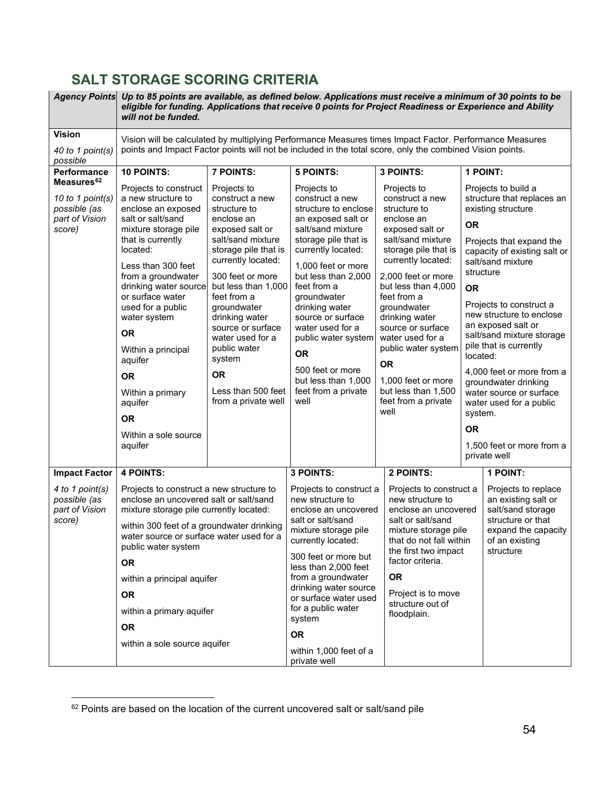# **SALT STORAGE SCORING CRITERIA**

| <b>Agency Points</b>                                                                   | Up to 85 points are available, as defined below. Applications must receive a minimum of 30 points to be<br>eligible for funding. Applications that receive 0 points for Project Readiness or Experience and Ability<br>will not be funded.                                                                                                                                                                        |                                                                                                                                                                                                                                                                                                                                                                            |                                                                                                                                                                                                                                                                                                                                                                                                     |                                                                                                                                                                                                                                                                                                                                                                                                          |                                                                                                                                                                                                                                                                                                                                                                                                                                                                                                                                 |  |  |  |  |  |
|----------------------------------------------------------------------------------------|-------------------------------------------------------------------------------------------------------------------------------------------------------------------------------------------------------------------------------------------------------------------------------------------------------------------------------------------------------------------------------------------------------------------|----------------------------------------------------------------------------------------------------------------------------------------------------------------------------------------------------------------------------------------------------------------------------------------------------------------------------------------------------------------------------|-----------------------------------------------------------------------------------------------------------------------------------------------------------------------------------------------------------------------------------------------------------------------------------------------------------------------------------------------------------------------------------------------------|----------------------------------------------------------------------------------------------------------------------------------------------------------------------------------------------------------------------------------------------------------------------------------------------------------------------------------------------------------------------------------------------------------|---------------------------------------------------------------------------------------------------------------------------------------------------------------------------------------------------------------------------------------------------------------------------------------------------------------------------------------------------------------------------------------------------------------------------------------------------------------------------------------------------------------------------------|--|--|--|--|--|
| <b>Vision</b><br>40 to 1 point(s)<br>possible                                          | Vision will be calculated by multiplying Performance Measures times Impact Factor. Performance Measures<br>points and Impact Factor points will not be included in the total score, only the combined Vision points.                                                                                                                                                                                              |                                                                                                                                                                                                                                                                                                                                                                            |                                                                                                                                                                                                                                                                                                                                                                                                     |                                                                                                                                                                                                                                                                                                                                                                                                          |                                                                                                                                                                                                                                                                                                                                                                                                                                                                                                                                 |  |  |  |  |  |
| Performance                                                                            | 10 POINTS:                                                                                                                                                                                                                                                                                                                                                                                                        | 7 POINTS:                                                                                                                                                                                                                                                                                                                                                                  | <b>5 POINTS:</b>                                                                                                                                                                                                                                                                                                                                                                                    | 3 POINTS:                                                                                                                                                                                                                                                                                                                                                                                                | 1 POINT:                                                                                                                                                                                                                                                                                                                                                                                                                                                                                                                        |  |  |  |  |  |
| Measures <sup>62</sup><br>10 to 1 point(s)<br>possible (as<br>part of Vision<br>score) | Projects to construct<br>a new structure to<br>enclose an exposed<br>salt or salt/sand<br>mixture storage pile<br>that is currently<br>located:<br>Less than 300 feet<br>from a groundwater<br>drinking water source<br>or surface water<br>used for a public<br>water system<br><b>OR</b><br>Within a principal<br>aquifer<br>OR.<br>Within a primary<br>aquifer<br><b>OR</b><br>Within a sole source<br>aquifer | Projects to<br>construct a new<br>structure to<br>enclose an<br>exposed salt or<br>salt/sand mixture<br>storage pile that is<br>currently located:<br>300 feet or more<br>but less than 1,000<br>feet from a<br>groundwater<br>drinking water<br>source or surface<br>water used for a<br>public water<br>system<br><b>OR</b><br>Less than 500 feet<br>from a private well | Projects to<br>construct a new<br>structure to enclose<br>an exposed salt or<br>salt/sand mixture<br>storage pile that is<br>currently located:<br>1,000 feet or more<br>but less than 2,000<br>feet from a<br>groundwater<br>drinking water<br>source or surface<br>water used for a<br>public water system<br><b>OR</b><br>500 feet or more<br>but less than 1,000<br>feet from a private<br>well | Projects to<br>construct a new<br>structure to<br>enclose an<br>exposed salt or<br>salt/sand mixture<br>storage pile that is<br>currently located:<br>2,000 feet or more<br>but less than 4,000<br>feet from a<br>groundwater<br>drinking water<br>source or surface<br>water used for a<br>public water system<br><b>OR</b><br>1,000 feet or more<br>but less than 1,500<br>feet from a private<br>well | Projects to build a<br>structure that replaces an<br>existing structure<br><b>OR</b><br>Projects that expand the<br>capacity of existing salt or<br>salt/sand mixture<br>structure<br><b>OR</b><br>Projects to construct a<br>new structure to enclose<br>an exposed salt or<br>salt/sand mixture storage<br>pile that is currently<br>located:<br>4,000 feet or more from a<br>groundwater drinking<br>water source or surface<br>water used for a public<br>system.<br><b>OR</b><br>1,500 feet or more from a<br>private well |  |  |  |  |  |
| <b>Impact Factor</b>                                                                   | <b>4 POINTS:</b>                                                                                                                                                                                                                                                                                                                                                                                                  |                                                                                                                                                                                                                                                                                                                                                                            | 3 POINTS:                                                                                                                                                                                                                                                                                                                                                                                           | 2 POINTS:                                                                                                                                                                                                                                                                                                                                                                                                | 1 POINT:                                                                                                                                                                                                                                                                                                                                                                                                                                                                                                                        |  |  |  |  |  |
| 4 to 1 point(s)<br>possible (as<br>part of Vision<br>score)                            | Projects to construct a new structure to<br>enclose an uncovered salt or salt/sand<br>mixture storage pile currently located:<br>within 300 feet of a groundwater drinking<br>water source or surface water used for a<br>public water system<br><b>OR</b><br>within a principal aquifer<br><b>OR</b><br>within a primary aquifer<br><b>OR</b><br>within a sole source aquifer                                    |                                                                                                                                                                                                                                                                                                                                                                            | Projects to construct a<br>new structure to<br>enclose an uncovered<br>salt or salt/sand<br>mixture storage pile<br>currently located:<br>300 feet or more but<br>less than 2,000 feet<br>from a groundwater<br>drinking water source<br>or surface water used<br>for a public water<br>system<br><b>OR</b>                                                                                         | Projects to construct a<br>new structure to<br>enclose an uncovered<br>salt or salt/sand<br>mixture storage pile<br>that do not fall within<br>the first two impact<br>factor criteria.<br><b>OR</b><br>Project is to move<br>structure out of<br>floodplain.                                                                                                                                            | Projects to replace<br>an existing salt or<br>salt/sand storage<br>structure or that<br>expand the capacity<br>of an existing<br>structure                                                                                                                                                                                                                                                                                                                                                                                      |  |  |  |  |  |
|                                                                                        |                                                                                                                                                                                                                                                                                                                                                                                                                   |                                                                                                                                                                                                                                                                                                                                                                            | within 1,000 feet of a<br>private well                                                                                                                                                                                                                                                                                                                                                              |                                                                                                                                                                                                                                                                                                                                                                                                          |                                                                                                                                                                                                                                                                                                                                                                                                                                                                                                                                 |  |  |  |  |  |

<span id="page-53-0"></span> $62$  Points are based on the location of the current uncovered salt or salt/sand pile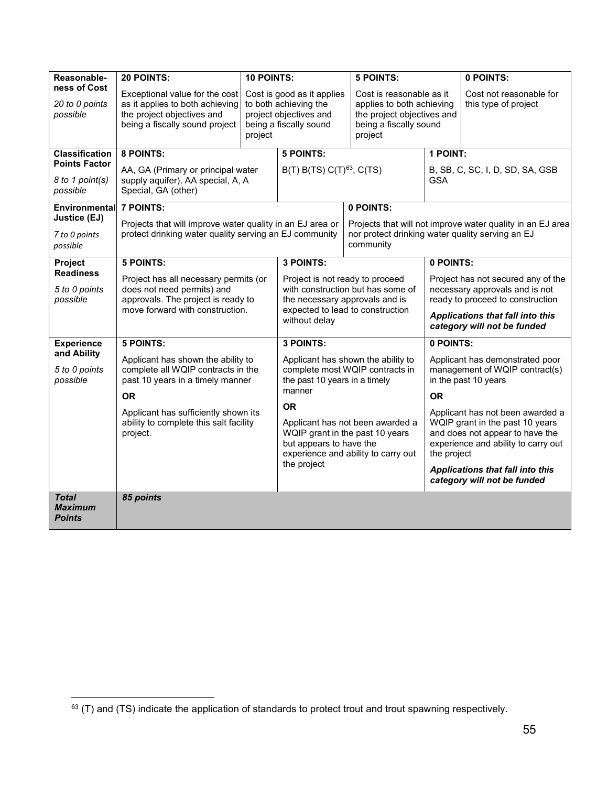| Reasonable-                                     | 20 POINTS:                                                                                                                        | <b>10 POINTS:</b> |                                                                                                         | <b>5 POINTS:</b>                                                                                                         | 0 POINTS:                                                                                                                                                    |                                                                 |  |
|-------------------------------------------------|-----------------------------------------------------------------------------------------------------------------------------------|-------------------|---------------------------------------------------------------------------------------------------------|--------------------------------------------------------------------------------------------------------------------------|--------------------------------------------------------------------------------------------------------------------------------------------------------------|-----------------------------------------------------------------|--|
| ness of Cost<br>20 to 0 points<br>possible      | Exceptional value for the cost<br>as it applies to both achieving<br>the project objectives and<br>being a fiscally sound project | project           | Cost is good as it applies<br>to both achieving the<br>project objectives and<br>being a fiscally sound | Cost is reasonable as it<br>applies to both achieving<br>the project objectives and<br>being a fiscally sound<br>project |                                                                                                                                                              | Cost not reasonable for<br>this type of project                 |  |
| <b>Classification</b>                           | 8 POINTS:                                                                                                                         |                   | <b>5 POINTS:</b>                                                                                        |                                                                                                                          | 1 POINT:                                                                                                                                                     |                                                                 |  |
| <b>Points Factor</b>                            | AA, GA (Primary or principal water                                                                                                |                   | $B(T) B(TS) C(T)^{63}$ , C(TS)                                                                          |                                                                                                                          |                                                                                                                                                              | B, SB, C, SC, I, D, SD, SA, GSB                                 |  |
| 8 to 1 point(s)<br>possible                     | supply aquifer), AA special, A, A<br>Special, GA (other)                                                                          |                   |                                                                                                         |                                                                                                                          | <b>GSA</b>                                                                                                                                                   |                                                                 |  |
| Environmental                                   | 7 POINTS:                                                                                                                         |                   |                                                                                                         | 0 POINTS:                                                                                                                |                                                                                                                                                              |                                                                 |  |
| Justice (EJ)                                    | Projects that will improve water quality in an EJ area or                                                                         |                   |                                                                                                         |                                                                                                                          |                                                                                                                                                              | Projects that will not improve water quality in an EJ area      |  |
| 7 to 0 points<br>possible                       | protect drinking water quality serving an EJ community                                                                            |                   |                                                                                                         | community                                                                                                                | nor protect drinking water quality serving an EJ                                                                                                             |                                                                 |  |
| Project                                         | <b>5 POINTS:</b>                                                                                                                  |                   | 3 POINTS:                                                                                               |                                                                                                                          |                                                                                                                                                              | 0 POINTS:                                                       |  |
| <b>Readiness</b>                                | Project has all necessary permits (or                                                                                             |                   | Project is not ready to proceed                                                                         |                                                                                                                          | Project has not secured any of the                                                                                                                           |                                                                 |  |
| 5 to 0 points                                   | does not need permits) and<br>approvals. The project is ready to                                                                  |                   | with construction but has some of<br>the necessary approvals and is                                     |                                                                                                                          | necessary approvals and is not<br>ready to proceed to construction                                                                                           |                                                                 |  |
| possible                                        | move forward with construction.                                                                                                   |                   |                                                                                                         | expected to lead to construction                                                                                         |                                                                                                                                                              |                                                                 |  |
|                                                 |                                                                                                                                   |                   | without delay                                                                                           |                                                                                                                          | Applications that fall into this<br>category will not be funded                                                                                              |                                                                 |  |
| <b>Experience</b>                               | <b>5 POINTS:</b>                                                                                                                  |                   | 3 POINTS:                                                                                               |                                                                                                                          | 0 POINTS:                                                                                                                                                    |                                                                 |  |
| and Ability                                     | Applicant has shown the ability to                                                                                                |                   |                                                                                                         | Applicant has shown the ability to                                                                                       |                                                                                                                                                              | Applicant has demonstrated poor                                 |  |
| 5 to 0 points<br>possible                       | complete all WQIP contracts in the<br>past 10 years in a timely manner                                                            |                   | the past 10 years in a timely                                                                           | complete most WQIP contracts in                                                                                          |                                                                                                                                                              | management of WQIP contract(s)<br>in the past 10 years          |  |
|                                                 | OR.                                                                                                                               |                   | manner                                                                                                  |                                                                                                                          | <b>OR</b>                                                                                                                                                    |                                                                 |  |
|                                                 |                                                                                                                                   |                   | <b>OR</b>                                                                                               |                                                                                                                          |                                                                                                                                                              |                                                                 |  |
|                                                 | Applicant has sufficiently shown its<br>ability to complete this salt facility<br>project.                                        |                   | but appears to have the                                                                                 | Applicant has not been awarded a<br>WQIP grant in the past 10 years<br>experience and ability to carry out               | Applicant has not been awarded a<br>WQIP grant in the past 10 years<br>and does not appear to have the<br>experience and ability to carry out<br>the project |                                                                 |  |
|                                                 |                                                                                                                                   |                   | the project                                                                                             |                                                                                                                          |                                                                                                                                                              | Applications that fall into this<br>category will not be funded |  |
| <b>Total</b><br><b>Maximum</b><br><b>Points</b> | 85 points                                                                                                                         |                   |                                                                                                         |                                                                                                                          |                                                                                                                                                              |                                                                 |  |

<span id="page-54-0"></span><sup>&</sup>lt;sup>63</sup> (T) and (TS) indicate the application of standards to protect trout and trout spawning respectively.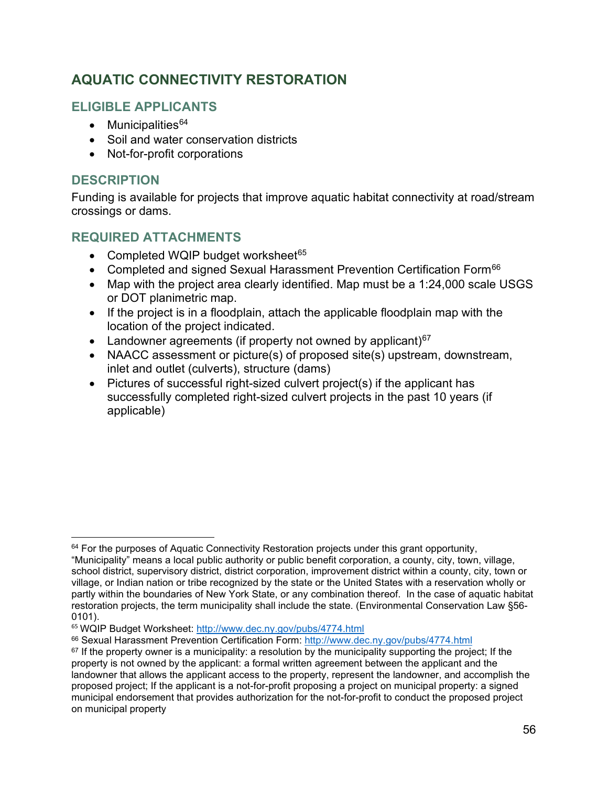## **AQUATIC CONNECTIVITY RESTORATION**

## **ELIGIBLE APPLICANTS**

- Municipalities $64$
- Soil and water conservation districts
- Not-for-profit corporations

## **DESCRIPTION**

Funding is available for projects that improve aquatic habitat connectivity at road/stream crossings or dams.

## **REQUIRED ATTACHMENTS**

- Completed WQIP budget worksheet $65$
- Completed and signed Sexual Harassment Prevention Certification Form<sup>[66](#page-55-2)</sup>
- Map with the project area clearly identified. Map must be a 1:24,000 scale USGS or DOT planimetric map.
- If the project is in a floodplain, attach the applicable floodplain map with the location of the project indicated.
- Landowner agreements (if property not owned by applicant) $67$
- NAACC assessment or picture(s) of proposed site(s) upstream, downstream, inlet and outlet (culverts), structure (dams)
- Pictures of successful right-sized culvert project(s) if the applicant has successfully completed right-sized culvert projects in the past 10 years (if applicable)

<span id="page-55-0"></span> $64$  For the purposes of Aquatic Connectivity Restoration projects under this grant opportunity,

<sup>&</sup>quot;Municipality" means a local public authority or public benefit corporation, a county, city, town, village, school district, supervisory district, district corporation, improvement district within a county, city, town or village, or Indian nation or tribe recognized by the state or the United States with a reservation wholly or partly within the boundaries of New York State, or any combination thereof. In the case of aquatic habitat restoration projects, the term municipality shall include the state. (Environmental Conservation Law §56- 0101).

<span id="page-55-1"></span><sup>&</sup>lt;sup>65</sup> WQIP Budget Worksheet: <u>http://www.dec.ny.gov/pubs/4774.html</u><br><sup>66</sup> Sexual Harassment Prevention Certification Form:<http://www.dec.ny.gov/pubs/4774.html>

<span id="page-55-3"></span><span id="page-55-2"></span> $67$  If the property owner is a municipality: a resolution by the municipality supporting the project; If the property is not owned by the applicant: a formal written agreement between the applicant and the landowner that allows the applicant access to the property, represent the landowner, and accomplish the proposed project; If the applicant is a not-for-profit proposing a project on municipal property: a signed municipal endorsement that provides authorization for the not-for-profit to conduct the proposed project on municipal property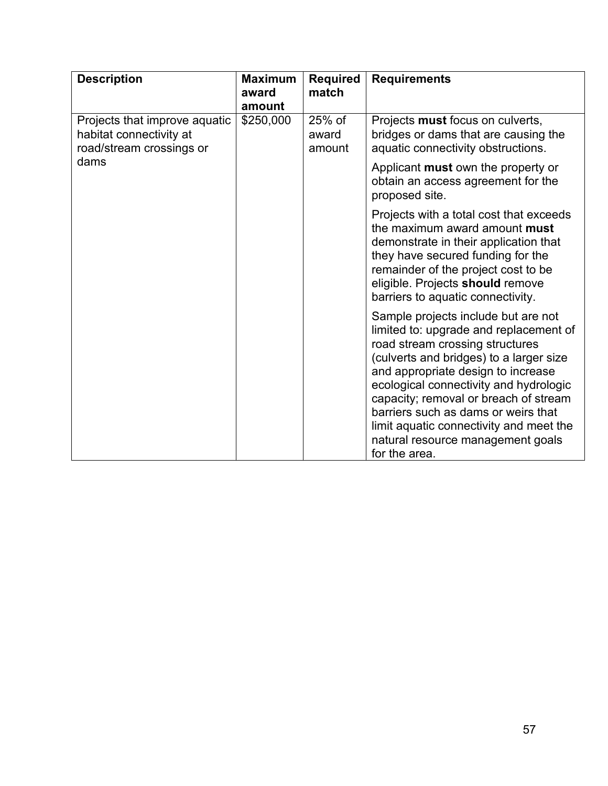| <b>Description</b>                                                                   | <b>Maximum</b><br>award<br>amount | <b>Required</b><br>match    | <b>Requirements</b>                                                                                                                                                                                                                                                                                                                                                                                                          |
|--------------------------------------------------------------------------------------|-----------------------------------|-----------------------------|------------------------------------------------------------------------------------------------------------------------------------------------------------------------------------------------------------------------------------------------------------------------------------------------------------------------------------------------------------------------------------------------------------------------------|
| Projects that improve aquatic<br>habitat connectivity at<br>road/stream crossings or | \$250,000                         | $25%$ of<br>award<br>amount | Projects must focus on culverts,<br>bridges or dams that are causing the<br>aquatic connectivity obstructions.                                                                                                                                                                                                                                                                                                               |
| dams                                                                                 |                                   |                             | Applicant must own the property or<br>obtain an access agreement for the<br>proposed site.                                                                                                                                                                                                                                                                                                                                   |
|                                                                                      |                                   |                             | Projects with a total cost that exceeds<br>the maximum award amount <b>must</b><br>demonstrate in their application that<br>they have secured funding for the<br>remainder of the project cost to be<br>eligible. Projects should remove<br>barriers to aquatic connectivity.                                                                                                                                                |
|                                                                                      |                                   |                             | Sample projects include but are not<br>limited to: upgrade and replacement of<br>road stream crossing structures<br>(culverts and bridges) to a larger size<br>and appropriate design to increase<br>ecological connectivity and hydrologic<br>capacity; removal or breach of stream<br>barriers such as dams or weirs that<br>limit aquatic connectivity and meet the<br>natural resource management goals<br>for the area. |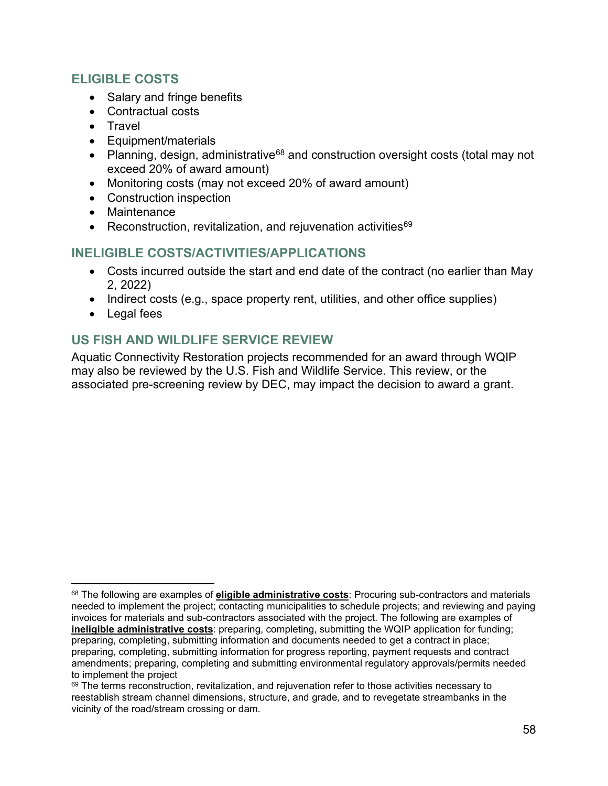#### **ELIGIBLE COSTS**

- Salary and fringe benefits
- Contractual costs
- Travel
- Equipment/materials
- Planning, design, administrative<sup>[68](#page-57-0)</sup> and construction oversight costs (total may not exceed 20% of award amount)
- Monitoring costs (may not exceed 20% of award amount)
- Construction inspection
- Maintenance
- Reconstruction, revitalization, and rejuvenation activities<sup>[69](#page-57-1)</sup>

#### **INELIGIBLE COSTS/ACTIVITIES/APPLICATIONS**

- Costs incurred outside the start and end date of the contract (no earlier than May 2, 2022)
- Indirect costs (e.g., space property rent, utilities, and other office supplies)
- Legal fees

## **US FISH AND WILDLIFE SERVICE REVIEW**

Aquatic Connectivity Restoration projects recommended for an award through WQIP may also be reviewed by the U.S. Fish and Wildlife Service. This review, or the associated pre-screening review by DEC, may impact the decision to award a grant.

<span id="page-57-0"></span><sup>68</sup> The following are examples of **eligible administrative costs**: Procuring sub-contractors and materials needed to implement the project; contacting municipalities to schedule projects; and reviewing and paying invoices for materials and sub-contractors associated with the project. The following are examples of **ineligible administrative costs**: preparing, completing, submitting the WQIP application for funding; preparing, completing, submitting information and documents needed to get a contract in place; preparing, completing, submitting information for progress reporting, payment requests and contract amendments; preparing, completing and submitting environmental regulatory approvals/permits needed to implement the project

<span id="page-57-1"></span><sup>&</sup>lt;sup>69</sup> The terms reconstruction, revitalization, and rejuvenation refer to those activities necessary to reestablish stream channel dimensions, structure, and grade, and to revegetate streambanks in the vicinity of the road/stream crossing or dam.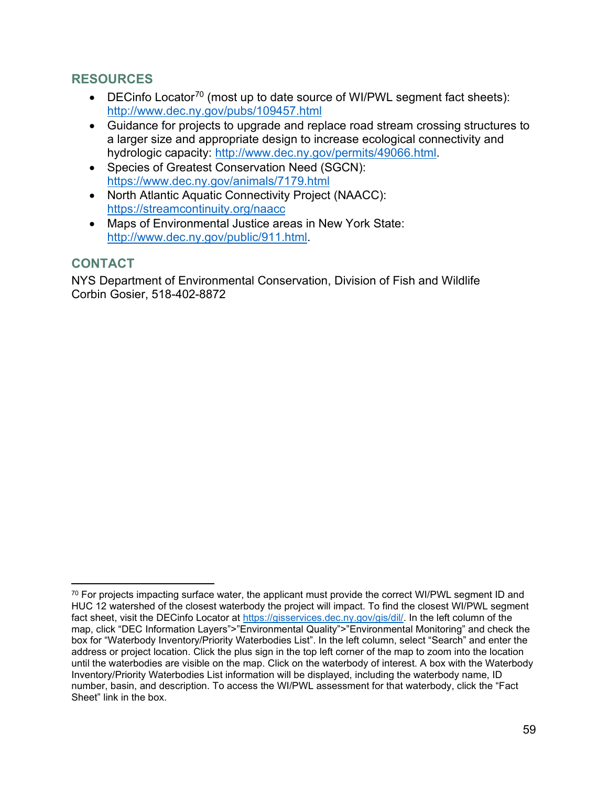## **RESOURCES**

- DECinfo Locator<sup>[70](#page-58-0)</sup> (most up to date source of WI/PWL segment fact sheets): <http://www.dec.ny.gov/pubs/109457.html>
- Guidance for projects to upgrade and replace road stream crossing structures to a larger size and appropriate design to increase ecological connectivity and hydrologic capacity: [http://www.dec.ny.gov/permits/49066.html.](http://www.dec.ny.gov/permits/49066.html)
- Species of Greatest Conservation Need (SGCN): <https://www.dec.ny.gov/animals/7179.html>
- North Atlantic Aquatic Connectivity Project (NAACC): <https://streamcontinuity.org/naacc>
- Maps of Environmental Justice areas in New York State[:](http://www.dec.ny.gov/public/911.html) [http://www.dec.ny.gov/public/911.html.](http://www.dec.ny.gov/public/911.html)

#### **CONTACT**

NYS Department of Environmental Conservation, Division of Fish and Wildlife Corbin Gosier, 518-402-8872

<span id="page-58-0"></span> $70$  For projects impacting surface water, the applicant must provide the correct WI/PWL segment ID and HUC 12 watershed of the closest waterbody the project will impact. To find the closest WI/PWL segment fact sheet, visit the DECinfo Locator at [https://gisservices.dec.ny.gov/gis/dil/.](https://gisservices.dec.ny.gov/gis/dil/) In the left column of the map, click "DEC Information Layers">"Environmental Quality">"Environmental Monitoring" and check the box for "Waterbody Inventory/Priority Waterbodies List". In the left column, select "Search" and enter the address or project location. Click the plus sign in the top left corner of the map to zoom into the location until the waterbodies are visible on the map. Click on the waterbody of interest. A box with the Waterbody Inventory/Priority Waterbodies List information will be displayed, including the waterbody name, ID number, basin, and description. To access the WI/PWL assessment for that waterbody, click the "Fact Sheet" link in the box.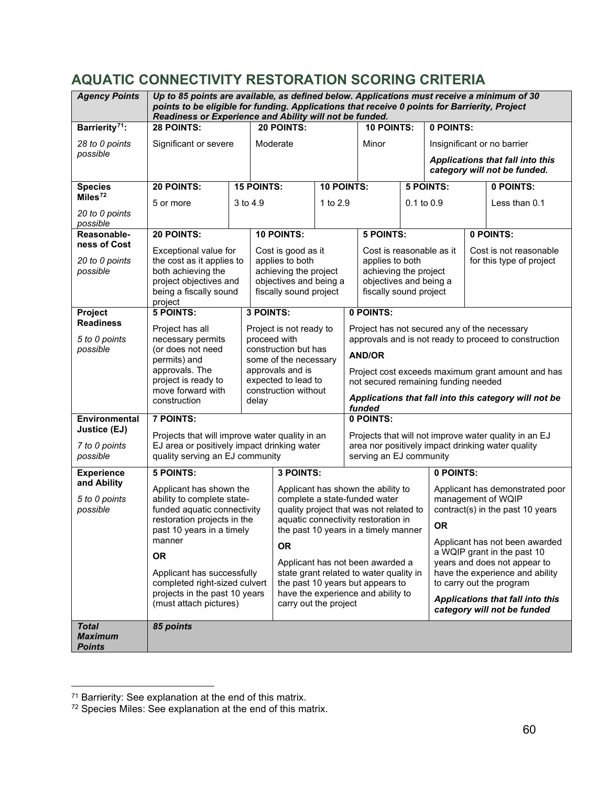## **AQUATIC CONNECTIVITY RESTORATION SCORING CRITERIA**

| <b>Agency Points</b>             | Up to 85 points are available, as defined below. Applications must receive a minimum of 30<br>points to be eligible for funding. Applications that receive 0 points for Barrierity, Project<br>Readiness or Experience and Ability will not be funded. |          |                   |                                                 |            |                                                                              |                                                                             |  |                  |                                                                  |                                                               |
|----------------------------------|--------------------------------------------------------------------------------------------------------------------------------------------------------------------------------------------------------------------------------------------------------|----------|-------------------|-------------------------------------------------|------------|------------------------------------------------------------------------------|-----------------------------------------------------------------------------|--|------------------|------------------------------------------------------------------|---------------------------------------------------------------|
| Barrierity <sup>71</sup> :       | 28 POINTS:                                                                                                                                                                                                                                             |          |                   | 20 POINTS:                                      |            |                                                                              | <b>10 POINTS:</b>                                                           |  | 0 POINTS:        |                                                                  |                                                               |
| 28 to 0 points                   | Significant or severe                                                                                                                                                                                                                                  |          |                   | Moderate                                        |            |                                                                              | Minor                                                                       |  |                  |                                                                  | Insignificant or no barrier                                   |
| possible                         |                                                                                                                                                                                                                                                        |          |                   |                                                 |            |                                                                              |                                                                             |  |                  |                                                                  |                                                               |
|                                  |                                                                                                                                                                                                                                                        |          |                   |                                                 |            |                                                                              |                                                                             |  |                  | Applications that fall into this<br>category will not be funded. |                                                               |
| <b>Species</b>                   | 20 POINTS:                                                                                                                                                                                                                                             |          | <b>15 POINTS:</b> |                                                 | 10 POINTS: |                                                                              |                                                                             |  | <b>5 POINTS:</b> |                                                                  | 0 POINTS:                                                     |
| Miles $72$                       | 5 or more                                                                                                                                                                                                                                              | 3 to 4.9 |                   |                                                 | 1 to 2.9   |                                                                              |                                                                             |  | 0.1 to 0.9       |                                                                  | Less than 0.1                                                 |
| 20 to 0 points<br>possible       |                                                                                                                                                                                                                                                        |          |                   |                                                 |            |                                                                              |                                                                             |  |                  |                                                                  |                                                               |
| Reasonable-                      | 20 POINTS:                                                                                                                                                                                                                                             |          |                   | <b>10 POINTS:</b>                               |            |                                                                              | <b>5 POINTS:</b>                                                            |  |                  |                                                                  | 0 POINTS:                                                     |
| ness of Cost                     | Exceptional value for                                                                                                                                                                                                                                  |          |                   | Cost is good as it                              |            |                                                                              | Cost is reasonable as it                                                    |  |                  |                                                                  | Cost is not reasonable                                        |
| 20 to 0 points                   | the cost as it applies to                                                                                                                                                                                                                              |          |                   | applies to both                                 |            |                                                                              | applies to both                                                             |  |                  |                                                                  | for this type of project                                      |
| possible                         | both achieving the<br>project objectives and                                                                                                                                                                                                           |          |                   | achieving the project<br>objectives and being a |            |                                                                              | achieving the project<br>objectives and being a                             |  |                  |                                                                  |                                                               |
|                                  | being a fiscally sound                                                                                                                                                                                                                                 |          |                   | fiscally sound project                          |            |                                                                              | fiscally sound project                                                      |  |                  |                                                                  |                                                               |
|                                  | project                                                                                                                                                                                                                                                |          |                   |                                                 |            |                                                                              |                                                                             |  |                  |                                                                  |                                                               |
| Project<br><b>Readiness</b>      | <b>5 POINTS:</b>                                                                                                                                                                                                                                       |          | 3 POINTS:         |                                                 |            |                                                                              | 0 POINTS:                                                                   |  |                  |                                                                  |                                                               |
|                                  | Project has all                                                                                                                                                                                                                                        |          |                   | Project is not ready to                         |            | Project has not secured any of the necessary                                 |                                                                             |  |                  |                                                                  |                                                               |
| 5 to 0 points<br>possible        | necessary permits<br>(or does not need                                                                                                                                                                                                                 |          | proceed with      | construction but has                            |            | approvals and is not ready to proceed to construction                        |                                                                             |  |                  |                                                                  |                                                               |
|                                  | permits) and                                                                                                                                                                                                                                           |          |                   | some of the necessary                           |            | <b>AND/OR</b>                                                                |                                                                             |  |                  |                                                                  |                                                               |
|                                  | approvals. The                                                                                                                                                                                                                                         |          |                   | approvals and is                                |            | Project cost exceeds maximum grant amount and has                            |                                                                             |  |                  |                                                                  |                                                               |
|                                  | project is ready to<br>move forward with                                                                                                                                                                                                               |          |                   | expected to lead to<br>construction without     |            | not secured remaining funding needed                                         |                                                                             |  |                  |                                                                  |                                                               |
|                                  | construction                                                                                                                                                                                                                                           |          | delay             |                                                 |            | Applications that fall into this category will not be<br>funded              |                                                                             |  |                  |                                                                  |                                                               |
| Environmental                    | <b>7 POINTS:</b>                                                                                                                                                                                                                                       |          |                   |                                                 |            | 0 POINTS:                                                                    |                                                                             |  |                  |                                                                  |                                                               |
| Justice (EJ)                     | Projects that will improve water quality in an                                                                                                                                                                                                         |          |                   |                                                 |            | Projects that will not improve water quality in an EJ                        |                                                                             |  |                  |                                                                  |                                                               |
| 7 to 0 points<br>possible        | EJ area or positively impact drinking water<br>quality serving an EJ community                                                                                                                                                                         |          |                   |                                                 |            | area nor positively impact drinking water quality<br>serving an EJ community |                                                                             |  |                  |                                                                  |                                                               |
|                                  |                                                                                                                                                                                                                                                        |          |                   |                                                 |            |                                                                              |                                                                             |  |                  |                                                                  |                                                               |
| <b>Experience</b><br>and Ability | <b>5 POINTS:</b>                                                                                                                                                                                                                                       |          |                   | 3 POINTS:                                       |            |                                                                              |                                                                             |  | 0 POINTS:        |                                                                  |                                                               |
|                                  | Applicant has shown the                                                                                                                                                                                                                                |          |                   |                                                 |            |                                                                              | Applicant has shown the ability to                                          |  |                  |                                                                  | Applicant has demonstrated poor                               |
| 5 to 0 points<br>possible        | ability to complete state-<br>funded aquatic connectivity                                                                                                                                                                                              |          |                   |                                                 |            |                                                                              | complete a state-funded water<br>quality project that was not related to    |  |                  |                                                                  | management of WQIP<br>contract(s) in the past 10 years        |
|                                  | restoration projects in the                                                                                                                                                                                                                            |          |                   |                                                 |            |                                                                              | aquatic connectivity restoration in                                         |  | <b>OR</b>        |                                                                  |                                                               |
|                                  | past 10 years in a timely                                                                                                                                                                                                                              |          |                   |                                                 |            |                                                                              | the past 10 years in a timely manner                                        |  |                  |                                                                  |                                                               |
|                                  | manner                                                                                                                                                                                                                                                 |          |                   | OR.                                             |            |                                                                              |                                                                             |  |                  |                                                                  | Applicant has not been awarded<br>a WQIP grant in the past 10 |
|                                  | <b>OR</b>                                                                                                                                                                                                                                              |          |                   |                                                 |            |                                                                              | Applicant has not been awarded a                                            |  |                  |                                                                  | years and does not appear to                                  |
|                                  | Applicant has successfully<br>completed right-sized culvert                                                                                                                                                                                            |          |                   |                                                 |            |                                                                              | state grant related to water quality in<br>the past 10 years but appears to |  |                  | have the experience and ability<br>to carry out the program      |                                                               |
|                                  | projects in the past 10 years                                                                                                                                                                                                                          |          |                   |                                                 |            |                                                                              | have the experience and ability to                                          |  |                  |                                                                  | Applications that fall into this                              |
|                                  | (must attach pictures)                                                                                                                                                                                                                                 |          |                   | carry out the project                           |            |                                                                              |                                                                             |  |                  | category will not be funded                                      |                                                               |
| <b>Total</b>                     | 85 points                                                                                                                                                                                                                                              |          |                   |                                                 |            |                                                                              |                                                                             |  |                  |                                                                  |                                                               |
| <b>Maximum</b>                   |                                                                                                                                                                                                                                                        |          |                   |                                                 |            |                                                                              |                                                                             |  |                  |                                                                  |                                                               |
| <b>Points</b>                    |                                                                                                                                                                                                                                                        |          |                   |                                                 |            |                                                                              |                                                                             |  |                  |                                                                  |                                                               |

<span id="page-59-0"></span><sup>&</sup>lt;sup>71</sup> Barrierity: See explanation at the end of this matrix.

<span id="page-59-1"></span> $72$  Species Miles: See explanation at the end of this matrix.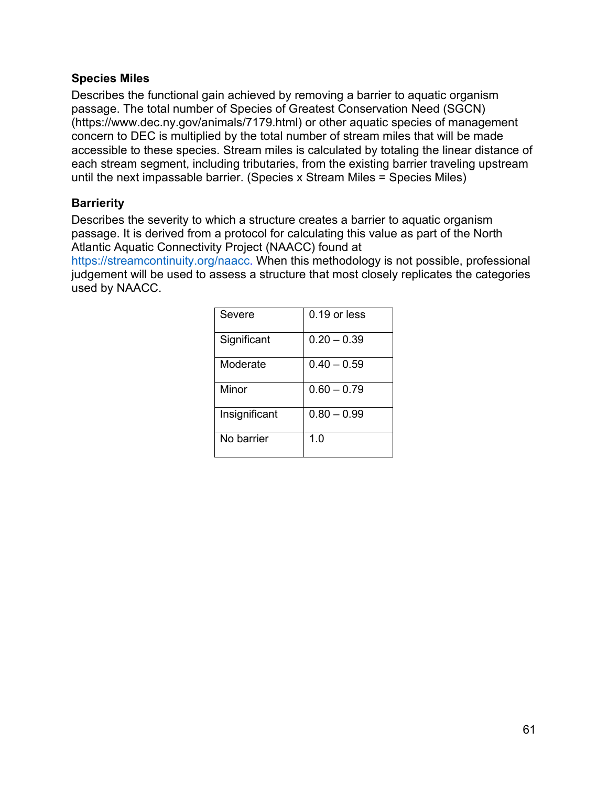#### **Species Miles**

Describes the functional gain achieved by removing a barrier to aquatic organism passage. The total number of Species of Greatest Conservation Need (SGCN) (https://www.dec.ny.gov/animals/7179.html) or other aquatic species of management concern to DEC is multiplied by the total number of stream miles that will be made accessible to these species. Stream miles is calculated by totaling the linear distance of each stream segment, including tributaries, from the existing barrier traveling upstream until the next impassable barrier. (Species x Stream Miles = Species Miles)

#### **Barrierity**

Describes the severity to which a structure creates a barrier to aquatic organism passage. It is derived from a protocol for calculating this value as part of the North Atlantic Aquatic Connectivity Project (NAACC) found at

[https://streamcontinuity.org/naacc.](https://streamcontinuity.org/naacc) When this methodology is not possible, professional judgement will be used to assess a structure that most closely replicates the categories used by NAACC.

| Severe        | $0.19$ or less |
|---------------|----------------|
| Significant   | $0.20 - 0.39$  |
| Moderate      | $0.40 - 0.59$  |
| Minor         | $0.60 - 0.79$  |
| Insignificant | $0.80 - 0.99$  |
| No barrier    | 1.0            |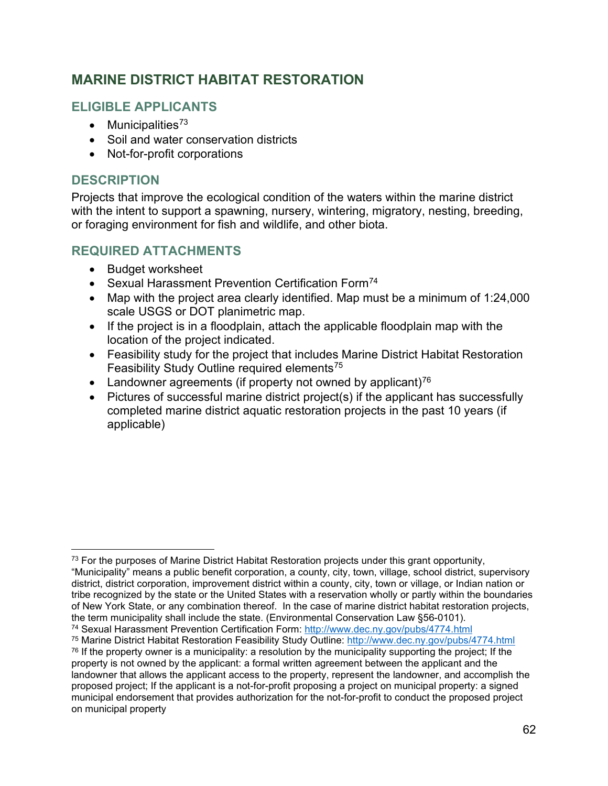## **MARINE DISTRICT HABITAT RESTORATION**

## **ELIGIBLE APPLICANTS**

- Municipalities $73$
- Soil and water conservation districts
- Not-for-profit corporations

### **DESCRIPTION**

Projects that improve the ecological condition of the waters within the marine district with the intent to support a spawning, nursery, wintering, migratory, nesting, breeding, or foraging environment for fish and wildlife, and other biota.

#### **REQUIRED ATTACHMENTS**

- Budget worksheet
- Sexual Harassment Prevention Certification Form<sup>[74](#page-61-1)</sup>
- Map with the project area clearly identified. Map must be a minimum of 1:24,000 scale USGS or DOT planimetric map.
- If the project is in a floodplain, attach the applicable floodplain map with the location of the project indicated.
- Feasibility study for the project that includes Marine District Habitat Restoration Feasibility Study Outline required elements[75](#page-61-2)
- Landowner agreements (if property not owned by applicant)<sup>[76](#page-61-3)</sup>
- Pictures of successful marine district project(s) if the applicant has successfully completed marine district aquatic restoration projects in the past 10 years (if applicable)

<span id="page-61-0"></span> $73$  For the purposes of Marine District Habitat Restoration projects under this grant opportunity, "Municipality" means a public benefit corporation, a county, city, town, village, school district, supervisory district, district corporation, improvement district within a county, city, town or village, or Indian nation or tribe recognized by the state or the United States with a reservation wholly or partly within the boundaries of New York State, or any combination thereof. In the case of marine district habitat restoration projects, the term municipality shall include the state. (Environmental Conservation Law §56-0101).<br><sup>74</sup> Sexual Harassment Prevention Certification Form: http://www.dec.nv.gov/pubs/4774.html

<span id="page-61-1"></span>

<span id="page-61-3"></span><span id="page-61-2"></span><sup>&</sup>lt;sup>75</sup> Marine District Habitat Restoration Feasibility Study Outline:<http://www.dec.ny.gov/pubs/4774.html>  $76$  If the property owner is a municipality: a resolution by the municipality supporting the project; If the property is not owned by the applicant: a formal written agreement between the applicant and the landowner that allows the applicant access to the property, represent the landowner, and accomplish the proposed project; If the applicant is a not-for-profit proposing a project on municipal property: a signed municipal endorsement that provides authorization for the not-for-profit to conduct the proposed project on municipal property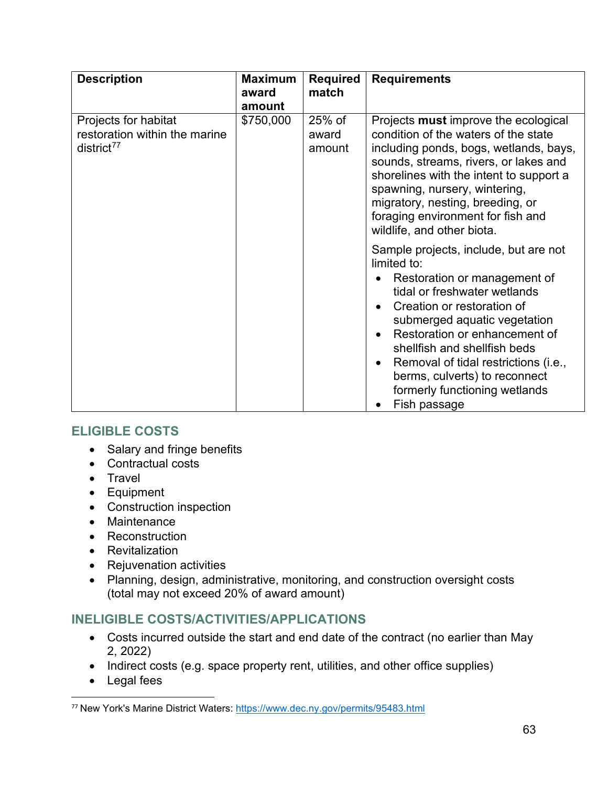| <b>Description</b>                                                       | <b>Maximum</b><br>award<br>amount | <b>Required</b><br>match    | <b>Requirements</b>                                                                                                                                                                                                                                                                                                                                                                                                                                                                                                                                                                                                                                                                                                                 |
|--------------------------------------------------------------------------|-----------------------------------|-----------------------------|-------------------------------------------------------------------------------------------------------------------------------------------------------------------------------------------------------------------------------------------------------------------------------------------------------------------------------------------------------------------------------------------------------------------------------------------------------------------------------------------------------------------------------------------------------------------------------------------------------------------------------------------------------------------------------------------------------------------------------------|
| Projects for habitat<br>restoration within the marine<br>$district^{77}$ | \$750,000                         | $25%$ of<br>award<br>amount | Projects must improve the ecological<br>condition of the waters of the state<br>including ponds, bogs, wetlands, bays,<br>sounds, streams, rivers, or lakes and<br>shorelines with the intent to support a<br>spawning, nursery, wintering,<br>migratory, nesting, breeding, or<br>foraging environment for fish and<br>wildlife, and other biota.<br>Sample projects, include, but are not<br>limited to:<br>Restoration or management of<br>tidal or freshwater wetlands<br>Creation or restoration of<br>submerged aquatic vegetation<br>Restoration or enhancement of<br>shellfish and shellfish beds<br>Removal of tidal restrictions (i.e.,<br>berms, culverts) to reconnect<br>formerly functioning wetlands<br>Fish passage |

## **ELIGIBLE COSTS**

- Salary and fringe benefits
- Contractual costs
- Travel
- Equipment
- Construction inspection
- Maintenance
- Reconstruction
- Revitalization
- Rejuvenation activities
- Planning, design, administrative, monitoring, and construction oversight costs (total may not exceed 20% of award amount)

## **INELIGIBLE COSTS/ACTIVITIES/APPLICATIONS**

- Costs incurred outside the start and end date of the contract (no earlier than May 2, 2022)
- Indirect costs (e.g. space property rent, utilities, and other office supplies)
- Legal fees

<span id="page-62-0"></span><sup>77</sup> New York's Marine District Waters:<https://www.dec.ny.gov/permits/95483.html>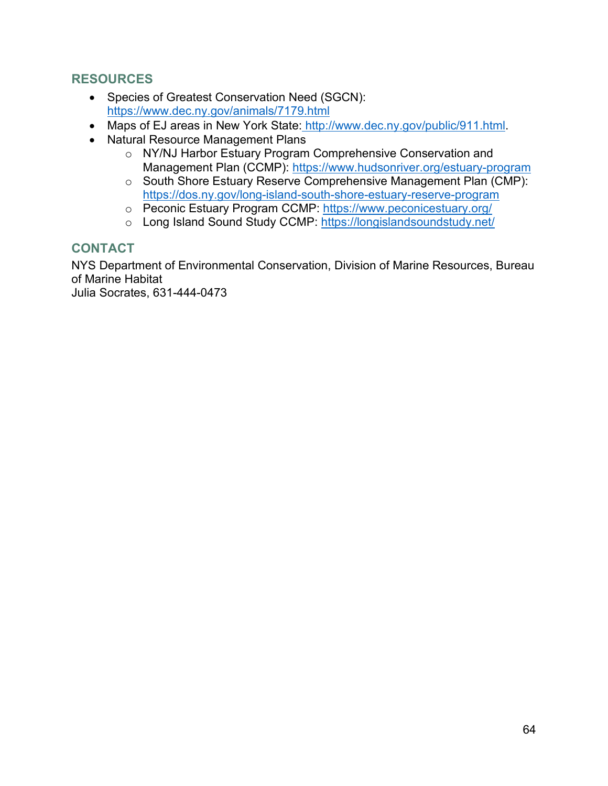## **RESOURCES**

- Species of Greatest Conservation Need (SGCN): <https://www.dec.ny.gov/animals/7179.html>
- Maps of EJ areas in New York State: [http://www.dec.ny.gov/public/911.html.](http://www.dec.ny.gov/public/911.html)
- Natural Resource Management Plans
	- o NY/NJ Harbor Estuary Program Comprehensive Conservation and Management Plan (CCMP):<https://www.hudsonriver.org/estuary-program>
	- o South Shore Estuary Reserve Comprehensive Management Plan (CMP): <https://dos.ny.gov/long-island-south-shore-estuary-reserve-program>
	- o Peconic Estuary Program CCMP:<https://www.peconicestuary.org/>
	- o Long Island Sound Study CCMP:<https://longislandsoundstudy.net/>

#### **CONTACT**

NYS Department of Environmental Conservation, Division of Marine Resources, Bureau of Marine Habitat

Julia Socrates, 631-444-0473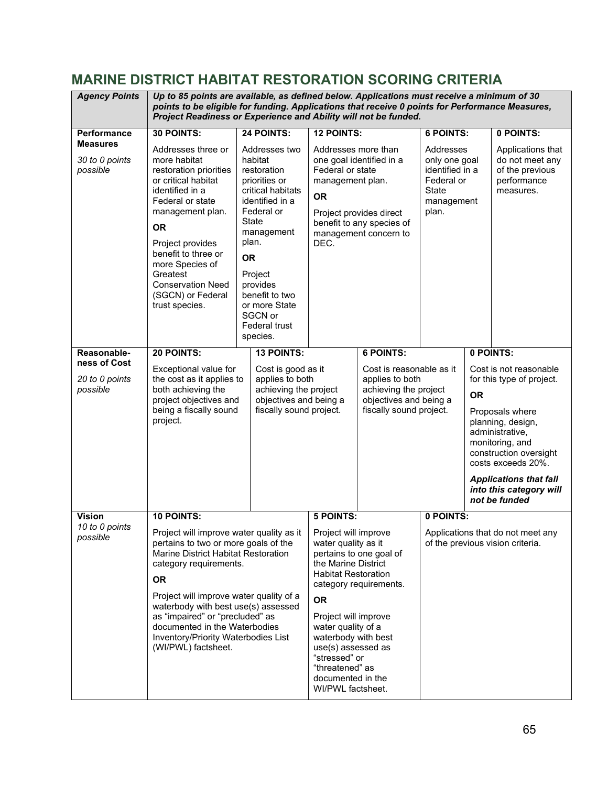## **MARINE DISTRICT HABITAT RESTORATION SCORING CRITERIA**

| <b>Agency Points</b>                          | Up to 85 points are available, as defined below. Applications must receive a minimum of 30<br>points to be eligible for funding. Applications that receive 0 points for Performance Measures,<br>Project Readiness or Experience and Ability will not be funded.                                         |                                                                                                                                                                                                                                                                      |                                                                                                                                                                       |                                                                                                           |                                                                                                    |  |                                                                                                                                                                                        |
|-----------------------------------------------|----------------------------------------------------------------------------------------------------------------------------------------------------------------------------------------------------------------------------------------------------------------------------------------------------------|----------------------------------------------------------------------------------------------------------------------------------------------------------------------------------------------------------------------------------------------------------------------|-----------------------------------------------------------------------------------------------------------------------------------------------------------------------|-----------------------------------------------------------------------------------------------------------|----------------------------------------------------------------------------------------------------|--|----------------------------------------------------------------------------------------------------------------------------------------------------------------------------------------|
| Performance                                   | 30 POINTS:                                                                                                                                                                                                                                                                                               | 24 POINTS:                                                                                                                                                                                                                                                           | <b>12 POINTS:</b>                                                                                                                                                     |                                                                                                           | <b>6 POINTS:</b>                                                                                   |  | 0 POINTS:                                                                                                                                                                              |
| <b>Measures</b><br>30 to 0 points<br>possible | Addresses three or<br>more habitat<br>restoration priorities<br>or critical habitat<br>identified in a<br>Federal or state<br>management plan.<br><b>OR</b><br>Project provides<br>benefit to three or<br>more Species of<br>Greatest<br><b>Conservation Need</b><br>(SGCN) or Federal<br>trust species. | Addresses two<br>habitat<br>restoration<br>priorities or<br>critical habitats<br>identified in a<br>Federal or<br>State<br>management<br>plan.<br><b>OR</b><br>Project<br>provides<br>benefit to two<br>or more State<br>SGCN or<br><b>Federal trust</b><br>species. | Addresses more than<br>Federal or state<br>management plan.<br><b>OR</b><br>DEC.                                                                                      | one goal identified in a<br>Project provides direct<br>benefit to any species of<br>management concern to | Addresses<br>only one goal<br>identified in a<br>Federal or<br><b>State</b><br>management<br>plan. |  | Applications that<br>do not meet any<br>of the previous<br>performance<br>measures.                                                                                                    |
| Reasonable-                                   | 20 POINTS:                                                                                                                                                                                                                                                                                               | <b>13 POINTS:</b>                                                                                                                                                                                                                                                    |                                                                                                                                                                       | <b>6 POINTS:</b>                                                                                          |                                                                                                    |  | 0 POINTS:                                                                                                                                                                              |
| ness of Cost                                  | Exceptional value for                                                                                                                                                                                                                                                                                    | Cost is good as it                                                                                                                                                                                                                                                   | Cost is reasonable as it<br>applies to both<br>achieving the project<br>achieving the project<br>objectives and being a<br>objectives and being a                     |                                                                                                           | <b>OR</b>                                                                                          |  | Cost is not reasonable                                                                                                                                                                 |
| 20 to 0 points<br>possible                    | the cost as it applies to<br>both achieving the                                                                                                                                                                                                                                                          | applies to both                                                                                                                                                                                                                                                      |                                                                                                                                                                       |                                                                                                           |                                                                                                    |  | for this type of project.                                                                                                                                                              |
|                                               | project objectives and                                                                                                                                                                                                                                                                                   |                                                                                                                                                                                                                                                                      |                                                                                                                                                                       |                                                                                                           |                                                                                                    |  |                                                                                                                                                                                        |
|                                               | being a fiscally sound<br>project.                                                                                                                                                                                                                                                                       | fiscally sound project.                                                                                                                                                                                                                                              |                                                                                                                                                                       | fiscally sound project.                                                                                   |                                                                                                    |  | Proposals where<br>planning, design,<br>administrative,<br>monitoring, and<br>construction oversight<br>costs exceeds 20%.<br><b>Applications that fall</b><br>into this category will |
|                                               |                                                                                                                                                                                                                                                                                                          |                                                                                                                                                                                                                                                                      |                                                                                                                                                                       |                                                                                                           |                                                                                                    |  | not be funded                                                                                                                                                                          |
| <b>Vision</b><br>10 to 0 points               | <b>10 POINTS:</b>                                                                                                                                                                                                                                                                                        |                                                                                                                                                                                                                                                                      | <b>5 POINTS:</b>                                                                                                                                                      |                                                                                                           | 0 POINTS:                                                                                          |  |                                                                                                                                                                                        |
| possible                                      | Project will improve water quality as it $\mid$ Project will improve<br>pertains to two or more goals of the<br>Marine District Habitat Restoration<br>category requirements.<br><b>OR</b>                                                                                                               |                                                                                                                                                                                                                                                                      | water quality as it<br>pertains to one goal of<br>the Marine District<br><b>Habitat Restoration</b><br>category requirements.                                         |                                                                                                           | Applications that do not meet any<br>of the previous vision criteria.                              |  |                                                                                                                                                                                        |
| Project will improve water quality of a       |                                                                                                                                                                                                                                                                                                          |                                                                                                                                                                                                                                                                      | <b>OR</b>                                                                                                                                                             |                                                                                                           |                                                                                                    |  |                                                                                                                                                                                        |
|                                               | waterbody with best use(s) assessed<br>as "impaired" or "precluded" as<br>documented in the Waterbodies<br>Inventory/Priority Waterbodies List<br>(WI/PWL) factsheet.                                                                                                                                    |                                                                                                                                                                                                                                                                      | Project will improve<br>water quality of a<br>waterbody with best<br>use(s) assessed as<br>"stressed" or<br>"threatened" as<br>documented in the<br>WI/PWL factsheet. |                                                                                                           |                                                                                                    |  |                                                                                                                                                                                        |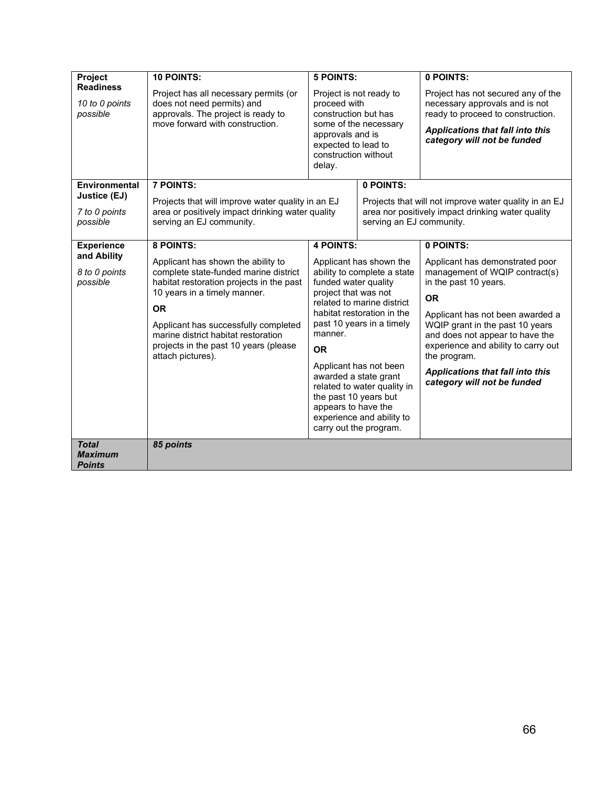| Project                                                                       | <b>10 POINTS:</b>                                                                                                                                                                                                                                                                                                                           | <b>5 POINTS:</b>                                                                                                                                                                                                                                                                                                                                                                                                                     |                          | 0 POINTS:                                                                                                                                                                                                                                                                                                                                                |  |  |
|-------------------------------------------------------------------------------|---------------------------------------------------------------------------------------------------------------------------------------------------------------------------------------------------------------------------------------------------------------------------------------------------------------------------------------------|--------------------------------------------------------------------------------------------------------------------------------------------------------------------------------------------------------------------------------------------------------------------------------------------------------------------------------------------------------------------------------------------------------------------------------------|--------------------------|----------------------------------------------------------------------------------------------------------------------------------------------------------------------------------------------------------------------------------------------------------------------------------------------------------------------------------------------------------|--|--|
| <b>Readiness</b><br>10 to 0 points<br>possible                                | Project has all necessary permits (or<br>does not need permits) and<br>approvals. The project is ready to<br>move forward with construction.                                                                                                                                                                                                | Project is not ready to<br>proceed with<br>construction but has<br>some of the necessary<br>approvals and is<br>expected to lead to<br>construction without<br>delay.                                                                                                                                                                                                                                                                |                          | Project has not secured any of the<br>necessary approvals and is not<br>ready to proceed to construction.<br>Applications that fall into this<br>category will not be funded                                                                                                                                                                             |  |  |
| Environmental<br>Justice (EJ)<br>7 to 0 points                                | <b>7 POINTS:</b><br>Projects that will improve water quality in an EJ<br>area or positively impact drinking water quality<br>serving an EJ community.                                                                                                                                                                                       | 0 POINTS:                                                                                                                                                                                                                                                                                                                                                                                                                            |                          | Projects that will not improve water quality in an EJ<br>area nor positively impact drinking water quality                                                                                                                                                                                                                                               |  |  |
| possible                                                                      |                                                                                                                                                                                                                                                                                                                                             |                                                                                                                                                                                                                                                                                                                                                                                                                                      | serving an EJ community. |                                                                                                                                                                                                                                                                                                                                                          |  |  |
| <b>Experience</b><br>and Ability<br>8 to 0 points<br>possible<br><b>Total</b> | 8 POINTS:<br>Applicant has shown the ability to<br>complete state-funded marine district<br>habitat restoration projects in the past<br>10 years in a timely manner.<br><b>OR</b><br>Applicant has successfully completed<br>marine district habitat restoration<br>projects in the past 10 years (please<br>attach pictures).<br>85 points | <b>4 POINTS:</b><br>Applicant has shown the<br>ability to complete a state<br>funded water quality<br>project that was not<br>related to marine district<br>habitat restoration in the<br>past 10 years in a timely<br>manner.<br><b>OR</b><br>Applicant has not been<br>awarded a state grant<br>related to water quality in<br>the past 10 years but<br>appears to have the<br>experience and ability to<br>carry out the program. |                          | 0 POINTS:<br>Applicant has demonstrated poor<br>management of WQIP contract(s)<br>in the past 10 years.<br><b>OR</b><br>Applicant has not been awarded a<br>WQIP grant in the past 10 years<br>and does not appear to have the<br>experience and ability to carry out<br>the program.<br>Applications that fall into this<br>category will not be funded |  |  |
| <b>Maximum</b><br><b>Points</b>                                               |                                                                                                                                                                                                                                                                                                                                             |                                                                                                                                                                                                                                                                                                                                                                                                                                      |                          |                                                                                                                                                                                                                                                                                                                                                          |  |  |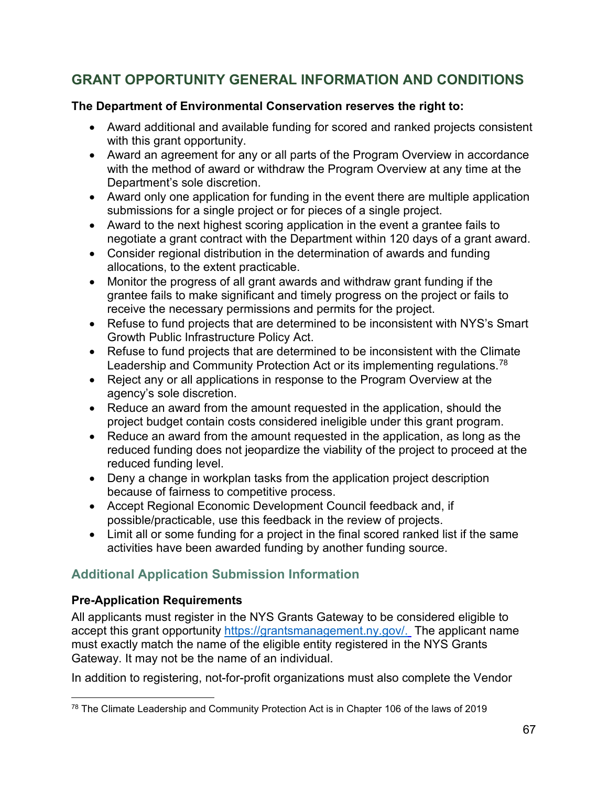## **GRANT OPPORTUNITY GENERAL INFORMATION AND CONDITIONS**

#### **The Department of Environmental Conservation reserves the right to:**

- Award additional and available funding for scored and ranked projects consistent with this grant opportunity.
- Award an agreement for any or all parts of the Program Overview in accordance with the method of award or withdraw the Program Overview at any time at the Department's sole discretion.
- Award only one application for funding in the event there are multiple application submissions for a single project or for pieces of a single project.
- Award to the next highest scoring application in the event a grantee fails to negotiate a grant contract with the Department within 120 days of a grant award.
- Consider regional distribution in the determination of awards and funding allocations, to the extent practicable.
- Monitor the progress of all grant awards and withdraw grant funding if the grantee fails to make significant and timely progress on the project or fails to receive the necessary permissions and permits for the project.
- Refuse to fund projects that are determined to be inconsistent with NYS's Smart Growth Public Infrastructure Policy Act.
- Refuse to fund projects that are determined to be inconsistent with the Climate Leadership and Community Protection Act or its implementing regulations.<sup>[78](#page-66-0)</sup>
- Reject any or all applications in response to the Program Overview at the agency's sole discretion.
- Reduce an award from the amount requested in the application, should the project budget contain costs considered ineligible under this grant program.
- Reduce an award from the amount requested in the application, as long as the reduced funding does not jeopardize the viability of the project to proceed at the reduced funding level.
- Deny a change in workplan tasks from the application project description because of fairness to competitive process.
- Accept Regional Economic Development Council feedback and, if possible/practicable, use this feedback in the review of projects.
- Limit all or some funding for a project in the final scored ranked list if the same activities have been awarded funding by another funding source.

## **Additional Application Submission Information**

## **Pre-Application Requirements**

All applicants must register in the NYS Grants Gateway to be considered eligible to accept this grant opportunity [https://grantsmanagement.ny.gov/.](https://grantsmanagement.ny.gov/) The applicant name must exactly match the name of the eligible entity registered in the NYS Grants Gateway. It may not be the name of an individual.

In addition to registering, not-for-profit organizations must also complete the Vendor

<span id="page-66-0"></span><sup>78</sup> The Climate Leadership and Community Protection Act is in Chapter 106 of the laws of 2019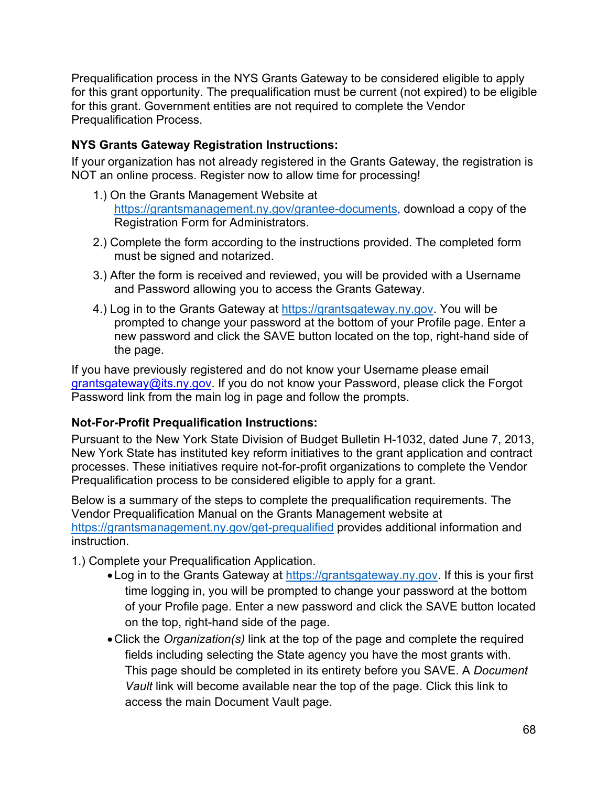Prequalification process in the NYS Grants Gateway to be considered eligible to apply for this grant opportunity. The prequalification must be current (not expired) to be eligible for this grant. Government entities are not required to complete the Vendor Prequalification Process.

### **NYS Grants Gateway Registration Instructions:**

If your organization has not already registered in the Grants Gateway, the registration is NOT an online process. Register now to allow time for processing!

- 1.) On the Grants Management Website at [https://grantsmanagement.ny.gov/grantee-documents,](https://grantsmanagement.ny.gov/grantee-documents) download a copy of the Registration Form for Administrators.
- 2.) Complete the form according to the instructions provided. The completed form must be signed and notarized.
- 3.) After the form is received and reviewed, you will be provided with a Username and Password allowing you to access the Grants Gateway.
- 4.) Log in to the Grants Gateway at [https://grantsgateway.ny.gov.](https://grantsgateway.ny.gov/) You will be prompted to change your password at the bottom of your Profile page. Enter a new password and click the SAVE button located on the top, right-hand side of the page.

If you have previously registered and do not know your Username please email grantsgateway@its.ny.gov. If you do not know your Password, please click the Forgot Password link from the main log in page and follow the prompts.

#### **Not-For-Profit Prequalification Instructions:**

Pursuant to the New York State Division of Budget Bulletin H-1032, dated June 7, 2013, New York State has instituted key reform initiatives to the grant application and contract processes. These initiatives require not-for-profit organizations to complete the Vendor Prequalification process to be considered eligible to apply for a grant.

Below is a summary of the steps to complete the prequalification requirements. The Vendor Prequalification Manual on the Grants Management website at <https://grantsmanagement.ny.gov/get-prequalified> provides additional information and instruction.

- 1.) Complete your Prequalification Application.
	- Log in to the Grants Gateway at [https://grantsgateway.ny.gov.](https://grantsgateway.ny.gov/) If this is your first time logging in, you will be prompted to change your password at the bottom of your Profile page. Enter a new password and click the SAVE button located on the top, right-hand side of the page.
	- •Click the *Organization(s)* link at the top of the page and complete the required fields including selecting the State agency you have the most grants with. This page should be completed in its entirety before you SAVE. A *Document Vault* link will become available near the top of the page. Click this link to access the main Document Vault page.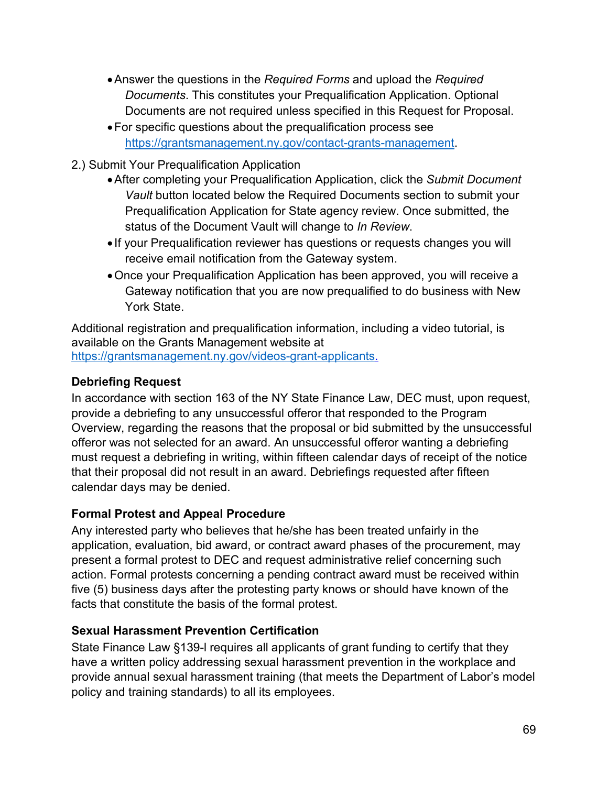- •Answer the questions in the *Required Forms* and upload the *Required Documents*. This constitutes your Prequalification Application. Optional Documents are not required unless specified in this Request for Proposal.
- •For specific questions about the prequalification process see [https://grantsmanagement.ny.gov/contact-grants-management.](https://grantsmanagement.ny.gov/contact-grants-management)
- 2.) Submit Your Prequalification Application
	- •After completing your Prequalification Application, click the *Submit Document Vault* button located below the Required Documents section to submit your Prequalification Application for State agency review. Once submitted, the status of the Document Vault will change to *In Review*.
	- If your Prequalification reviewer has questions or requests changes you will receive email notification from the Gateway system.
	- •Once your Prequalification Application has been approved, you will receive a Gateway notification that you are now prequalified to do business with New York State.

Additional registration and prequalification information, including a video tutorial, is available on the Grants Management website at [https://grantsmanagement.ny.gov/videos-grant-applicants.](https://grantsmanagement.ny.gov/videos-grant-applicants)

#### **Debriefing Request**

In accordance with section 163 of the NY State Finance Law, DEC must, upon request, provide a debriefing to any unsuccessful offeror that responded to the Program Overview, regarding the reasons that the proposal or bid submitted by the unsuccessful offeror was not selected for an award. An unsuccessful offeror wanting a debriefing must request a debriefing in writing, within fifteen calendar days of receipt of the notice that their proposal did not result in an award. Debriefings requested after fifteen calendar days may be denied.

#### **Formal Protest and Appeal Procedure**

Any interested party who believes that he/she has been treated unfairly in the application, evaluation, bid award, or contract award phases of the procurement, may present a formal protest to DEC and request administrative relief concerning such action. Formal protests concerning a pending contract award must be received within five (5) business days after the protesting party knows or should have known of the facts that constitute the basis of the formal protest.

## **Sexual Harassment Prevention Certification**

State Finance Law §139-l requires all applicants of grant funding to certify that they have a written policy addressing sexual harassment prevention in the workplace and provide annual sexual harassment training (that meets the Department of Labor's model policy and training standards) to all its employees.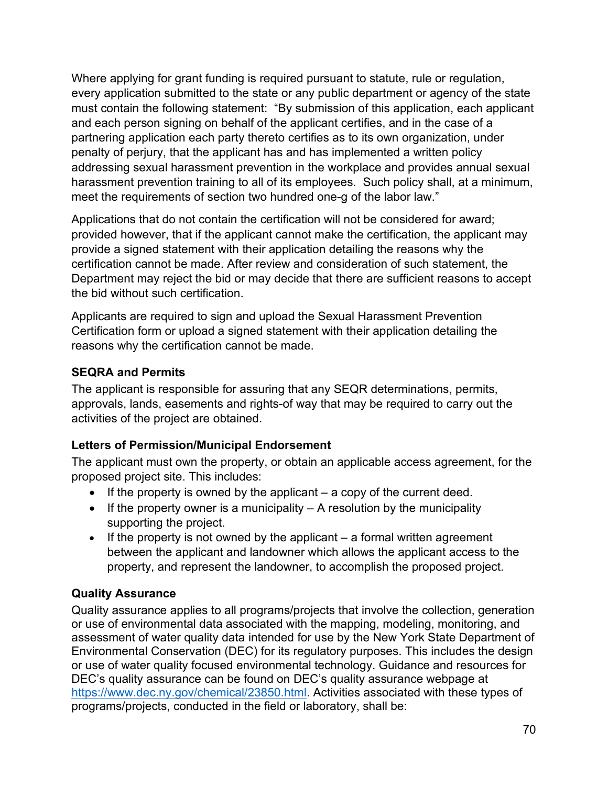Where applying for grant funding is required pursuant to statute, rule or regulation, every application submitted to the state or any public department or agency of the state must contain the following statement: "By submission of this application, each applicant and each person signing on behalf of the applicant certifies, and in the case of a partnering application each party thereto certifies as to its own organization, under penalty of perjury, that the applicant has and has implemented a written policy addressing sexual harassment prevention in the workplace and provides annual sexual harassment prevention training to all of its employees. Such policy shall, at a minimum, meet the requirements of section two hundred one-g of the labor law."

Applications that do not contain the certification will not be considered for award; provided however, that if the applicant cannot make the certification, the applicant may provide a signed statement with their application detailing the reasons why the certification cannot be made. After review and consideration of such statement, the Department may reject the bid or may decide that there are sufficient reasons to accept the bid without such certification.

Applicants are required to sign and upload the Sexual Harassment Prevention Certification form or upload a signed statement with their application detailing the reasons why the certification cannot be made.

## **SEQRA and Permits**

The applicant is responsible for assuring that any SEQR determinations, permits, approvals, lands, easements and rights-of way that may be required to carry out the activities of the project are obtained.

#### **Letters of Permission/Municipal Endorsement**

The applicant must own the property, or obtain an applicable access agreement, for the proposed project site. This includes:

- If the property is owned by the applicant  $-$  a copy of the current deed.
- If the property owner is a municipality  $A$  resolution by the municipality supporting the project.
- $\bullet$  If the property is not owned by the applicant  $-$  a formal written agreement between the applicant and landowner which allows the applicant access to the property, and represent the landowner, to accomplish the proposed project.

## **Quality Assurance**

Quality assurance applies to all programs/projects that involve the collection, generation or use of environmental data associated with the mapping, modeling, monitoring, and assessment of water quality data intended for use by the New York State Department of Environmental Conservation (DEC) for its regulatory purposes. This includes the design or use of water quality focused environmental technology. Guidance and resources for DEC's quality assurance can be found on DEC's quality assurance webpage at [https://www.dec.ny.gov/chemical/23850.html.](https://www.dec.ny.gov/chemical/23850.html) Activities associated with these types of programs/projects, conducted in the field or laboratory, shall be: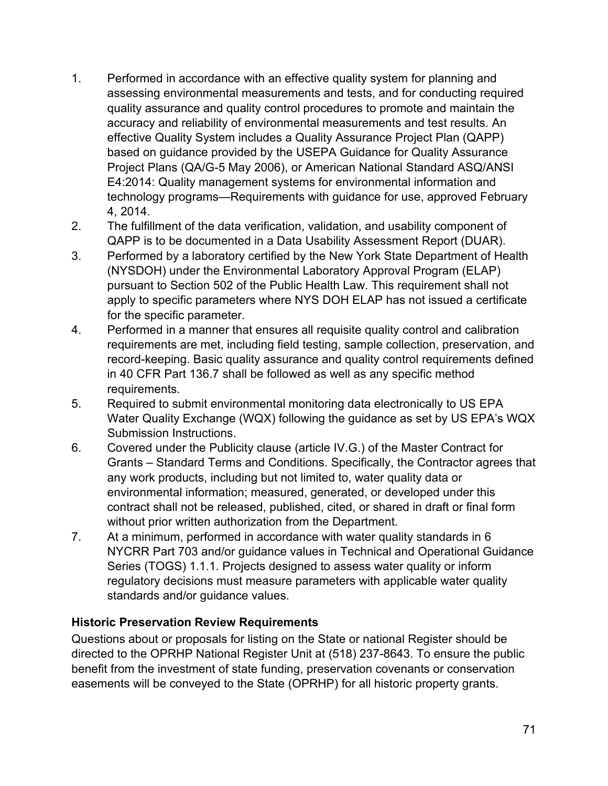- 1. Performed in accordance with an effective quality system for planning and assessing environmental measurements and tests, and for conducting required quality assurance and quality control procedures to promote and maintain the accuracy and reliability of environmental measurements and test results. An effective Quality System includes a Quality Assurance Project Plan (QAPP) based on guidance provided by the USEPA Guidance for Quality Assurance Project Plans (QA/G-5 May 2006), or American National Standard ASQ/ANSI E4:2014: Quality management systems for environmental information and technology programs—Requirements with guidance for use, approved February 4, 2014.
- 2. The fulfillment of the data verification, validation, and usability component of QAPP is to be documented in a Data Usability Assessment Report (DUAR).
- 3. Performed by a laboratory certified by the New York State Department of Health (NYSDOH) under the Environmental Laboratory Approval Program (ELAP) pursuant to Section 502 of the Public Health Law. This requirement shall not apply to specific parameters where NYS DOH ELAP has not issued a certificate for the specific parameter.
- 4. Performed in a manner that ensures all requisite quality control and calibration requirements are met, including field testing, sample collection, preservation, and record-keeping. Basic quality assurance and quality control requirements defined in 40 CFR Part 136.7 shall be followed as well as any specific method requirements.
- 5. Required to submit environmental monitoring data electronically to US EPA Water Quality Exchange (WQX) following the guidance as set by US EPA's WQX Submission Instructions.
- 6. Covered under the Publicity clause (article IV.G.) of the Master Contract for Grants – Standard Terms and Conditions. Specifically, the Contractor agrees that any work products, including but not limited to, water quality data or environmental information; measured, generated, or developed under this contract shall not be released, published, cited, or shared in draft or final form without prior written authorization from the Department.
- 7. At a minimum, performed in accordance with water quality standards in 6 NYCRR Part 703 and/or guidance values in Technical and Operational Guidance Series (TOGS) 1.1.1. Projects designed to assess water quality or inform regulatory decisions must measure parameters with applicable water quality standards and/or guidance values.

#### **Historic Preservation Review Requirements**

Questions about or proposals for listing on the State or national Register should be directed to the OPRHP National Register Unit at (518) 237-8643. To ensure the public benefit from the investment of state funding, preservation covenants or conservation easements will be conveyed to the State (OPRHP) for all historic property grants.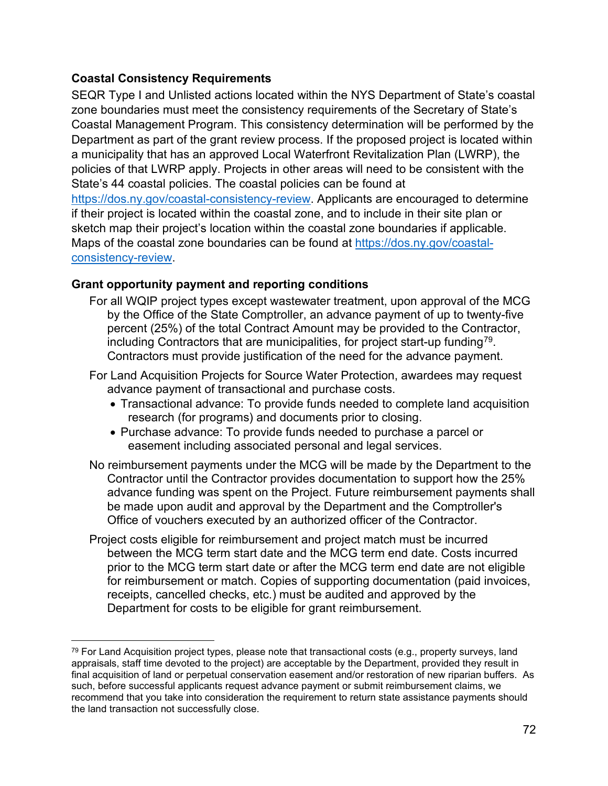#### **Coastal Consistency Requirements**

SEQR Type I and Unlisted actions located within the NYS Department of State's coastal zone boundaries must meet the consistency requirements of the Secretary of State's Coastal Management Program. This consistency determination will be performed by the Department as part of the grant review process. If the proposed project is located within a municipality that has an approved Local Waterfront Revitalization Plan (LWRP), the policies of that LWRP apply. Projects in other areas will need to be consistent with the State's 44 coastal policies. The coastal policies can be found at [https://dos.ny.gov/coastal-consistency-review.](https://dos.ny.gov/coastal-consistency-review) Applicants are encouraged to determine if their project is located within the coastal zone, and to include in their site plan or sketch map their project's location within the coastal zone boundaries if applicable. Maps of the coastal zone boundaries can be found at [https://dos.ny.gov/coastal](https://dos.ny.gov/coastal-consistency-review)[consistency-review.](https://dos.ny.gov/coastal-consistency-review)

#### **Grant opportunity payment and reporting conditions**

- For all WQIP project types except wastewater treatment, upon approval of the MCG by the Office of the State Comptroller, an advance payment of up to twenty-five percent (25%) of the total Contract Amount may be provided to the Contractor, including Contractors that are municipalities, for project start-up funding<sup>[79](#page-71-0)</sup>. Contractors must provide justification of the need for the advance payment.
- For Land Acquisition Projects for Source Water Protection, awardees may request advance payment of transactional and purchase costs.
	- Transactional advance: To provide funds needed to complete land acquisition research (for programs) and documents prior to closing.
	- Purchase advance: To provide funds needed to purchase a parcel or easement including associated personal and legal services.
- No reimbursement payments under the MCG will be made by the Department to the Contractor until the Contractor provides documentation to support how the 25% advance funding was spent on the Project. Future reimbursement payments shall be made upon audit and approval by the Department and the Comptroller's Office of vouchers executed by an authorized officer of the Contractor.
- Project costs eligible for reimbursement and project match must be incurred between the MCG term start date and the MCG term end date. Costs incurred prior to the MCG term start date or after the MCG term end date are not eligible for reimbursement or match. Copies of supporting documentation (paid invoices, receipts, cancelled checks, etc.) must be audited and approved by the Department for costs to be eligible for grant reimbursement.

<span id="page-71-0"></span> $79$  For Land Acquisition project types, please note that transactional costs (e.g., property surveys, land appraisals, staff time devoted to the project) are acceptable by the Department, provided they result in final acquisition of land or perpetual conservation easement and/or restoration of new riparian buffers. As such, before successful applicants request advance payment or submit reimbursement claims, we recommend that you take into consideration the requirement to return state assistance payments should the land transaction not successfully close.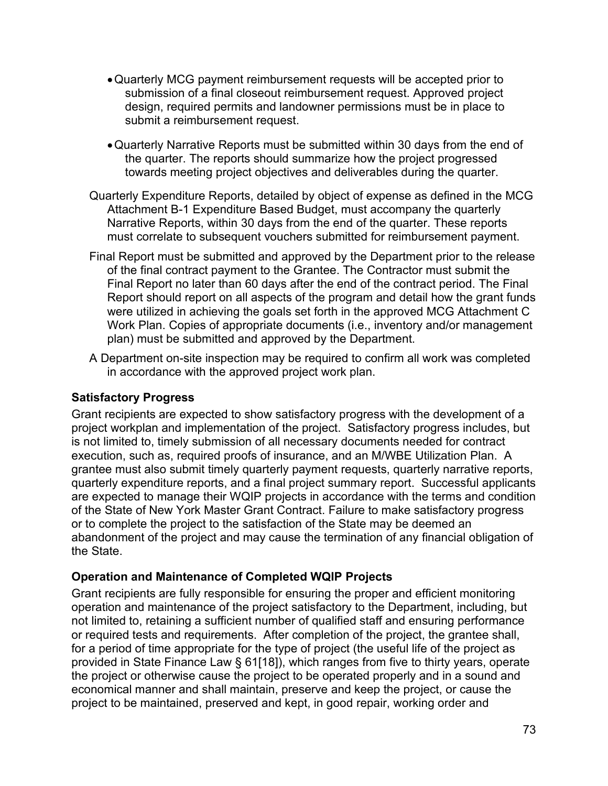- •Quarterly MCG payment reimbursement requests will be accepted prior to submission of a final closeout reimbursement request. Approved project design, required permits and landowner permissions must be in place to submit a reimbursement request.
- •Quarterly Narrative Reports must be submitted within 30 days from the end of the quarter. The reports should summarize how the project progressed towards meeting project objectives and deliverables during the quarter.
- Quarterly Expenditure Reports, detailed by object of expense as defined in the MCG Attachment B-1 Expenditure Based Budget, must accompany the quarterly Narrative Reports, within 30 days from the end of the quarter. These reports must correlate to subsequent vouchers submitted for reimbursement payment.
- Final Report must be submitted and approved by the Department prior to the release of the final contract payment to the Grantee. The Contractor must submit the Final Report no later than 60 days after the end of the contract period. The Final Report should report on all aspects of the program and detail how the grant funds were utilized in achieving the goals set forth in the approved MCG Attachment C Work Plan. Copies of appropriate documents (i.e., inventory and/or management plan) must be submitted and approved by the Department.
- A Department on-site inspection may be required to confirm all work was completed in accordance with the approved project work plan.

### **Satisfactory Progress**

Grant recipients are expected to show satisfactory progress with the development of a project workplan and implementation of the project. Satisfactory progress includes, but is not limited to, timely submission of all necessary documents needed for contract execution, such as, required proofs of insurance, and an M/WBE Utilization Plan. A grantee must also submit timely quarterly payment requests, quarterly narrative reports, quarterly expenditure reports, and a final project summary report. Successful applicants are expected to manage their WQIP projects in accordance with the terms and condition of the State of New York Master Grant Contract. Failure to make satisfactory progress or to complete the project to the satisfaction of the State may be deemed an abandonment of the project and may cause the termination of any financial obligation of the State.

### **Operation and Maintenance of Completed WQIP Projects**

Grant recipients are fully responsible for ensuring the proper and efficient monitoring operation and maintenance of the project satisfactory to the Department, including, but not limited to, retaining a sufficient number of qualified staff and ensuring performance or required tests and requirements. After completion of the project, the grantee shall, for a period of time appropriate for the type of project (the useful life of the project as provided in State Finance Law § 61[18]), which ranges from five to thirty years, operate the project or otherwise cause the project to be operated properly and in a sound and economical manner and shall maintain, preserve and keep the project, or cause the project to be maintained, preserved and kept, in good repair, working order and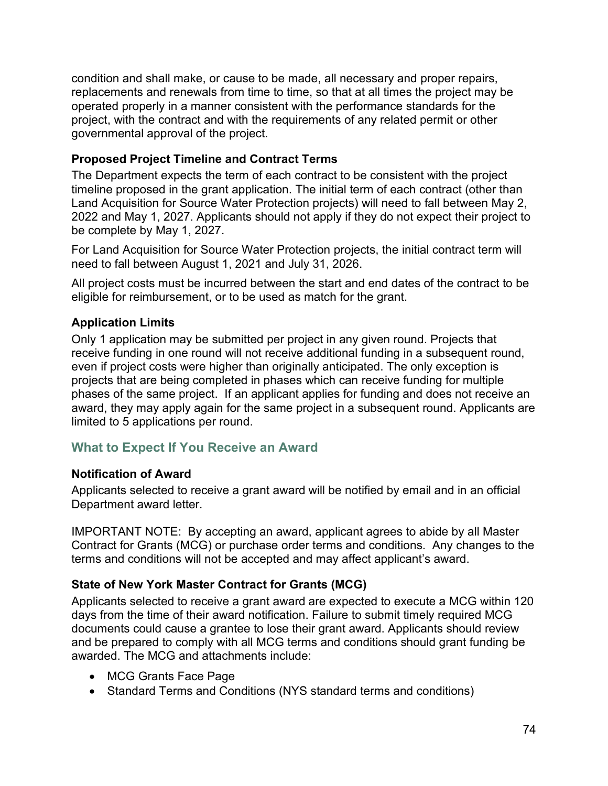condition and shall make, or cause to be made, all necessary and proper repairs, replacements and renewals from time to time, so that at all times the project may be operated properly in a manner consistent with the performance standards for the project, with the contract and with the requirements of any related permit or other governmental approval of the project.

### **Proposed Project Timeline and Contract Terms**

The Department expects the term of each contract to be consistent with the project timeline proposed in the grant application. The initial term of each contract (other than Land Acquisition for Source Water Protection projects) will need to fall between May 2, 2022 and May 1, 2027. Applicants should not apply if they do not expect their project to be complete by May 1, 2027.

For Land Acquisition for Source Water Protection projects, the initial contract term will need to fall between August 1, 2021 and July 31, 2026.

All project costs must be incurred between the start and end dates of the contract to be eligible for reimbursement, or to be used as match for the grant.

# **Application Limits**

Only 1 application may be submitted per project in any given round. Projects that receive funding in one round will not receive additional funding in a subsequent round, even if project costs were higher than originally anticipated. The only exception is projects that are being completed in phases which can receive funding for multiple phases of the same project. If an applicant applies for funding and does not receive an award, they may apply again for the same project in a subsequent round. Applicants are limited to 5 applications per round.

# **What to Expect If You Receive an Award**

### **Notification of Award**

Applicants selected to receive a grant award will be notified by email and in an official Department award letter.

IMPORTANT NOTE: By accepting an award, applicant agrees to abide by all Master Contract for Grants (MCG) or purchase order terms and conditions. Any changes to the terms and conditions will not be accepted and may affect applicant's award.

# **State of New York Master Contract for Grants (MCG)**

Applicants selected to receive a grant award are expected to execute a MCG within 120 days from the time of their award notification. Failure to submit timely required MCG documents could cause a grantee to lose their grant award. Applicants should review and be prepared to comply with all MCG terms and conditions should grant funding be awarded. The MCG and attachments include:

- MCG Grants Face Page
- Standard Terms and Conditions (NYS standard terms and conditions)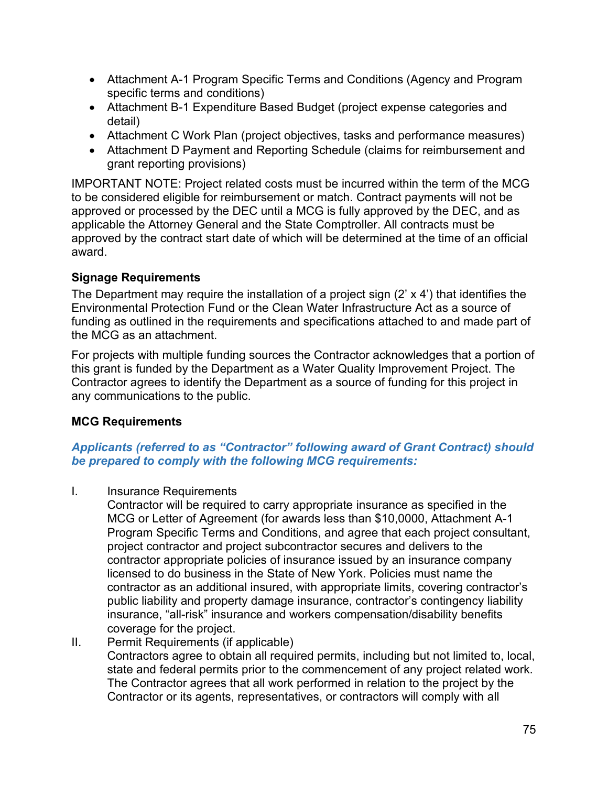- Attachment A-1 Program Specific Terms and Conditions (Agency and Program specific terms and conditions)
- Attachment B-1 Expenditure Based Budget (project expense categories and detail)
- Attachment C Work Plan (project objectives, tasks and performance measures)
- Attachment D Payment and Reporting Schedule (claims for reimbursement and grant reporting provisions)

IMPORTANT NOTE: Project related costs must be incurred within the term of the MCG to be considered eligible for reimbursement or match. Contract payments will not be approved or processed by the DEC until a MCG is fully approved by the DEC, and as applicable the Attorney General and the State Comptroller. All contracts must be approved by the contract start date of which will be determined at the time of an official award.

## **Signage Requirements**

The Department may require the installation of a project sign (2' x 4') that identifies the Environmental Protection Fund or the Clean Water Infrastructure Act as a source of funding as outlined in the requirements and specifications attached to and made part of the MCG as an attachment.

For projects with multiple funding sources the Contractor acknowledges that a portion of this grant is funded by the Department as a Water Quality Improvement Project. The Contractor agrees to identify the Department as a source of funding for this project in any communications to the public.

# **MCG Requirements**

### *Applicants (referred to as "Contractor" following award of Grant Contract) should be prepared to comply with the following MCG requirements:*

I. Insurance Requirements

Contractor will be required to carry appropriate insurance as specified in the MCG or Letter of Agreement (for awards less than \$10,0000, Attachment A-1 Program Specific Terms and Conditions, and agree that each project consultant, project contractor and project subcontractor secures and delivers to the contractor appropriate policies of insurance issued by an insurance company licensed to do business in the State of New York. Policies must name the contractor as an additional insured, with appropriate limits, covering contractor's public liability and property damage insurance, contractor's contingency liability insurance, "all-risk" insurance and workers compensation/disability benefits coverage for the project.

### II. Permit Requirements (if applicable)

Contractors agree to obtain all required permits, including but not limited to, local, state and federal permits prior to the commencement of any project related work. The Contractor agrees that all work performed in relation to the project by the Contractor or its agents, representatives, or contractors will comply with all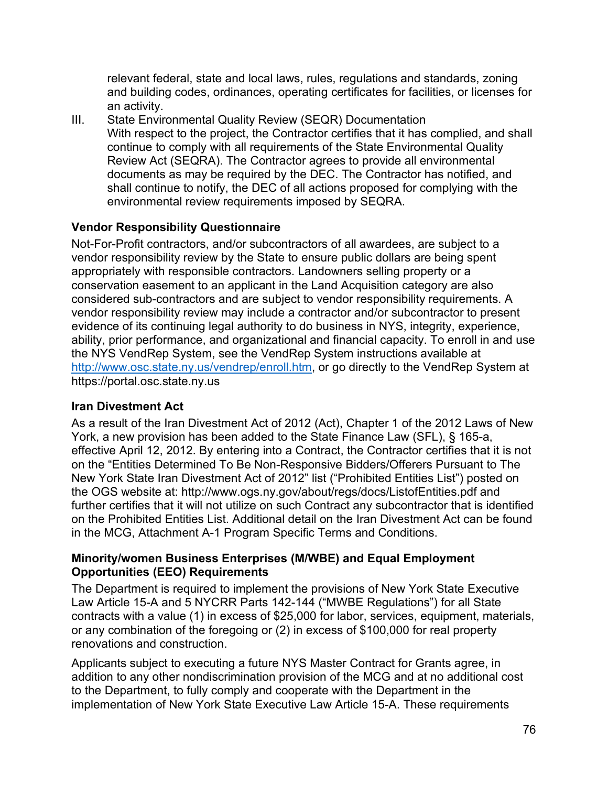relevant federal, state and local laws, rules, regulations and standards, zoning and building codes, ordinances, operating certificates for facilities, or licenses for an activity.

III. State Environmental Quality Review (SEQR) Documentation With respect to the project, the Contractor certifies that it has complied, and shall continue to comply with all requirements of the State Environmental Quality Review Act (SEQRA). The Contractor agrees to provide all environmental documents as may be required by the DEC. The Contractor has notified, and shall continue to notify, the DEC of all actions proposed for complying with the environmental review requirements imposed by SEQRA.

## **Vendor Responsibility Questionnaire**

Not-For-Profit contractors, and/or subcontractors of all awardees, are subject to a vendor responsibility review by the State to ensure public dollars are being spent appropriately with responsible contractors. Landowners selling property or a conservation easement to an applicant in the Land Acquisition category are also considered sub-contractors and are subject to vendor responsibility requirements. A vendor responsibility review may include a contractor and/or subcontractor to present evidence of its continuing legal authority to do business in NYS, integrity, experience, ability, prior performance, and organizational and financial capacity. To enroll in and use the NYS VendRep System, see the VendRep System instructions available at [http://www.osc.state.ny.us/vendrep/enroll.htm,](http://www.osc.state.ny.us/vendrep/enroll.htm) or go directly to the VendRep System at https://portal.osc.state.ny.us

### **Iran Divestment Act**

As a result of the Iran Divestment Act of 2012 (Act), Chapter 1 of the 2012 Laws of New York, a new provision has been added to the State Finance Law (SFL), § 165-a, effective April 12, 2012. By entering into a Contract, the Contractor certifies that it is not on the "Entities Determined To Be Non-Responsive Bidders/Offerers Pursuant to The New York State Iran Divestment Act of 2012" list ("Prohibited Entities List") posted on the OGS website at: http://www.ogs.ny.gov/about/regs/docs/ListofEntities.pdf and further certifies that it will not utilize on such Contract any subcontractor that is identified on the Prohibited Entities List. Additional detail on the Iran Divestment Act can be found in the MCG, Attachment A-1 Program Specific Terms and Conditions.

#### **Minority/women Business Enterprises (M/WBE) and Equal Employment Opportunities (EEO) Requirements**

The Department is required to implement the provisions of New York State Executive Law Article 15-A and 5 NYCRR Parts 142-144 ("MWBE Regulations") for all State contracts with a value (1) in excess of \$25,000 for labor, services, equipment, materials, or any combination of the foregoing or (2) in excess of \$100,000 for real property renovations and construction.

Applicants subject to executing a future NYS Master Contract for Grants agree, in addition to any other nondiscrimination provision of the MCG and at no additional cost to the Department, to fully comply and cooperate with the Department in the implementation of New York State Executive Law Article 15-A. These requirements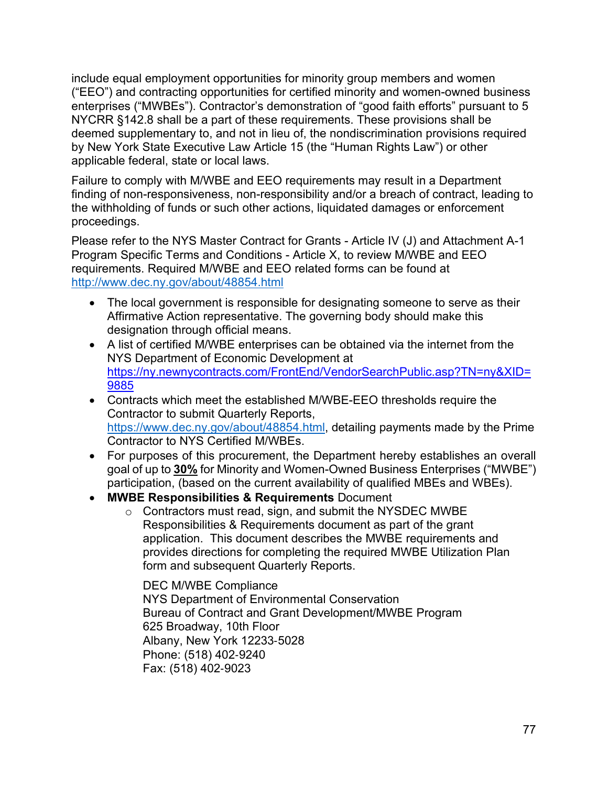include equal employment opportunities for minority group members and women ("EEO") and contracting opportunities for certified minority and women-owned business enterprises ("MWBEs"). Contractor's demonstration of "good faith efforts" pursuant to 5 NYCRR §142.8 shall be a part of these requirements. These provisions shall be deemed supplementary to, and not in lieu of, the nondiscrimination provisions required by New York State Executive Law Article 15 (the "Human Rights Law") or other applicable federal, state or local laws.

Failure to comply with M/WBE and EEO requirements may result in a Department finding of non-responsiveness, non-responsibility and/or a breach of contract, leading to the withholding of funds or such other actions, liquidated damages or enforcement proceedings.

Please refer to the NYS Master Contract for Grants - Article IV (J) and Attachment A-1 Program Specific Terms and Conditions - Article X, to review M/WBE and EEO requirements. Required M/WBE and EEO related forms can be found at <http://www.dec.ny.gov/about/48854.html>

- The local government is responsible for designating someone to serve as their Affirmative Action representative. The governing body should make this designation through official means.
- A list of certified M/WBE enterprises can be obtained via the internet from the NYS Department of Economic Development at [https://ny.newnycontracts.com/FrontEnd/VendorSearchPublic.asp?TN=ny&XID=](https://ny.newnycontracts.com/FrontEnd/VendorSearchPublic.asp?TN=ny&XID=9885) [9885](https://ny.newnycontracts.com/FrontEnd/VendorSearchPublic.asp?TN=ny&XID=9885)
- Contracts which meet the established M/WBE-EEO thresholds require the Contractor to submit Quarterly Reports, [https://www.dec.ny.gov/about/48854.html,](https://www.dec.ny.gov/about/48854.html) detailing payments made by the Prime Contractor to NYS Certified M/WBEs.
- For purposes of this procurement, the Department hereby establishes an overall goal of up to **30%** for Minority and Women-Owned Business Enterprises ("MWBE") participation, (based on the current availability of qualified MBEs and WBEs).
- **MWBE Responsibilities & Requirements** Document
	- o Contractors must read, sign, and submit the NYSDEC MWBE Responsibilities & Requirements document as part of the grant application. This document describes the MWBE requirements and provides directions for completing the required MWBE Utilization Plan form and subsequent Quarterly Reports.

DEC M/WBE Compliance NYS Department of Environmental Conservation Bureau of Contract and Grant Development/MWBE Program 625 Broadway, 10th Floor Albany, New York 12233‐5028 Phone: (518) 402‐9240 Fax: (518) 402‐9023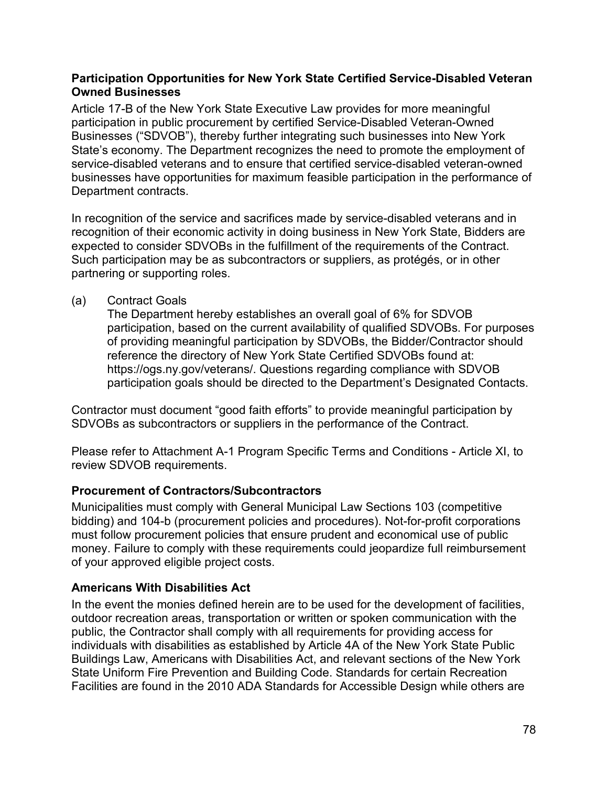#### **Participation Opportunities for New York State Certified Service-Disabled Veteran Owned Businesses**

Article 17-B of the New York State Executive Law provides for more meaningful participation in public procurement by certified Service-Disabled Veteran-Owned Businesses ("SDVOB"), thereby further integrating such businesses into New York State's economy. The Department recognizes the need to promote the employment of service-disabled veterans and to ensure that certified service-disabled veteran-owned businesses have opportunities for maximum feasible participation in the performance of Department contracts.

In recognition of the service and sacrifices made by service-disabled veterans and in recognition of their economic activity in doing business in New York State, Bidders are expected to consider SDVOBs in the fulfillment of the requirements of the Contract. Such participation may be as subcontractors or suppliers, as protégés, or in other partnering or supporting roles.

#### (a) Contract Goals

The Department hereby establishes an overall goal of 6% for SDVOB participation, based on the current availability of qualified SDVOBs. For purposes of providing meaningful participation by SDVOBs, the Bidder/Contractor should reference the directory of New York State Certified SDVOBs found at: https://ogs.ny.gov/veterans/. Questions regarding compliance with SDVOB participation goals should be directed to the Department's Designated Contacts.

Contractor must document "good faith efforts" to provide meaningful participation by SDVOBs as subcontractors or suppliers in the performance of the Contract.

Please refer to Attachment A-1 Program Specific Terms and Conditions - Article XI, to review SDVOB requirements.

### **Procurement of Contractors/Subcontractors**

Municipalities must comply with General Municipal Law Sections 103 (competitive bidding) and 104-b (procurement policies and procedures). Not-for-profit corporations must follow procurement policies that ensure prudent and economical use of public money. Failure to comply with these requirements could jeopardize full reimbursement of your approved eligible project costs.

#### **Americans With Disabilities Act**

In the event the monies defined herein are to be used for the development of facilities, outdoor recreation areas, transportation or written or spoken communication with the public, the Contractor shall comply with all requirements for providing access for individuals with disabilities as established by Article 4A of the New York State Public Buildings Law, Americans with Disabilities Act, and relevant sections of the New York State Uniform Fire Prevention and Building Code. Standards for certain Recreation Facilities are found in the 2010 ADA Standards for Accessible Design while others are